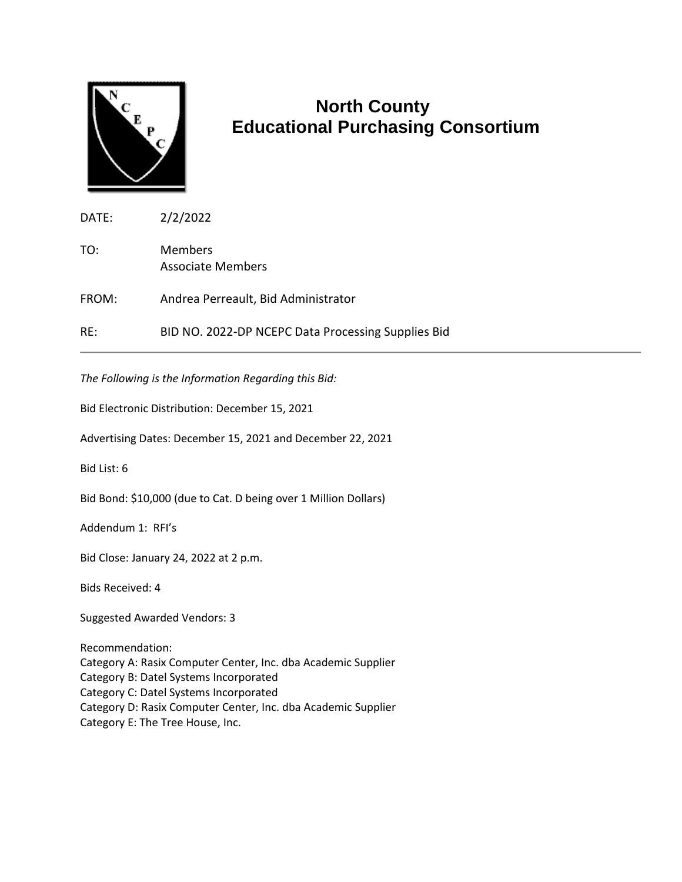

## **North County Educational Purchasing Consortium**

| DATE: | 2/2/2022                                           |
|-------|----------------------------------------------------|
| TO:   | <b>Members</b><br>Associate Members                |
| FROM: | Andrea Perreault, Bid Administrator                |
| RE:   | BID NO. 2022-DP NCEPC Data Processing Supplies Bid |

*The Following is the Information Regarding this Bid:*

Bid Electronic Distribution: December 15, 2021

Advertising Dates: December 15, 2021 and December 22, 2021

Bid List: 6

Bid Bond: \$10,000 (due to Cat. D being over 1 Million Dollars)

Addendum 1: RFI's

Bid Close: January 24, 2022 at 2 p.m.

Bids Received: 4

Suggested Awarded Vendors: 3

Recommendation: Category A: Rasix Computer Center, Inc. dba Academic Supplier Category B: Datel Systems Incorporated Category C: Datel Systems Incorporated Category D: Rasix Computer Center, Inc. dba Academic Supplier Category E: The Tree House, Inc.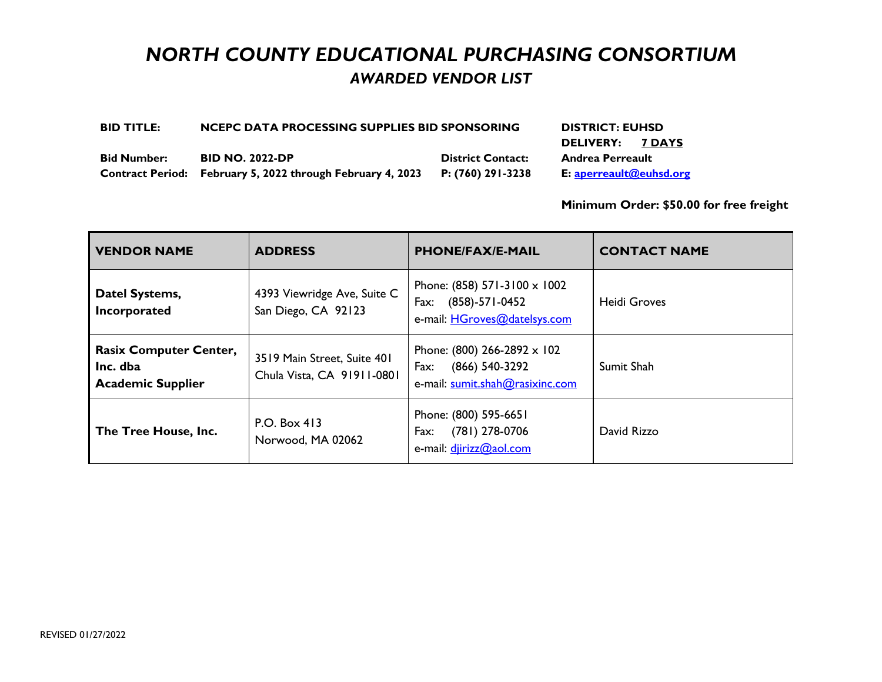# *NORTH COUNTY EDUCATIONAL PURCHASING CONSORTIUM AWARDED VENDOR LIST*

| <b>BID TITLE:</b>  | NCEPC DATA PROCESSING SUPPLIES BID SPONSORING              | <b>DISTRICT: EUHSD</b>   |                         |
|--------------------|------------------------------------------------------------|--------------------------|-------------------------|
|                    |                                                            |                          | DELIVERY: 7 DAYS        |
| <b>Bid Number:</b> | <b>BID NO. 2022-DP</b>                                     | <b>District Contact:</b> | <b>Andrea Perreault</b> |
|                    | Contract Period: February 5, 2022 through February 4, 2023 | P: (760) 291-3238        | E: aperreault@euhsd.org |

**Minimum Order: \$50.00 for free freight**

| <b>VENDOR NAME</b>                                                    | <b>ADDRESS</b>                                            | <b>PHONE/FAX/E-MAIL</b>                                                                         | <b>CONTACT NAME</b> |
|-----------------------------------------------------------------------|-----------------------------------------------------------|-------------------------------------------------------------------------------------------------|---------------------|
| Datel Systems,<br>Incorporated                                        | 4393 Viewridge Ave, Suite C<br>San Diego, CA 92123        | Phone: (858) 571-3100 x 1002<br>$(858)-571-0452$<br>Fax:<br>e-mail: HGroves@datelsys.com        | <b>Heidi Groves</b> |
| <b>Rasix Computer Center,</b><br>Inc. dba<br><b>Academic Supplier</b> | 3519 Main Street, Suite 401<br>Chula Vista, CA 91911-0801 | Phone: (800) 266-2892 $\times$ 102<br>(866) 540-3292<br>Fax:<br>e-mail: sumit.shah@rasixinc.com | Sumit Shah          |
| The Tree House, Inc.                                                  | P.O. Box 413<br>Norwood, MA 02062                         | Phone: (800) 595-6651<br>(781) 278-0706<br>Fax:<br>e-mail: djirizz@aol.com                      | David Rizzo         |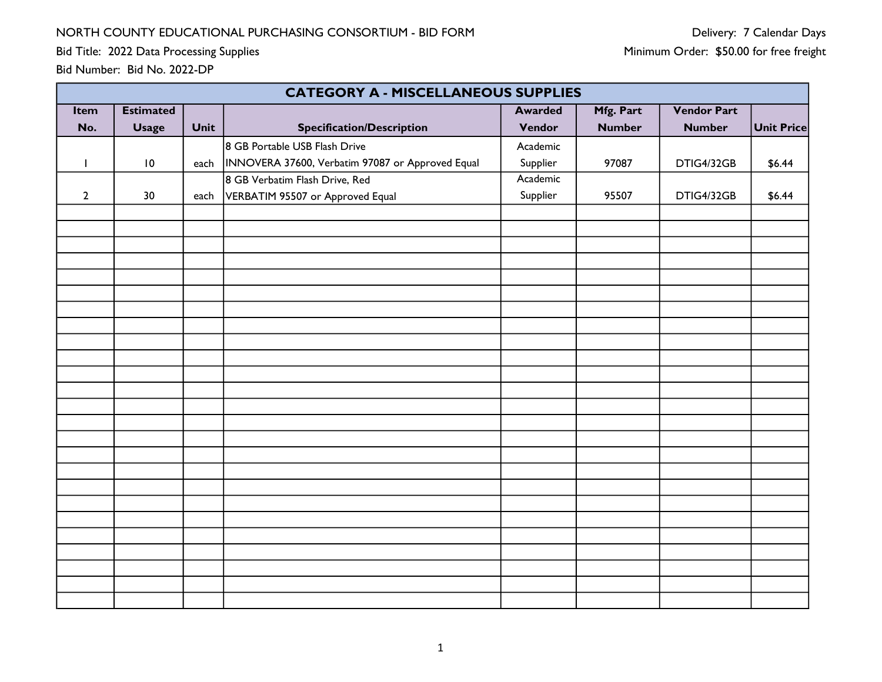Bid Title: 2022 Data Processing Supplies

|                          | <b>CATEGORY A - MISCELLANEOUS SUPPLIES</b> |      |                                                  |                |               |                    |                   |  |  |  |
|--------------------------|--------------------------------------------|------|--------------------------------------------------|----------------|---------------|--------------------|-------------------|--|--|--|
| Item                     | <b>Estimated</b>                           |      |                                                  | <b>Awarded</b> | Mfg. Part     | <b>Vendor Part</b> |                   |  |  |  |
| No.                      | <b>Usage</b>                               | Unit | <b>Specification/Description</b>                 | Vendor         | <b>Number</b> | <b>Number</b>      | <b>Unit Price</b> |  |  |  |
|                          |                                            |      | 8 GB Portable USB Flash Drive                    | Academic       |               |                    |                   |  |  |  |
| $\overline{\phantom{a}}$ | $\,$ IO $\,$                               | each | INNOVERA 37600, Verbatim 97087 or Approved Equal | Supplier       | 97087         | DTIG4/32GB         | \$6.44            |  |  |  |
|                          |                                            |      | 8 GB Verbatim Flash Drive, Red                   | Academic       |               |                    |                   |  |  |  |
| $\overline{2}$           | 30                                         | each | VERBATIM 95507 or Approved Equal                 | Supplier       | 95507         | DTIG4/32GB         | \$6.44            |  |  |  |
|                          |                                            |      |                                                  |                |               |                    |                   |  |  |  |
|                          |                                            |      |                                                  |                |               |                    |                   |  |  |  |
|                          |                                            |      |                                                  |                |               |                    |                   |  |  |  |
|                          |                                            |      |                                                  |                |               |                    |                   |  |  |  |
|                          |                                            |      |                                                  |                |               |                    |                   |  |  |  |
|                          |                                            |      |                                                  |                |               |                    |                   |  |  |  |
|                          |                                            |      |                                                  |                |               |                    |                   |  |  |  |
|                          |                                            |      |                                                  |                |               |                    |                   |  |  |  |
|                          |                                            |      |                                                  |                |               |                    |                   |  |  |  |
|                          |                                            |      |                                                  |                |               |                    |                   |  |  |  |
|                          |                                            |      |                                                  |                |               |                    |                   |  |  |  |
|                          |                                            |      |                                                  |                |               |                    |                   |  |  |  |
|                          |                                            |      |                                                  |                |               |                    |                   |  |  |  |
|                          |                                            |      |                                                  |                |               |                    |                   |  |  |  |
|                          |                                            |      |                                                  |                |               |                    |                   |  |  |  |
|                          |                                            |      |                                                  |                |               |                    |                   |  |  |  |
|                          |                                            |      |                                                  |                |               |                    |                   |  |  |  |
|                          |                                            |      |                                                  |                |               |                    |                   |  |  |  |
|                          |                                            |      |                                                  |                |               |                    |                   |  |  |  |
|                          |                                            |      |                                                  |                |               |                    |                   |  |  |  |
|                          |                                            |      |                                                  |                |               |                    |                   |  |  |  |
|                          |                                            |      |                                                  |                |               |                    |                   |  |  |  |
|                          |                                            |      |                                                  |                |               |                    |                   |  |  |  |
|                          |                                            |      |                                                  |                |               |                    |                   |  |  |  |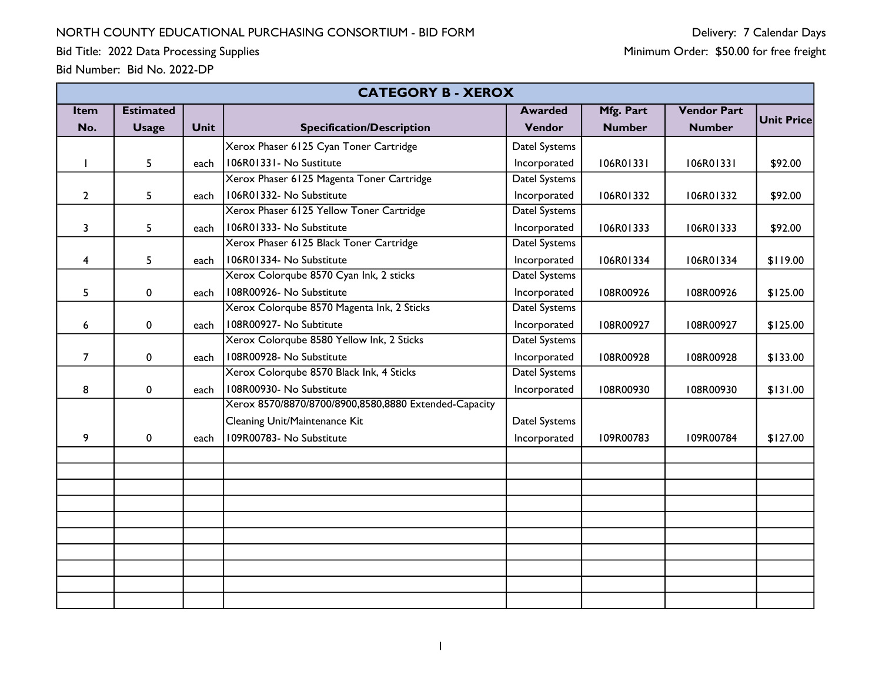|                         | <b>CATEGORY B - XEROX</b> |             |                                                       |                      |               |                    |                   |  |  |  |
|-------------------------|---------------------------|-------------|-------------------------------------------------------|----------------------|---------------|--------------------|-------------------|--|--|--|
| <b>Item</b>             | <b>Estimated</b>          |             |                                                       | <b>Awarded</b>       | Mfg. Part     | <b>Vendor Part</b> |                   |  |  |  |
| No.                     | <b>Usage</b>              | <b>Unit</b> | <b>Specification/Description</b>                      | Vendor               | <b>Number</b> | <b>Number</b>      | <b>Unit Price</b> |  |  |  |
|                         |                           |             | Xerox Phaser 6125 Cyan Toner Cartridge                | Datel Systems        |               |                    |                   |  |  |  |
|                         | 5                         | each        | 106R01331 - No Sustitute                              | Incorporated         | 106R01331     | 106R01331          | \$92.00           |  |  |  |
|                         |                           |             | Xerox Phaser 6125 Magenta Toner Cartridge             | Datel Systems        |               |                    |                   |  |  |  |
| $\overline{2}$          | 5                         | each        | 106R01332- No Substitute                              | Incorporated         | I06R01332     | I06R01332          | \$92.00           |  |  |  |
|                         |                           |             | Xerox Phaser 6125 Yellow Toner Cartridge              | Datel Systems        |               |                    |                   |  |  |  |
| 3                       | 5                         | each        | 106R01333- No Substitute                              | Incorporated         | 106R01333     | I06R01333          | \$92.00           |  |  |  |
|                         |                           |             | Xerox Phaser 6125 Black Toner Cartridge               | <b>Datel Systems</b> |               |                    |                   |  |  |  |
| $\overline{\mathbf{4}}$ | 5                         | each        | 106R01334- No Substitute                              | Incorporated         | 106R01334     | 106R01334          | \$119.00          |  |  |  |
|                         |                           |             | Xerox Colorqube 8570 Cyan Ink, 2 sticks               | Datel Systems        |               |                    |                   |  |  |  |
| 5                       | 0                         | each        | 108R00926- No Substitute                              | Incorporated         | I08R00926     | I08R00926          | \$125.00          |  |  |  |
|                         |                           |             | Xerox Colorqube 8570 Magenta Ink, 2 Sticks            | Datel Systems        |               |                    |                   |  |  |  |
| 6                       | 0                         | each        | 108R00927- No Subtitute                               | Incorporated         | I08R00927     | I08R00927          | \$125.00          |  |  |  |
|                         |                           |             | Xerox Colorqube 8580 Yellow Ink, 2 Sticks             | Datel Systems        |               |                    |                   |  |  |  |
| $\overline{7}$          | 0                         | each        | 108R00928- No Substitute                              | Incorporated         | I08R00928     | I08R00928          | \$133.00          |  |  |  |
|                         |                           |             | Xerox Colorqube 8570 Black Ink, 4 Sticks              | Datel Systems        |               |                    |                   |  |  |  |
| 8                       | 0                         | each        | 108R00930- No Substitute                              | Incorporated         | I08R00930     | I08R00930          | \$131.00          |  |  |  |
|                         |                           |             | Xerox 8570/8870/8700/8900,8580,8880 Extended-Capacity |                      |               |                    |                   |  |  |  |
|                         |                           |             | Cleaning Unit/Maintenance Kit                         | Datel Systems        |               |                    |                   |  |  |  |
| 9                       | 0                         | each        | 109R00783- No Substitute                              | Incorporated         | I09R00783     | I09R00784          | \$127.00          |  |  |  |
|                         |                           |             |                                                       |                      |               |                    |                   |  |  |  |
|                         |                           |             |                                                       |                      |               |                    |                   |  |  |  |
|                         |                           |             |                                                       |                      |               |                    |                   |  |  |  |
|                         |                           |             |                                                       |                      |               |                    |                   |  |  |  |
|                         |                           |             |                                                       |                      |               |                    |                   |  |  |  |
|                         |                           |             |                                                       |                      |               |                    |                   |  |  |  |
|                         |                           |             |                                                       |                      |               |                    |                   |  |  |  |
|                         |                           |             |                                                       |                      |               |                    |                   |  |  |  |
|                         |                           |             |                                                       |                      |               |                    |                   |  |  |  |
|                         |                           |             |                                                       |                      |               |                    |                   |  |  |  |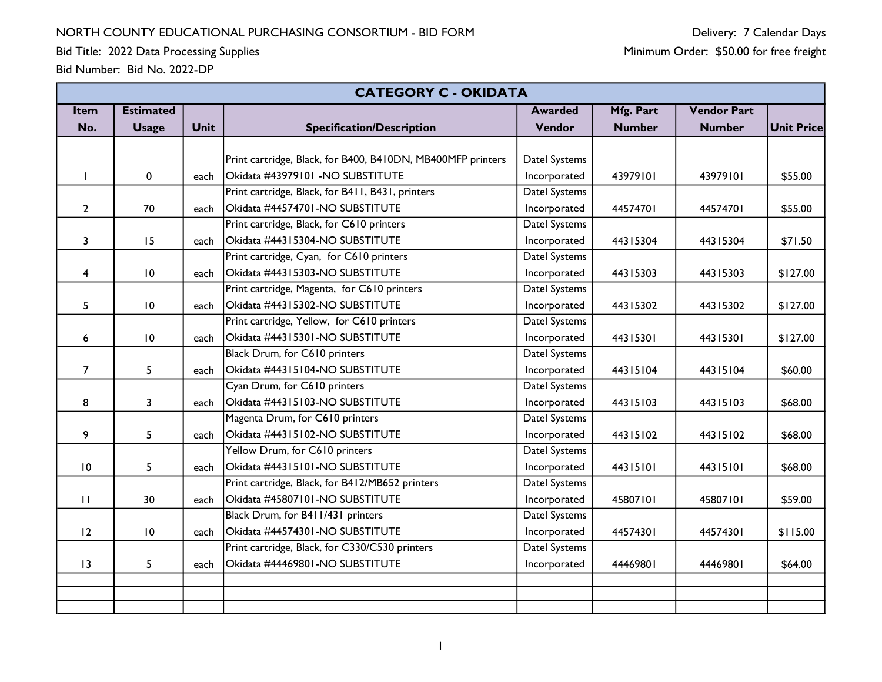Bid Title: 2022 Data Processing Supplies

|                | <b>CATEGORY C - OKIDATA</b> |             |                                                             |                      |               |                    |                   |  |  |
|----------------|-----------------------------|-------------|-------------------------------------------------------------|----------------------|---------------|--------------------|-------------------|--|--|
| Item           | <b>Estimated</b>            |             |                                                             | <b>Awarded</b>       | Mfg. Part     | <b>Vendor Part</b> |                   |  |  |
| No.            | <b>Usage</b>                | <b>Unit</b> | <b>Specification/Description</b>                            | Vendor               | <b>Number</b> | <b>Number</b>      | <b>Unit Price</b> |  |  |
|                |                             |             |                                                             |                      |               |                    |                   |  |  |
|                |                             |             | Print cartridge, Black, for B400, B410DN, MB400MFP printers | Datel Systems        |               |                    |                   |  |  |
|                | $\mathbf 0$                 | each        | Okidata #43979101 -NO SUBSTITUTE                            | Incorporated         | 43979101      | 43979101           | \$55.00           |  |  |
|                |                             |             | Print cartridge, Black, for B411, B431, printers            | <b>Datel Systems</b> |               |                    |                   |  |  |
| $\overline{2}$ | 70                          | each        | Okidata #44574701-NO SUBSTITUTE                             | Incorporated         | 44574701      | 44574701           | \$55.00           |  |  |
|                |                             |             | Print cartridge, Black, for C610 printers                   | Datel Systems        |               |                    |                   |  |  |
| 3              | 15                          | each        | Okidata #44315304-NO SUBSTITUTE                             | Incorporated         | 44315304      | 44315304           | \$71.50           |  |  |
|                |                             |             | Print cartridge, Cyan, for C610 printers                    | Datel Systems        |               |                    |                   |  |  |
| 4              | 10                          | each        | Okidata #44315303-NO SUBSTITUTE                             | Incorporated         | 44315303      | 44315303           | \$127.00          |  |  |
|                |                             |             | Print cartridge, Magenta, for C610 printers                 | Datel Systems        |               |                    |                   |  |  |
| 5              | $\overline{10}$             | each        | Okidata #44315302-NO SUBSTITUTE                             | Incorporated         | 44315302      | 44315302           | \$127.00          |  |  |
|                |                             |             | Print cartridge, Yellow, for C610 printers                  | Datel Systems        |               |                    |                   |  |  |
| 6              | $\overline{10}$             | each        | Okidata #44315301-NO SUBSTITUTE                             | Incorporated         | 44315301      | 44315301           | \$127.00          |  |  |
|                |                             |             | Black Drum, for C610 printers                               | Datel Systems        |               |                    |                   |  |  |
| $\overline{7}$ | 5                           | each        | Okidata #44315104-NO SUBSTITUTE                             | Incorporated         | 44315104      | 44315104           | \$60.00           |  |  |
|                |                             |             | Cyan Drum, for C610 printers                                | <b>Datel Systems</b> |               |                    |                   |  |  |
| 8              | 3                           | each        | Okidata #44315103-NO SUBSTITUTE                             | Incorporated         | 44315103      | 44315103           | \$68.00           |  |  |
|                |                             |             | Magenta Drum, for C610 printers                             | Datel Systems        |               |                    |                   |  |  |
| 9              | 5                           | each        | Okidata #44315102-NO SUBSTITUTE                             | Incorporated         | 44315102      | 44315102           | \$68.00           |  |  |
|                |                             |             | Yellow Drum, for C610 printers                              | Datel Systems        |               |                    |                   |  |  |
| 10             | 5                           | each        | Okidata #44315101-NO SUBSTITUTE                             | Incorporated         | 44315101      | 44315101           | \$68.00           |  |  |
|                |                             |             | Print cartridge, Black, for B412/MB652 printers             | Datel Systems        |               |                    |                   |  |  |
| $\mathbf{H}$   | 30                          | each        | Okidata #45807101-NO SUBSTITUTE                             | Incorporated         | 45807101      | 45807101           | \$59.00           |  |  |
|                |                             |             | Black Drum, for B411/431 printers                           | Datel Systems        |               |                    |                   |  |  |
| 12             | $\overline{10}$             | each        | Okidata #44574301-NO SUBSTITUTE                             | Incorporated         | 44574301      | 44574301           | \$115.00          |  |  |
|                |                             |             | Print cartridge, Black, for C330/C530 printers              | Datel Systems        |               |                    |                   |  |  |
| 13             | 5                           | each        | Okidata #44469801-NO SUBSTITUTE                             | Incorporated         | 44469801      | 44469801           | \$64.00           |  |  |
|                |                             |             |                                                             |                      |               |                    |                   |  |  |
|                |                             |             |                                                             |                      |               |                    |                   |  |  |
|                |                             |             |                                                             |                      |               |                    |                   |  |  |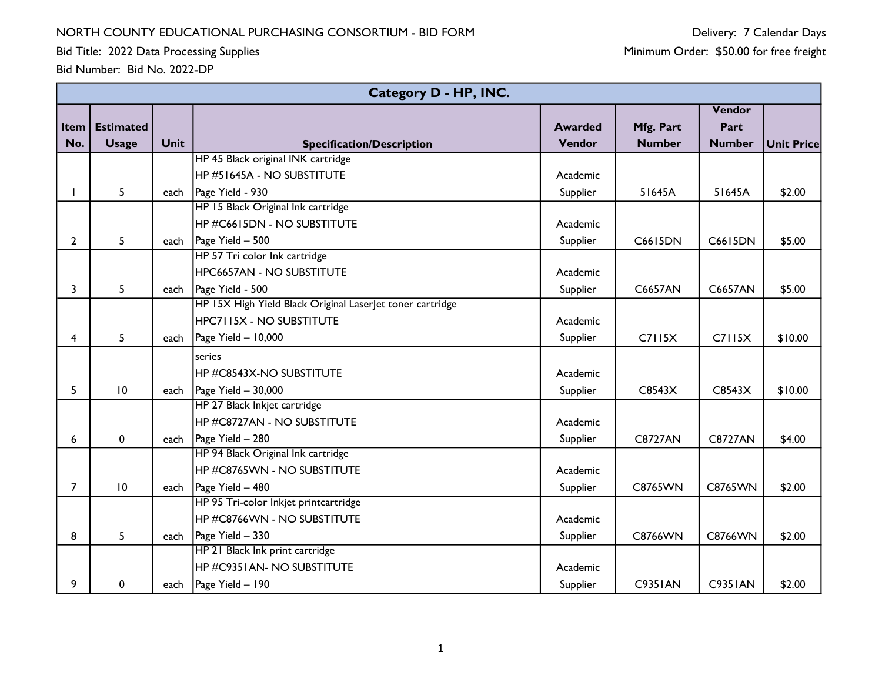Bid Title: 2022 Data Processing Supplies

|                | <b>Category D - HP, INC.</b> |             |                                                           |                |                |                |                   |  |  |  |
|----------------|------------------------------|-------------|-----------------------------------------------------------|----------------|----------------|----------------|-------------------|--|--|--|
|                |                              |             |                                                           |                |                | Vendor         |                   |  |  |  |
| Item           | <b>Estimated</b>             |             |                                                           | <b>Awarded</b> | Mfg. Part      | Part           |                   |  |  |  |
| No.            | <b>Usage</b>                 | <b>Unit</b> | <b>Specification/Description</b>                          | Vendor         | <b>Number</b>  | <b>Number</b>  | <b>Unit Price</b> |  |  |  |
|                |                              |             | HP 45 Black original INK cartridge                        |                |                |                |                   |  |  |  |
|                |                              |             | HP #51645A - NO SUBSTITUTE                                | Academic       |                |                |                   |  |  |  |
|                | 5                            | each        | Page Yield - 930                                          | Supplier       | 51645A         | 51645A         | \$2.00            |  |  |  |
|                |                              |             | HP 15 Black Original Ink cartridge                        |                |                |                |                   |  |  |  |
|                |                              |             | <b>HP #C6615DN - NO SUBSTITUTE</b>                        | Academic       |                |                |                   |  |  |  |
| $\mathbf{2}$   | 5                            |             | each $\vert$ Page Yield - 500                             | Supplier       | C6615DN        | C6615DN        | \$5.00            |  |  |  |
|                |                              |             | HP 57 Tri color Ink cartridge                             |                |                |                |                   |  |  |  |
|                |                              |             | <b>HPC6657AN - NO SUBSTITUTE</b>                          | Academic       |                |                |                   |  |  |  |
| 3              | 5                            |             | each   Page Yield - 500                                   | Supplier       | C6657AN        | C6657AN        | \$5.00            |  |  |  |
|                |                              |             | HP 15X High Yield Black Original Laserlet toner cartridge |                |                |                |                   |  |  |  |
|                |                              |             | <b>HPC7115X - NO SUBSTITUTE</b>                           | Academic       |                |                |                   |  |  |  |
| 4              | 5                            | each        | Page Yield - 10,000                                       | Supplier       | C7115X         | C7115X         | \$10.00           |  |  |  |
|                |                              |             | series                                                    |                |                |                |                   |  |  |  |
|                |                              |             | HP#C8543X-NO SUBSTITUTE                                   | Academic       |                |                |                   |  |  |  |
| 5              | 10                           |             | each $\vert$ Page Yield - 30,000                          | Supplier       | C8543X         | C8543X         | \$10.00           |  |  |  |
|                |                              |             | HP 27 Black Inkjet cartridge                              |                |                |                |                   |  |  |  |
|                |                              |             | HP#C8727AN - NO SUBSTITUTE                                | Academic       |                |                |                   |  |  |  |
| 6              | $\mathbf 0$                  |             | each   Page Yield - 280                                   | Supplier       | <b>C8727AN</b> | <b>C8727AN</b> | \$4.00            |  |  |  |
|                |                              |             | HP 94 Black Original Ink cartridge                        |                |                |                |                   |  |  |  |
|                |                              |             | HP #C8765WN - NO SUBSTITUTE                               | Academic       |                |                |                   |  |  |  |
| $\overline{7}$ | 10                           |             | each   Page Yield - 480                                   | Supplier       | <b>C8765WN</b> | C8765WN        | \$2.00            |  |  |  |
|                |                              |             | HP 95 Tri-color Inkjet printcartridge                     |                |                |                |                   |  |  |  |
|                |                              |             | HP #C8766WN - NO SUBSTITUTE                               | Academic       |                |                |                   |  |  |  |
| 8              | 5                            | each        | Page Yield - 330                                          | Supplier       | C8766WN        | C8766WN        | \$2.00            |  |  |  |
|                |                              |             | HP 21 Black Ink print cartridge                           |                |                |                |                   |  |  |  |
|                |                              |             | <b>HP #C9351AN- NO SUBSTITUTE</b>                         | Academic       |                |                |                   |  |  |  |
| 9              | $\mathbf 0$                  | each        | Page Yield - 190                                          | Supplier       | <b>C9351AN</b> | <b>C9351AN</b> | \$2.00            |  |  |  |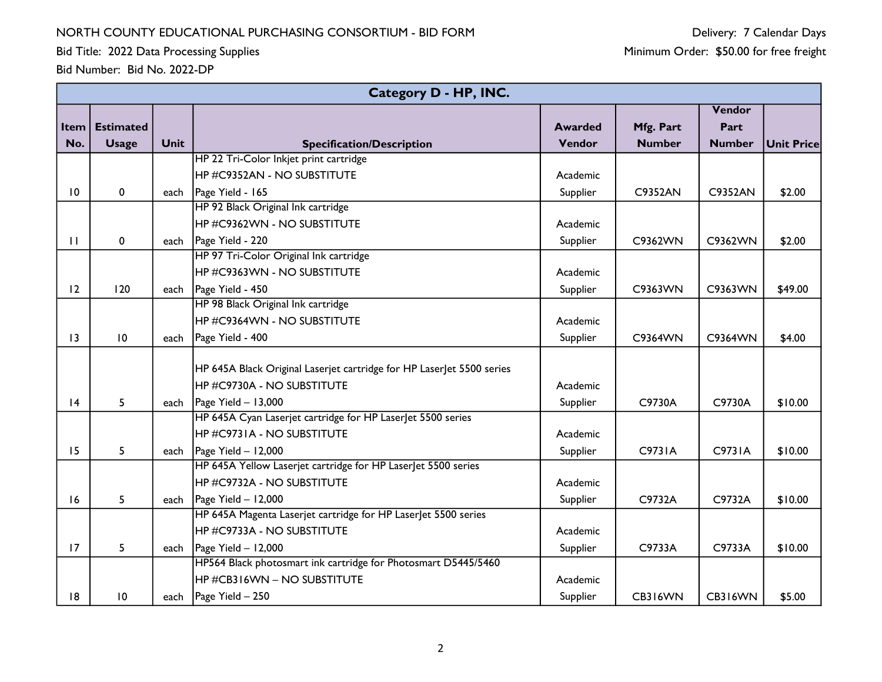Bid Title: 2022 Data Processing Supplies

|                 | Category D - HP, INC. |             |                                                                       |                |               |               |                   |  |  |  |
|-----------------|-----------------------|-------------|-----------------------------------------------------------------------|----------------|---------------|---------------|-------------------|--|--|--|
|                 |                       |             |                                                                       |                |               | Vendor        |                   |  |  |  |
| Item            | <b>Estimated</b>      |             |                                                                       | <b>Awarded</b> | Mfg. Part     | Part          |                   |  |  |  |
| No.             | <b>Usage</b>          | <b>Unit</b> | <b>Specification/Description</b>                                      | Vendor         | <b>Number</b> | <b>Number</b> | <b>Unit Price</b> |  |  |  |
|                 |                       |             | HP 22 Tri-Color Inkjet print cartridge                                |                |               |               |                   |  |  |  |
|                 |                       |             | HP #C9352AN - NO SUBSTITUTE                                           | Academic       |               |               |                   |  |  |  |
| $\overline{10}$ | $\mathbf{0}$          | each        | Page Yield - 165                                                      | Supplier       | C9352AN       | C9352AN       | \$2.00            |  |  |  |
|                 |                       |             | HP 92 Black Original Ink cartridge                                    |                |               |               |                   |  |  |  |
|                 |                       |             | HP #C9362WN - NO SUBSTITUTE                                           | Academic       |               |               |                   |  |  |  |
| $\mathbf{H}$    | 0                     |             | each   Page Yield - 220                                               | Supplier       | C9362WN       | C9362WN       | \$2.00            |  |  |  |
|                 |                       |             | HP 97 Tri-Color Original Ink cartridge                                |                |               |               |                   |  |  |  |
|                 |                       |             | HP #C9363WN - NO SUBSTITUTE                                           | Academic       |               |               |                   |  |  |  |
| 12              | 120                   |             | each   Page Yield - 450                                               | Supplier       | C9363WN       | C9363WN       | \$49.00           |  |  |  |
|                 |                       |             | HP 98 Black Original Ink cartridge                                    |                |               |               |                   |  |  |  |
|                 |                       |             | HP #C9364WN - NO SUBSTITUTE                                           | Academic       |               |               |                   |  |  |  |
| $\overline{13}$ | 10                    | each        | Page Yield - 400                                                      | Supplier       | C9364WN       | C9364WN       | \$4.00            |  |  |  |
|                 |                       |             |                                                                       |                |               |               |                   |  |  |  |
|                 |                       |             | HP 645A Black Original Laserjet cartridge for HP LaserJet 5500 series |                |               |               |                   |  |  |  |
|                 |                       |             | IHP #C9730A - NO SUBSTITUTE                                           | Academic       |               |               |                   |  |  |  |
| 4               | 5                     | each        | Page Yield $-13,000$                                                  | Supplier       | C9730A        | C9730A        | \$10.00           |  |  |  |
|                 |                       |             | HP 645A Cyan Laserjet cartridge for HP LaserJet 5500 series           |                |               |               |                   |  |  |  |
|                 |                       |             | HP #C9731A - NO SUBSTITUTE                                            | Academic       |               |               |                   |  |  |  |
| 15              | 5                     | each        | $Page$ Yield $-$ 12,000                                               | Supplier       | C9731A        | C9731A        | \$10.00           |  |  |  |
|                 |                       |             | HP 645A Yellow Laserjet cartridge for HP Laserlet 5500 series         |                |               |               |                   |  |  |  |
|                 |                       |             | HP #C9732A - NO SUBSTITUTE                                            | Academic       |               |               |                   |  |  |  |
| 16              | 5                     | each        | Page Yield $-12,000$                                                  | Supplier       | C9732A        | C9732A        | \$10.00           |  |  |  |
|                 |                       |             | HP 645A Magenta Laserjet cartridge for HP Laserlet 5500 series        |                |               |               |                   |  |  |  |
|                 |                       |             | HP #C9733A - NO SUBSTITUTE                                            | Academic       |               |               |                   |  |  |  |
| 17              | 5                     | each        | $\vert$ Page Yield - 12,000                                           | Supplier       | C9733A        | C9733A        | \$10.00           |  |  |  |
|                 |                       |             | HP564 Black photosmart ink cartridge for Photosmart D5445/5460        |                |               |               |                   |  |  |  |
|                 |                       |             | $H$ P #CB316WN – NO SUBSTITUTE                                        | Academic       |               |               |                   |  |  |  |
| 8               | 10                    | each        | Page Yield - 250                                                      | Supplier       | CB316WN       | CB316WN       | \$5.00            |  |  |  |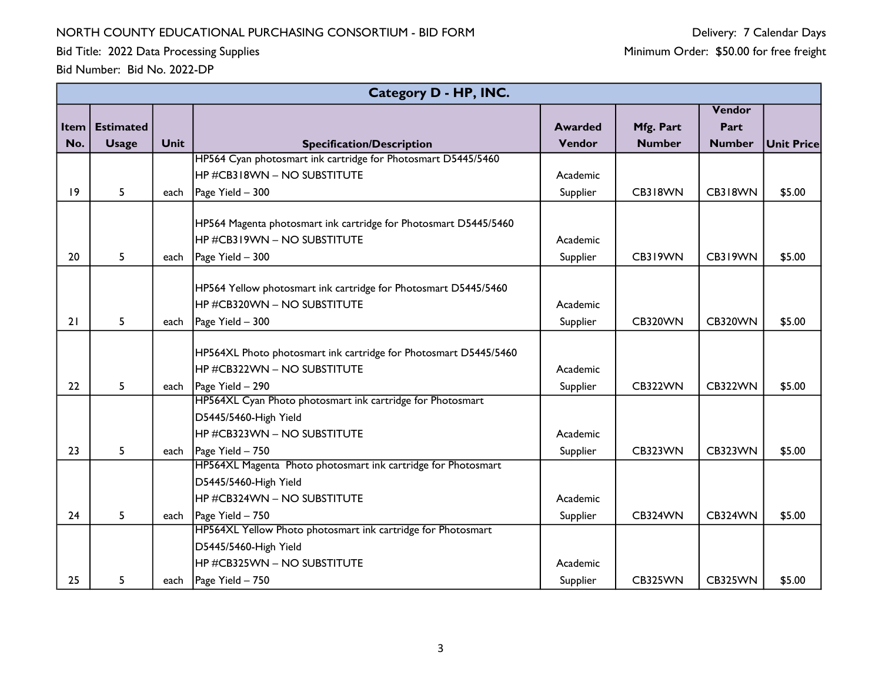Bid Title: 2022 Data Processing Supplies

|      | Category D - HP, INC. |             |                                                                  |                |               |                |                   |  |  |  |
|------|-----------------------|-------------|------------------------------------------------------------------|----------------|---------------|----------------|-------------------|--|--|--|
|      |                       |             |                                                                  |                |               | Vendor         |                   |  |  |  |
| Item | <b>Estimated</b>      |             |                                                                  | <b>Awarded</b> | Mfg. Part     | Part           |                   |  |  |  |
| No.  | <b>Usage</b>          | <b>Unit</b> | <b>Specification/Description</b>                                 | Vendor         | <b>Number</b> | <b>Number</b>  | <b>Unit Price</b> |  |  |  |
|      |                       |             | HP564 Cyan photosmart ink cartridge for Photosmart D5445/5460    |                |               |                |                   |  |  |  |
|      |                       |             | HP #CB318WN - NO SUBSTITUTE                                      | Academic       |               |                |                   |  |  |  |
| 9    | 5                     | each        | Page Yield - 300                                                 | Supplier       | CB318WN       | CB318WN        | \$5.00            |  |  |  |
|      |                       |             | HP564 Magenta photosmart ink cartridge for Photosmart D5445/5460 |                |               |                |                   |  |  |  |
|      |                       |             | HP#CB319WN - NO SUBSTITUTE                                       | Academic       |               |                |                   |  |  |  |
| 20   | 5                     | each        | Page Yield - 300                                                 | Supplier       | CB319WN       | CB319WN        | \$5.00            |  |  |  |
|      |                       |             |                                                                  |                |               |                |                   |  |  |  |
|      |                       |             | HP564 Yellow photosmart ink cartridge for Photosmart D5445/5460  |                |               |                |                   |  |  |  |
|      |                       |             | HP #CB320WN - NO SUBSTITUTE                                      | Academic       |               |                |                   |  |  |  |
| 21   | 5                     | each        | Page Yield - 300                                                 | Supplier       | CB320WN       | CB320WN        | \$5.00            |  |  |  |
|      |                       |             |                                                                  |                |               |                |                   |  |  |  |
|      |                       |             | HP564XL Photo photosmart ink cartridge for Photosmart D5445/5460 |                |               |                |                   |  |  |  |
|      |                       |             | HP #CB322WN - NO SUBSTITUTE                                      | Academic       |               |                |                   |  |  |  |
| 22   | 5                     | each        | Page Yield - 290                                                 | Supplier       | CB322WN       | <b>CB322WN</b> | \$5.00            |  |  |  |
|      |                       |             | HP564XL Cyan Photo photosmart ink cartridge for Photosmart       |                |               |                |                   |  |  |  |
|      |                       |             | D5445/5460-High Yield                                            |                |               |                |                   |  |  |  |
|      |                       |             | HP #CB323WN - NO SUBSTITUTE                                      | Academic       |               |                |                   |  |  |  |
| 23   | 5                     | each        | Page Yield - 750                                                 | Supplier       | CB323WN       | CB323WN        | \$5.00            |  |  |  |
|      |                       |             | HP564XL Magenta Photo photosmart ink cartridge for Photosmart    |                |               |                |                   |  |  |  |
|      |                       |             | D5445/5460-High Yield                                            |                |               |                |                   |  |  |  |
|      |                       |             | HP #CB324WN - NO SUBSTITUTE                                      | Academic       |               |                |                   |  |  |  |
| 24   | 5                     | each        | Page Yield - 750                                                 | Supplier       | CB324WN       | CB324WN        | \$5.00            |  |  |  |
|      |                       |             | HP564XL Yellow Photo photosmart ink cartridge for Photosmart     |                |               |                |                   |  |  |  |
|      |                       |             | D5445/5460-High Yield                                            |                |               |                |                   |  |  |  |
|      |                       |             | HP #CB325WN - NO SUBSTITUTE                                      | Academic       |               |                |                   |  |  |  |
| 25   | 5                     | each        | Page Yield - 750                                                 | Supplier       | CB325WN       | CB325WN        | \$5.00            |  |  |  |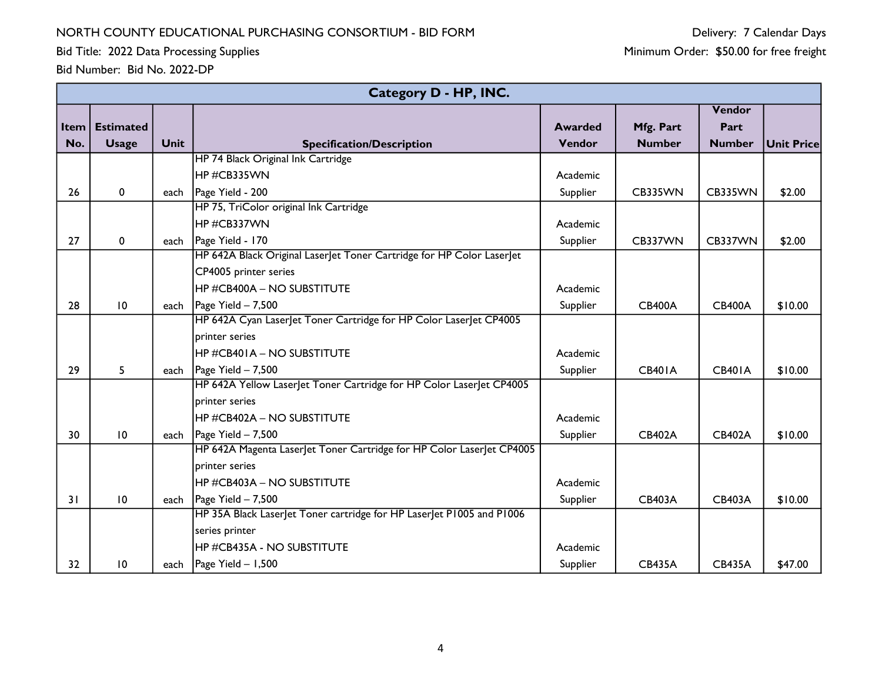Bid Title: 2022 Data Processing Supplies

|          |                  |             | <b>Category D - HP, INC.</b>                                            |                |               |               |                   |
|----------|------------------|-------------|-------------------------------------------------------------------------|----------------|---------------|---------------|-------------------|
|          |                  |             |                                                                         |                |               | Vendor        |                   |
| Item $ $ | <b>Estimated</b> |             |                                                                         | <b>Awarded</b> | Mfg. Part     | Part          |                   |
| No.      | <b>Usage</b>     | <b>Unit</b> | <b>Specification/Description</b>                                        | Vendor         | <b>Number</b> | <b>Number</b> | <b>Unit Price</b> |
|          |                  |             | HP 74 Black Original Ink Cartridge                                      |                |               |               |                   |
|          |                  |             | HP#CB335WN                                                              | Academic       |               |               |                   |
| 26       | $\mathbf{0}$     | each        | Page Yield - 200                                                        | Supplier       | CB335WN       | CB335WN       | \$2.00            |
|          |                  |             | HP 75, TriColor original Ink Cartridge                                  |                |               |               |                   |
|          |                  |             | HP#CB337WN                                                              | Academic       |               |               |                   |
| 27       | 0                | each        | Page Yield - 170                                                        | Supplier       | CB337WN       | CB337WN       | \$2.00            |
|          |                  |             | HP 642A Black Original Laser let Toner Cartridge for HP Color Laser let |                |               |               |                   |
|          |                  |             | CP4005 printer series                                                   |                |               |               |                   |
|          |                  |             | HP #CB400A - NO SUBSTITUTE                                              | Academic       |               |               |                   |
| 28       | 10               | each        | Page Yield - 7,500                                                      | Supplier       | <b>CB400A</b> | <b>CB400A</b> | \$10.00           |
|          |                  |             | HP 642A Cyan Laser et Toner Cartridge for HP Color Laser et CP4005      |                |               |               |                   |
|          |                  |             | printer series                                                          |                |               |               |                   |
|          |                  |             | HP #CB401A – NO SUBSTITUTE                                              | Academic       |               |               |                   |
| 29       | 5                | each        | Page Yield - 7,500                                                      | Supplier       | <b>CB401A</b> | <b>CB401A</b> | \$10.00           |
|          |                  |             | HP 642A Yellow LaserJet Toner Cartridge for HP Color LaserJet CP4005    |                |               |               |                   |
|          |                  |             | printer series                                                          |                |               |               |                   |
|          |                  |             | HP #CB402A – NO SUBSTITUTE                                              | Academic       |               |               |                   |
| 30       | $\overline{10}$  | each        | $\vert$ Page Yield - 7,500                                              | Supplier       | <b>CB402A</b> | <b>CB402A</b> | \$10.00           |
|          |                  |             | HP 642A Magenta Laser et Toner Cartridge for HP Color Laser et CP4005   |                |               |               |                   |
|          |                  |             | printer series                                                          |                |               |               |                   |
|          |                  |             | HP #CB403A – NO SUBSTITUTE                                              | Academic       |               |               |                   |
| 31       | $\overline{10}$  | each        | Page Yield - 7,500                                                      | Supplier       | <b>CB403A</b> | <b>CB403A</b> | \$10.00           |
|          |                  |             | HP 35A Black Laserlet Toner cartridge for HP Laserlet P1005 and P1006   |                |               |               |                   |
|          |                  |             | series printer                                                          |                |               |               |                   |
|          |                  |             | HP #CB435A - NO SUBSTITUTE                                              | Academic       |               |               |                   |
| 32       | 10               | each        | Page Yield - 1,500                                                      | Supplier       | <b>CB435A</b> | <b>CB435A</b> | \$47.00           |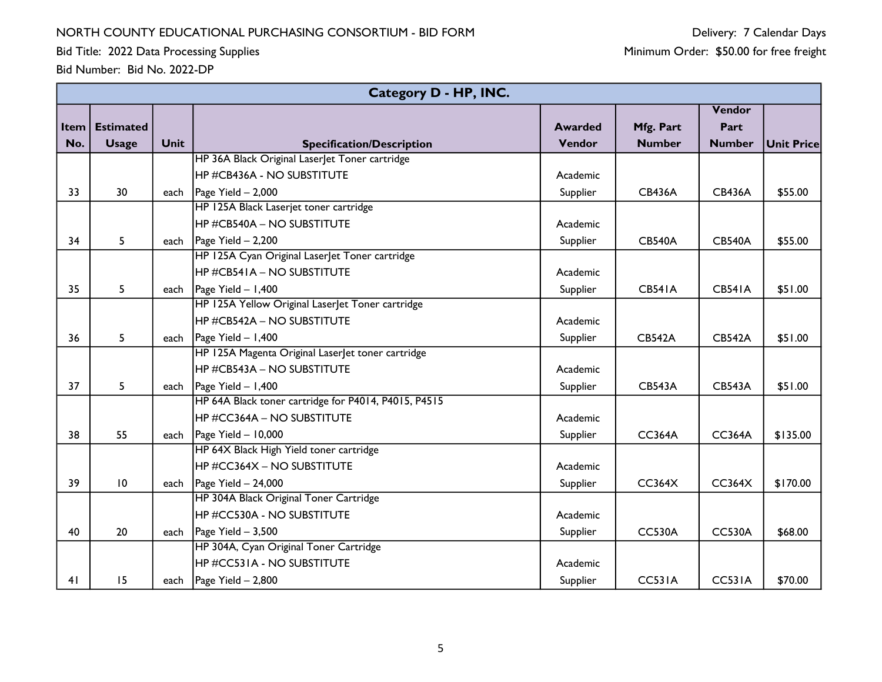Bid Title: 2022 Data Processing Supplies

|      | Category D - HP, INC. |             |                                                      |                |               |               |                   |  |  |  |
|------|-----------------------|-------------|------------------------------------------------------|----------------|---------------|---------------|-------------------|--|--|--|
|      |                       |             |                                                      |                |               | Vendor        |                   |  |  |  |
| Item | <b>Estimated</b>      |             |                                                      | <b>Awarded</b> | Mfg. Part     | Part          |                   |  |  |  |
| No.  | <b>Usage</b>          | <b>Unit</b> | <b>Specification/Description</b>                     | Vendor         | <b>Number</b> | <b>Number</b> | <b>Unit Price</b> |  |  |  |
|      |                       |             | HP 36A Black Original LaserJet Toner cartridge       |                |               |               |                   |  |  |  |
|      |                       |             | <b>HP #CB436A - NO SUBSTITUTE</b>                    | Academic       |               |               |                   |  |  |  |
| 33   | 30                    |             | each $\vert$ Page Yield - 2,000                      | Supplier       | <b>CB436A</b> | <b>CB436A</b> | \$55.00           |  |  |  |
|      |                       |             | HP 125A Black Laserjet toner cartridge               |                |               |               |                   |  |  |  |
|      |                       |             | <b>HP #CB540A – NO SUBSTITUTE</b>                    | Academic       |               |               |                   |  |  |  |
| 34   | 5                     |             | each $\vert$ Page Yield - 2,200                      | Supplier       | <b>CB540A</b> | <b>CB540A</b> | \$55.00           |  |  |  |
|      |                       |             | HP 125A Cyan Original Laser et Toner cartridge       |                |               |               |                   |  |  |  |
|      |                       |             | <b>HP #CB541A – NO SUBSTITUTE</b>                    | Academic       |               |               |                   |  |  |  |
| 35   | 5                     |             | each   Page Yield $- 1,400$                          | Supplier       | <b>CB541A</b> | <b>CB541A</b> | \$51.00           |  |  |  |
|      |                       |             | HP 125A Yellow Original Laserlet Toner cartridge     |                |               |               |                   |  |  |  |
|      |                       |             | HP #CB542A – NO SUBSTITUTE                           | Academic       |               |               |                   |  |  |  |
| 36   | 5                     |             | each   Page Yield $- 1,400$                          | Supplier       | <b>CB542A</b> | <b>CB542A</b> | \$51.00           |  |  |  |
|      |                       |             | HP 125A Magenta Original Laserlet toner cartridge    |                |               |               |                   |  |  |  |
|      |                       |             | HP #CB543A – NO SUBSTITUTE                           | Academic       |               |               |                   |  |  |  |
| 37   | 5                     |             | each $\vert$ Page Yield - 1,400                      | Supplier       | <b>CB543A</b> | <b>CB543A</b> | \$51.00           |  |  |  |
|      |                       |             | HP 64A Black toner cartridge for P4014, P4015, P4515 |                |               |               |                   |  |  |  |
|      |                       |             | HP#CC364A - NO SUBSTITUTE                            | Academic       |               |               |                   |  |  |  |
| 38   | 55                    |             | each $\vert$ Page Yield - 10,000                     | Supplier       | <b>CC364A</b> | <b>CC364A</b> | \$135.00          |  |  |  |
|      |                       |             | HP 64X Black High Yield toner cartridge              |                |               |               |                   |  |  |  |
|      |                       |             | HP #CC364X – NO SUBSTITUTE                           | Academic       |               |               |                   |  |  |  |
| 39   | 10                    |             | each $\vert$ Page Yield - 24,000                     | Supplier       | CC364X        | CC364X        | \$170.00          |  |  |  |
|      |                       |             | HP 304A Black Original Toner Cartridge               |                |               |               |                   |  |  |  |
|      |                       |             | <b>HP #CC530A - NO SUBSTITUTE</b>                    | Academic       |               |               |                   |  |  |  |
| 40   | 20                    |             | each $\vert$ Page Yield - 3,500                      | Supplier       | <b>CC530A</b> | <b>CC530A</b> | \$68.00           |  |  |  |
|      |                       |             | HP 304A, Cyan Original Toner Cartridge               |                |               |               |                   |  |  |  |
|      |                       |             | HP #CC531A - NO SUBSTITUTE                           | Academic       |               |               |                   |  |  |  |
| 41   | 15                    |             | each $\vert$ Page Yield - 2,800                      | Supplier       | <b>CC531A</b> | <b>CC531A</b> | \$70.00           |  |  |  |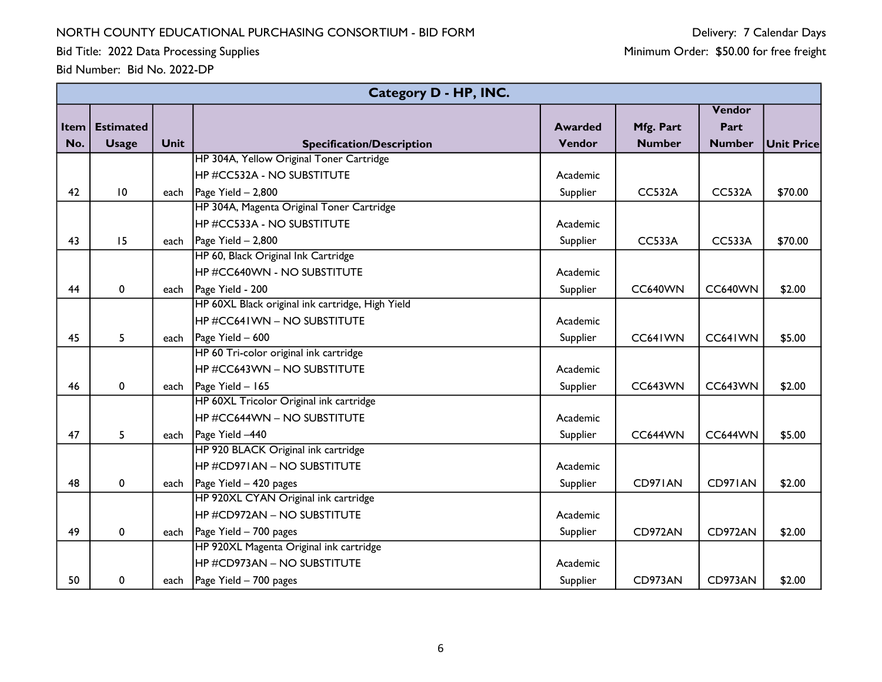Bid Title: 2022 Data Processing Supplies

|          | Category D - HP, INC. |      |                                                  |                |                |               |                   |  |  |  |
|----------|-----------------------|------|--------------------------------------------------|----------------|----------------|---------------|-------------------|--|--|--|
|          |                       |      |                                                  |                |                | Vendor        |                   |  |  |  |
| Item $ $ | <b>Estimated</b>      |      |                                                  | <b>Awarded</b> | Mfg. Part      | Part          |                   |  |  |  |
| No.      | <b>Usage</b>          | Unit | <b>Specification/Description</b>                 | Vendor         | <b>Number</b>  | <b>Number</b> | <b>Unit Price</b> |  |  |  |
|          |                       |      | HP 304A, Yellow Original Toner Cartridge         |                |                |               |                   |  |  |  |
|          |                       |      | <b>HP #CC532A - NO SUBSTITUTE</b>                | Academic       |                |               |                   |  |  |  |
| 42       | 10                    | each | Page Yield $-2,800$                              | Supplier       | <b>CC532A</b>  | <b>CC532A</b> | \$70.00           |  |  |  |
|          |                       |      | HP 304A, Magenta Original Toner Cartridge        |                |                |               |                   |  |  |  |
|          |                       |      | HP #CC533A - NO SUBSTITUTE                       | Academic       |                |               |                   |  |  |  |
| 43       | 15                    |      | each $\vert$ Page Yield - 2,800                  | Supplier       | <b>CC533A</b>  | <b>CC533A</b> | \$70.00           |  |  |  |
|          |                       |      | HP 60, Black Original Ink Cartridge              |                |                |               |                   |  |  |  |
|          |                       |      | HP #CC640WN - NO SUBSTITUTE                      | Academic       |                |               |                   |  |  |  |
| 44       | 0                     |      | each   Page Yield - 200                          | Supplier       | <b>CC640WN</b> | CC640WN       | \$2.00            |  |  |  |
|          |                       |      | HP 60XL Black original ink cartridge, High Yield |                |                |               |                   |  |  |  |
|          |                       |      | <b>HP #CC641WN - NO SUBSTITUTE</b>               | Academic       |                |               |                   |  |  |  |
| 45       | 5                     | each | Page Yield - 600                                 | Supplier       | CC641WN        | CC641WN       | \$5.00            |  |  |  |
|          |                       |      | HP 60 Tri-color original ink cartridge           |                |                |               |                   |  |  |  |
|          |                       |      | HP #CC643WN – NO SUBSTITUTE                      | Academic       |                |               |                   |  |  |  |
| 46       | $\pmb{0}$             | each | Page Yield - 165                                 | Supplier       | <b>CC643WN</b> | CC643WN       | \$2.00            |  |  |  |
|          |                       |      | HP 60XL Tricolor Original ink cartridge          |                |                |               |                   |  |  |  |
|          |                       |      | HP#CC644WN - NO SUBSTITUTE                       | Academic       |                |               |                   |  |  |  |
| 47       | 5                     |      | each   Page Yield -440                           | Supplier       | CC644WN        | CC644WN       | \$5.00            |  |  |  |
|          |                       |      | HP 920 BLACK Original ink cartridge              |                |                |               |                   |  |  |  |
|          |                       |      | HP #CD971AN – NO SUBSTITUTE                      | Academic       |                |               |                   |  |  |  |
| 48       | $\pmb{0}$             |      | each $\vert$ Page Yield – 420 pages              | Supplier       | CD971AN        | CD971AN       | \$2.00            |  |  |  |
|          |                       |      | HP 920XL CYAN Original ink cartridge             |                |                |               |                   |  |  |  |
|          |                       |      | HP #CD972AN – NO SUBSTITUTE                      | Academic       |                |               |                   |  |  |  |
| 49       | $\mathbf{0}$          |      | each $\log 2$ Yield – 700 pages                  | Supplier       | CD972AN        | CD972AN       | \$2.00            |  |  |  |
|          |                       |      | HP 920XL Magenta Original ink cartridge          |                |                |               |                   |  |  |  |
|          |                       |      | HP #CD973AN - NO SUBSTITUTE                      | Academic       |                |               |                   |  |  |  |
| 50       | 0                     | each | Page Yield $-700$ pages                          | Supplier       | CD973AN        | CD973AN       | \$2.00            |  |  |  |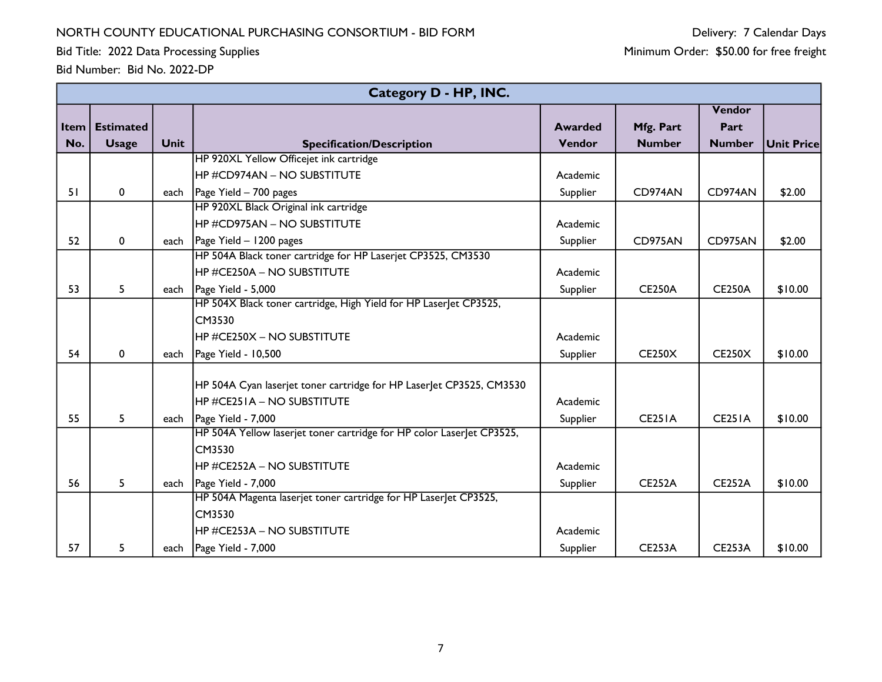Bid Title: 2022 Data Processing Supplies

|     |                  |             | <b>Category D - HP, INC.</b>                                          |                |               |               |                   |
|-----|------------------|-------------|-----------------------------------------------------------------------|----------------|---------------|---------------|-------------------|
|     |                  |             |                                                                       |                |               | Vendor        |                   |
|     | Item   Estimated |             |                                                                       | <b>Awarded</b> | Mfg. Part     | Part          |                   |
| No. | <b>Usage</b>     | <b>Unit</b> | <b>Specification/Description</b>                                      | Vendor         | <b>Number</b> | <b>Number</b> | <b>Unit Price</b> |
|     |                  |             | HP 920XL Yellow Officejet ink cartridge                               |                |               |               |                   |
|     |                  |             | HP#CD974AN - NO SUBSTITUTE                                            | Academic       |               |               |                   |
| 51  | $\mathbf 0$      |             | each $\vert$ Page Yield – 700 pages                                   | Supplier       | CD974AN       | CD974AN       | \$2.00            |
|     |                  |             | HP 920XL Black Original ink cartridge                                 |                |               |               |                   |
|     |                  |             | HP #CD975AN - NO SUBSTITUTE                                           | Academic       |               |               |                   |
| 52  | $\mathbf{0}$     | each        | Page Yield - 1200 pages                                               | Supplier       | CD975AN       | CD975AN       | \$2.00            |
|     |                  |             | HP 504A Black toner cartridge for HP Laserjet CP3525, CM3530          |                |               |               |                   |
|     |                  |             | HP#CE250A - NO SUBSTITUTE                                             | Academic       |               |               |                   |
| 53  | 5                | each        | Page Yield - 5,000                                                    | Supplier       | <b>CE250A</b> | <b>CE250A</b> | \$10.00           |
|     |                  |             | HP 504X Black toner cartridge, High Yield for HP Laser et CP3525,     |                |               |               |                   |
|     |                  |             | CM3530                                                                |                |               |               |                   |
|     |                  |             | HP #CE250X - NO SUBSTITUTE                                            | Academic       |               |               |                   |
| 54  | $\mathbf{0}$     | each        | Page Yield - 10,500                                                   | Supplier       | <b>CE250X</b> | <b>CE250X</b> | \$10.00           |
|     |                  |             |                                                                       |                |               |               |                   |
|     |                  |             | HP 504A Cyan laserjet toner cartridge for HP LaserJet CP3525, CM3530  |                |               |               |                   |
|     |                  |             | HP #CE251A - NO SUBSTITUTE                                            | Academic       |               |               |                   |
| 55  | 5                | each        | Page Yield - 7,000                                                    | Supplier       | <b>CE251A</b> | <b>CE251A</b> | \$10.00           |
|     |                  |             | HP 504A Yellow laserjet toner cartridge for HP color LaserJet CP3525, |                |               |               |                   |
|     |                  |             | CM3530                                                                |                |               |               |                   |
|     |                  |             | HP #CE252A - NO SUBSTITUTE                                            | Academic       |               |               |                   |
| 56  | 5                | each        | Page Yield - 7,000                                                    | Supplier       | <b>CE252A</b> | <b>CE252A</b> | \$10.00           |
|     |                  |             | HP 504A Magenta laserjet toner cartridge for HP LaserJet CP3525,      |                |               |               |                   |
|     |                  |             | CM3530                                                                |                |               |               |                   |
|     |                  |             | HP #CE253A - NO SUBSTITUTE                                            | Academic       |               |               |                   |
| 57  | 5                | each        | Page Yield - 7,000                                                    | Supplier       | <b>CE253A</b> | <b>CE253A</b> | \$10.00           |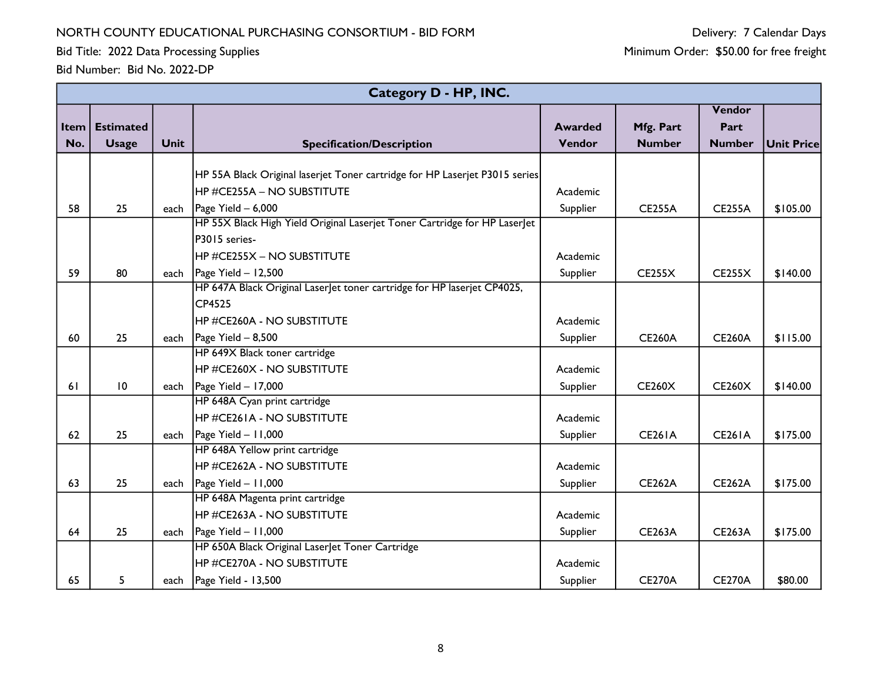Bid Title: 2022 Data Processing Supplies

|      |                  |             | Category D - HP, INC.                                                       |                |               |               |                   |
|------|------------------|-------------|-----------------------------------------------------------------------------|----------------|---------------|---------------|-------------------|
|      |                  |             |                                                                             |                |               | Vendor        |                   |
| Item | <b>Estimated</b> |             |                                                                             | <b>Awarded</b> | Mfg. Part     | Part          |                   |
| No.  | <b>Usage</b>     | <b>Unit</b> | <b>Specification/Description</b>                                            | Vendor         | <b>Number</b> | <b>Number</b> | <b>Unit Price</b> |
|      |                  |             |                                                                             |                |               |               |                   |
|      |                  |             | HP 55A Black Original laserjet Toner cartridge for HP Laserjet P3015 series |                |               |               |                   |
|      |                  |             | HP #CE255A - NO SUBSTITUTE                                                  | Academic       |               |               |                   |
| 58   | 25               | each        | Page Yield - 6,000                                                          | Supplier       | <b>CE255A</b> | <b>CE255A</b> | \$105.00          |
|      |                  |             | HP 55X Black High Yield Original Laserjet Toner Cartridge for HP Laserlet   |                |               |               |                   |
|      |                  |             | P3015 series-                                                               |                |               |               |                   |
|      |                  |             | HP #CE255X - NO SUBSTITUTE                                                  | Academic       |               |               |                   |
| 59   | 80               | each        | $Page$ Yield $-$ 12,500                                                     | Supplier       | CE255X        | <b>CE255X</b> | \$140.00          |
|      |                  |             | HP 647A Black Original Laser et toner cartridge for HP laserjet CP4025,     |                |               |               |                   |
|      |                  |             | CP4525                                                                      |                |               |               |                   |
|      |                  |             | HP #CE260A - NO SUBSTITUTE                                                  | Academic       |               |               |                   |
| 60   | 25               | each        | Page Yield $- 8,500$                                                        | Supplier       | <b>CE260A</b> | <b>CE260A</b> | \$115.00          |
|      |                  |             | HP 649X Black toner cartridge                                               |                |               |               |                   |
|      |                  |             | HP #CE260X - NO SUBSTITUTE                                                  | Academic       |               |               |                   |
| 61   | 10               | each        | $\vert$ Page Yield - 17,000                                                 | Supplier       | <b>CE260X</b> | <b>CE260X</b> | \$140.00          |
|      |                  |             | HP 648A Cyan print cartridge                                                |                |               |               |                   |
|      |                  |             | HP #CE261A - NO SUBSTITUTE                                                  | Academic       |               |               |                   |
| 62   | 25               | each        | Page Yield - 11,000                                                         | Supplier       | <b>CE261A</b> | <b>CE261A</b> | \$175.00          |
|      |                  |             | HP 648A Yellow print cartridge                                              |                |               |               |                   |
|      |                  |             | <b>HP #CE262A - NO SUBSTITUTE</b>                                           | Academic       |               |               |                   |
| 63   | 25               | each        | Page Yield - 11,000                                                         | Supplier       | <b>CE262A</b> | <b>CE262A</b> | \$175.00          |
|      |                  |             | HP 648A Magenta print cartridge                                             |                |               |               |                   |
|      |                  |             | HP #CE263A - NO SUBSTITUTE                                                  | Academic       |               |               |                   |
| 64   | 25               | each        | Page Yield $-11,000$                                                        | Supplier       | <b>CE263A</b> | <b>CE263A</b> | \$175.00          |
|      |                  |             | HP 650A Black Original Laser et Toner Cartridge                             |                |               |               |                   |
|      |                  |             | HP #CE270A - NO SUBSTITUTE                                                  | Academic       |               |               |                   |
| 65   | 5                | each        | Page Yield - 13,500                                                         | Supplier       | <b>CE270A</b> | <b>CE270A</b> | \$80.00           |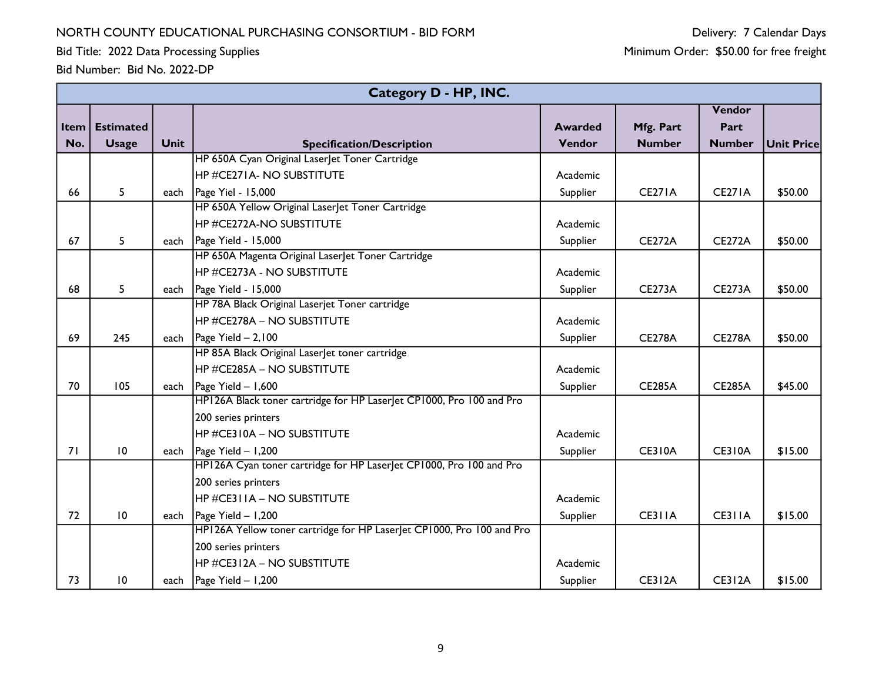Bid Title: 2022 Data Processing Supplies

|      |                  |             | Category D - HP, INC.                                                 |                |               |               |                   |
|------|------------------|-------------|-----------------------------------------------------------------------|----------------|---------------|---------------|-------------------|
|      |                  |             |                                                                       |                |               | Vendor        |                   |
| Item | <b>Estimated</b> |             |                                                                       | <b>Awarded</b> | Mfg. Part     | Part          |                   |
| No.  | <b>Usage</b>     | <b>Unit</b> | <b>Specification/Description</b>                                      | Vendor         | <b>Number</b> | <b>Number</b> | <b>Unit Price</b> |
|      |                  |             | HP 650A Cyan Original Laser et Toner Cartridge                        |                |               |               |                   |
|      |                  |             | <b>HP #CE271A- NO SUBSTITUTE</b>                                      | Academic       |               |               |                   |
| 66   | 5                |             | each   Page Yiel - 15,000                                             | Supplier       | <b>CE271A</b> | <b>CE271A</b> | \$50.00           |
|      |                  |             | HP 650A Yellow Original Laser et Toner Cartridge                      |                |               |               |                   |
|      |                  |             | <b>HP #CE272A-NO SUBSTITUTE</b>                                       | Academic       |               |               |                   |
| 67   | 5                |             | each $\vert$ Page Yield - 15,000                                      | Supplier       | <b>CE272A</b> | <b>CE272A</b> | \$50.00           |
|      |                  |             | HP 650A Magenta Original LaserJet Toner Cartridge                     |                |               |               |                   |
|      |                  |             | <b>HP #CE273A - NO SUBSTITUTE</b>                                     | Academic       |               |               |                   |
| 68   | 5                |             | each $\vert$ Page Yield - 15,000                                      | Supplier       | <b>CE273A</b> | <b>CE273A</b> | \$50.00           |
|      |                  |             | HP 78A Black Original Laserjet Toner cartridge                        |                |               |               |                   |
|      |                  |             | HP #CE278A – NO SUBSTITUTE                                            | Academic       |               |               |                   |
| 69   | 245              | each        | Page Yield $-2,100$                                                   | Supplier       | <b>CE278A</b> | <b>CE278A</b> | \$50.00           |
|      |                  |             | HP 85A Black Original Laser et toner cartridge                        |                |               |               |                   |
|      |                  |             | HP #CE285A - NO SUBSTITUTE                                            | Academic       |               |               |                   |
| 70   | 105              |             | each   Page Yield $- 1,600$                                           | Supplier       | <b>CE285A</b> | <b>CE285A</b> | \$45.00           |
|      |                  |             | HP126A Black toner cartridge for HP Laserlet CP1000, Pro 100 and Pro  |                |               |               |                   |
|      |                  |             | 200 series printers                                                   |                |               |               |                   |
|      |                  |             | HP #CE310A - NO SUBSTITUTE                                            | Academic       |               |               |                   |
| 71   | 10               | each        | Page Yield - 1,200                                                    | Supplier       | <b>CE310A</b> | <b>CE310A</b> | \$15.00           |
|      |                  |             | HP126A Cyan toner cartridge for HP Laserlet CP1000, Pro 100 and Pro   |                |               |               |                   |
|      |                  |             | 200 series printers                                                   |                |               |               |                   |
|      |                  |             | HP #CE311A – NO SUBSTITUTE                                            | Academic       |               |               |                   |
| 72   | 10               |             | each   Page Yield $- 1,200$                                           | Supplier       | CE311A        | CE311A        | \$15.00           |
|      |                  |             | HP126A Yellow toner cartridge for HP Laserlet CP1000, Pro 100 and Pro |                |               |               |                   |
|      |                  |             | 200 series printers                                                   |                |               |               |                   |
|      |                  |             | HP #CE312A – NO SUBSTITUTE                                            | Academic       |               |               |                   |
| 73   | 10               |             | each   Page Yield $-1,200$                                            | Supplier       | <b>CE312A</b> | <b>CE312A</b> | \$15.00           |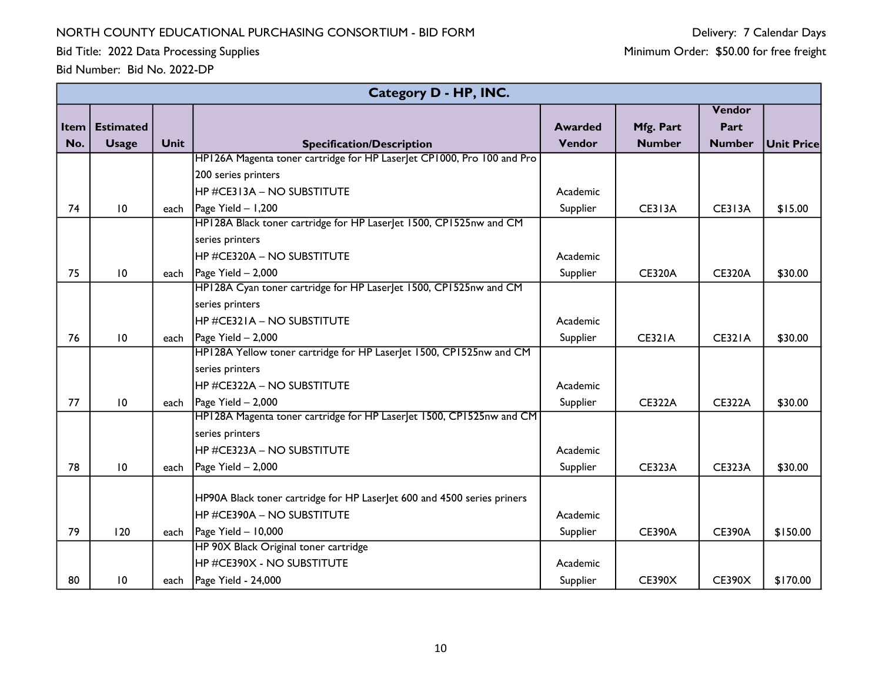Bid Title: 2022 Data Processing Supplies

|      |                  |             | Category D - HP, INC.                                                   |                |               |               |                   |
|------|------------------|-------------|-------------------------------------------------------------------------|----------------|---------------|---------------|-------------------|
|      |                  |             |                                                                         |                |               | Vendor        |                   |
| Item | <b>Estimated</b> |             |                                                                         | <b>Awarded</b> | Mfg. Part     | Part          |                   |
| No.  | <b>Usage</b>     | <b>Unit</b> | <b>Specification/Description</b>                                        | Vendor         | <b>Number</b> | <b>Number</b> | <b>Unit Price</b> |
|      |                  |             | HP126A Magenta toner cartridge for HP Laser et CP1000, Pro 100 and Pro  |                |               |               |                   |
|      |                  |             | 200 series printers                                                     |                |               |               |                   |
|      |                  |             | HP #CE313A - NO SUBSTITUTE                                              | Academic       |               |               |                   |
| 74   | 10               | each        | Page Yield - 1,200                                                      | Supplier       | <b>CE313A</b> | <b>CE313A</b> | \$15.00           |
|      |                  |             | HP128A Black toner cartridge for HP LaserJet 1500, CP1525nw and CM      |                |               |               |                   |
|      |                  |             | series printers                                                         |                |               |               |                   |
|      |                  |             | HP #CE320A - NO SUBSTITUTE                                              | Academic       |               |               |                   |
| 75   | $\overline{10}$  | each        | Page Yield - 2,000                                                      | Supplier       | <b>CE320A</b> | <b>CE320A</b> | \$30.00           |
|      |                  |             | HP128A Cyan toner cartridge for HP LaserJet 1500, CP1525nw and CM       |                |               |               |                   |
|      |                  |             | series printers                                                         |                |               |               |                   |
|      |                  |             | HP #CE321A - NO SUBSTITUTE                                              | Academic       |               |               |                   |
| 76   | 10               | each        | Page Yield - 2,000                                                      | Supplier       | <b>CE321A</b> | <b>CE321A</b> | \$30.00           |
|      |                  |             | HP128A Yellow toner cartridge for HP LaserJet 1500, CP1525nw and CM     |                |               |               |                   |
|      |                  |             | series printers                                                         |                |               |               |                   |
|      |                  |             | HP #CE322A - NO SUBSTITUTE                                              | Academic       |               |               |                   |
| 77   | 10               | each        | $\vert$ Page Yield - 2,000                                              | Supplier       | <b>CE322A</b> | <b>CE322A</b> | \$30.00           |
|      |                  |             | HP128A Magenta toner cartridge for HP LaserJet 1500, CP1525nw and CM    |                |               |               |                   |
|      |                  |             | series printers                                                         |                |               |               |                   |
|      |                  |             | HP #CE323A - NO SUBSTITUTE                                              | Academic       |               |               |                   |
| 78   | 10               | each        | Page Yield - 2,000                                                      | Supplier       | <b>CE323A</b> | <b>CE323A</b> | \$30.00           |
|      |                  |             |                                                                         |                |               |               |                   |
|      |                  |             | HP90A Black toner cartridge for HP LaserJet 600 and 4500 series priners |                |               |               |                   |
|      |                  |             | HP #CE390A - NO SUBSTITUTE                                              | Academic       |               |               |                   |
| 79   | 120              | each        | Page Yield - 10,000                                                     | Supplier       | <b>CE390A</b> | <b>CE390A</b> | \$150.00          |
|      |                  |             | HP 90X Black Original toner cartridge                                   |                |               |               |                   |
|      |                  |             | HP #CE390X - NO SUBSTITUTE                                              | Academic       |               |               |                   |
| 80   | 10               | each        | Page Yield - 24,000                                                     | Supplier       | <b>CE390X</b> | <b>CE390X</b> | \$170.00          |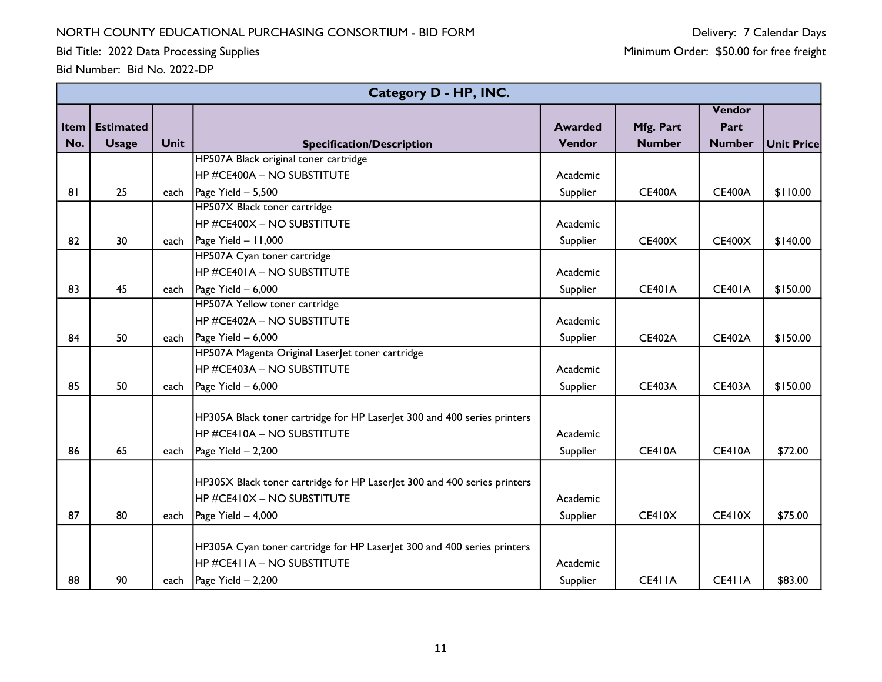Bid Title: 2022 Data Processing Supplies

|             | Category D - HP, INC. |             |                                                                          |                |               |               |            |  |  |  |  |
|-------------|-----------------------|-------------|--------------------------------------------------------------------------|----------------|---------------|---------------|------------|--|--|--|--|
|             |                       |             |                                                                          |                |               | Vendor        |            |  |  |  |  |
| <b>Item</b> | <b>Estimated</b>      |             |                                                                          | <b>Awarded</b> | Mfg. Part     | Part          |            |  |  |  |  |
| No.         | <b>Usage</b>          | <b>Unit</b> | <b>Specification/Description</b>                                         | Vendor         | <b>Number</b> | <b>Number</b> | Unit Price |  |  |  |  |
|             |                       |             | HP507A Black original toner cartridge                                    |                |               |               |            |  |  |  |  |
|             |                       |             | <b>HP #CE400A - NO SUBSTITUTE</b>                                        | Academic       |               |               |            |  |  |  |  |
| 81          | 25                    | each        | Page Yield $- 5,500$                                                     | Supplier       | <b>CE400A</b> | <b>CE400A</b> | \$110.00   |  |  |  |  |
|             |                       |             | HP507X Black toner cartridge                                             |                |               |               |            |  |  |  |  |
|             |                       |             | <b>HP #CE400X - NO SUBSTITUTE</b>                                        | Academic       |               |               |            |  |  |  |  |
| 82          | 30                    | each        | $\vert$ Page Yield - 11,000                                              | Supplier       | CE400X        | <b>CE400X</b> | \$140.00   |  |  |  |  |
|             |                       |             | HP507A Cyan toner cartridge                                              |                |               |               |            |  |  |  |  |
|             |                       |             | <b>HP #CE401A - NO SUBSTITUTE</b>                                        | Academic       |               |               |            |  |  |  |  |
| 83          | 45                    | each        | Page Yield - 6,000                                                       | Supplier       | <b>CE401A</b> | <b>CE401A</b> | \$150.00   |  |  |  |  |
|             |                       |             | HP507A Yellow toner cartridge                                            |                |               |               |            |  |  |  |  |
|             |                       |             | <b>HP #CE402A – NO SUBSTITUTE</b>                                        | Academic       |               |               |            |  |  |  |  |
| 84          | 50                    | each        | Page Yield - 6,000                                                       | Supplier       | <b>CE402A</b> | <b>CE402A</b> | \$150.00   |  |  |  |  |
|             |                       |             | HP507A Magenta Original Laser et toner cartridge                         |                |               |               |            |  |  |  |  |
|             |                       |             | <b>HP #CE403A - NO SUBSTITUTE</b>                                        | Academic       |               |               |            |  |  |  |  |
| 85          | 50                    | each        | Page Yield - 6,000                                                       | Supplier       | <b>CE403A</b> | <b>CE403A</b> | \$150.00   |  |  |  |  |
|             |                       |             |                                                                          |                |               |               |            |  |  |  |  |
|             |                       |             | HP305A Black toner cartridge for HP LaserJet 300 and 400 series printers |                |               |               |            |  |  |  |  |
|             |                       |             | <b>HP #CE410A - NO SUBSTITUTE</b>                                        | Academic       |               |               |            |  |  |  |  |
| 86          | 65                    | each        | Page Yield - 2,200                                                       | Supplier       | <b>CE410A</b> | <b>CE410A</b> | \$72.00    |  |  |  |  |
|             |                       |             | HP305X Black toner cartridge for HP LaserJet 300 and 400 series printers |                |               |               |            |  |  |  |  |
|             |                       |             | HP #CE410X - NO SUBSTITUTE                                               | Academic       |               |               |            |  |  |  |  |
|             |                       |             |                                                                          |                |               |               |            |  |  |  |  |
| 87          | 80                    | each        | Page Yield - 4,000                                                       | Supplier       | <b>CE410X</b> | <b>CE410X</b> | \$75.00    |  |  |  |  |
|             |                       |             | HP305A Cyan toner cartridge for HP LaserJet 300 and 400 series printers  |                |               |               |            |  |  |  |  |
|             |                       |             | HP #CE411A – NO SUBSTITUTE                                               | Academic       |               |               |            |  |  |  |  |
| 88          | 90                    | each        | Page Yield - 2,200                                                       | Supplier       | CE411A        | CE411A        | \$83.00    |  |  |  |  |
|             |                       |             |                                                                          |                |               |               |            |  |  |  |  |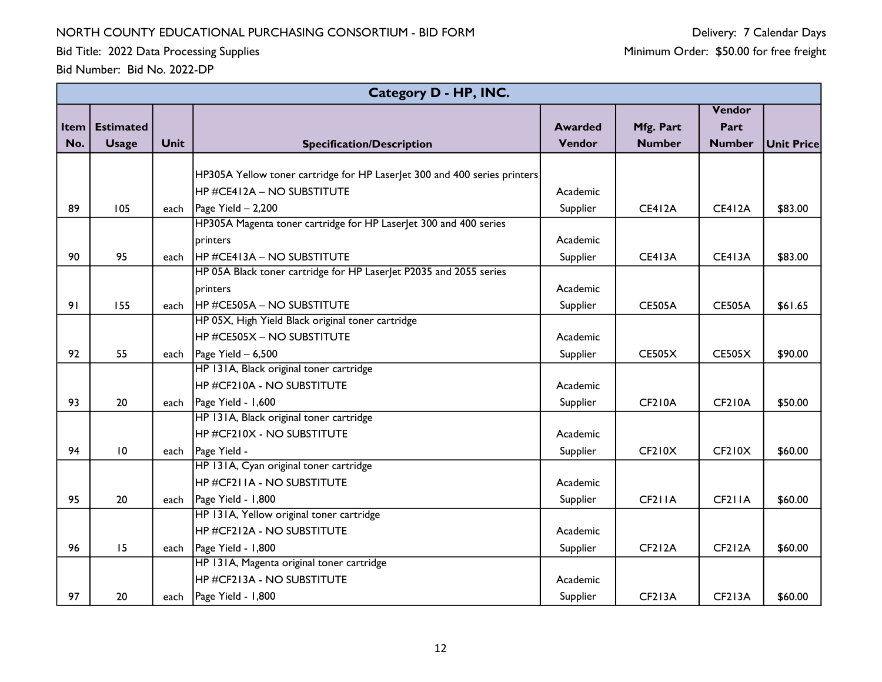Bid Title: 2022 Data Processing Supplies

Delivery: 7 Calendar Days Minimum Order: \$50.00 for free freight

|                      |                                  |             | Category D - HP, INC.                                                         |                          |                            |                                 |                   |
|----------------------|----------------------------------|-------------|-------------------------------------------------------------------------------|--------------------------|----------------------------|---------------------------------|-------------------|
| <b>Item</b> l<br>No. | <b>Estimated</b><br><b>Usage</b> | <b>Unit</b> | <b>Specification/Description</b>                                              | <b>Awarded</b><br>Vendor | Mfg. Part<br><b>Number</b> | Vendor<br>Part<br><b>Number</b> | <b>Unit Price</b> |
|                      |                                  |             |                                                                               |                          |                            |                                 |                   |
|                      |                                  |             | HP305A Yellow toner cartridge for HP LaserJet 300 and 400 series printers     |                          |                            |                                 |                   |
|                      |                                  |             | HP #CE412A – NO SUBSTITUTE                                                    | Academic                 |                            |                                 |                   |
| 89                   | 105                              | each        | Page Yield $- 2,200$                                                          | Supplier                 | <b>CE412A</b>              | <b>CE412A</b>                   | \$83.00           |
|                      |                                  |             | HP305A Magenta toner cartridge for HP LaserJet 300 and 400 series             |                          |                            |                                 |                   |
|                      |                                  |             | printers                                                                      | Academic                 |                            |                                 |                   |
| 90                   | 95                               | each        | $H$ P #CE413A – NO SUBSTITUTE                                                 | Supplier                 | <b>CE413A</b>              | <b>CE413A</b>                   | \$83.00           |
|                      |                                  |             | HP 05A Black toner cartridge for HP Laserlet P2035 and 2055 series            |                          |                            |                                 |                   |
|                      |                                  |             | <b>printers</b>                                                               | Academic                 |                            |                                 |                   |
| 91                   | 155                              | each        | <b>HP #CE505A - NO SUBSTITUTE</b>                                             | Supplier                 | <b>CE505A</b>              | <b>CE505A</b>                   | \$61.65           |
|                      |                                  |             | HP 05X, High Yield Black original toner cartridge                             |                          |                            |                                 |                   |
|                      |                                  |             | <b>HP #CE505X - NO SUBSTITUTE</b>                                             | Academic                 |                            |                                 |                   |
| 92                   | 55                               | each        | Page Yield $-6,500$                                                           | Supplier                 | <b>CE505X</b>              | <b>CE505X</b>                   | \$90.00           |
|                      |                                  |             | HP 131A, Black original toner cartridge                                       |                          |                            |                                 |                   |
|                      |                                  |             | HP#CF210A - NO SUBSTITUTE                                                     | Academic                 |                            |                                 |                   |
| 93                   | 20                               | each        | Page Yield - 1,600                                                            | Supplier                 | <b>CF210A</b>              | <b>CF210A</b>                   | \$50.00           |
|                      |                                  |             | HP 131A, Black original toner cartridge                                       |                          |                            |                                 |                   |
|                      |                                  |             | <b>HP #CF210X - NO SUBSTITUTE</b>                                             | Academic                 |                            |                                 |                   |
| 94                   | $\overline{10}$                  | each        | Page Yield -                                                                  | Supplier                 | <b>CF210X</b>              | CF <sub>2</sub> 10X             | \$60.00           |
|                      |                                  |             | HP 131A, Cyan original toner cartridge                                        |                          |                            |                                 |                   |
|                      |                                  |             | <b>HP #CF2IIA - NO SUBSTITUTE</b>                                             | Academic                 |                            |                                 |                   |
| 95                   | 20                               | each        | Page Yield - 1,800                                                            | Supplier                 | CF <sub>2</sub> IIA        | CF <sub>2</sub> IIA             | \$60.00           |
|                      |                                  |             | HP 131A, Yellow original toner cartridge<br><b>HP #CF212A - NO SUBSTITUTE</b> |                          |                            |                                 |                   |
|                      |                                  |             |                                                                               | Academic                 |                            |                                 |                   |
| 96                   | 15                               |             | each   Page Yield - 1,800<br>HP 131A, Magenta original toner cartridge        | Supplier                 | <b>CF212A</b>              | <b>CF212A</b>                   | \$60.00           |
|                      |                                  |             | <b>HP #CF213A - NO SUBSTITUTE</b>                                             | Academic                 |                            |                                 |                   |
| 97                   | 20                               |             | Page Yield - 1,800                                                            |                          | <b>CF213A</b>              | <b>CF213A</b>                   | \$60.00           |
|                      |                                  | each        |                                                                               | Supplier                 |                            |                                 |                   |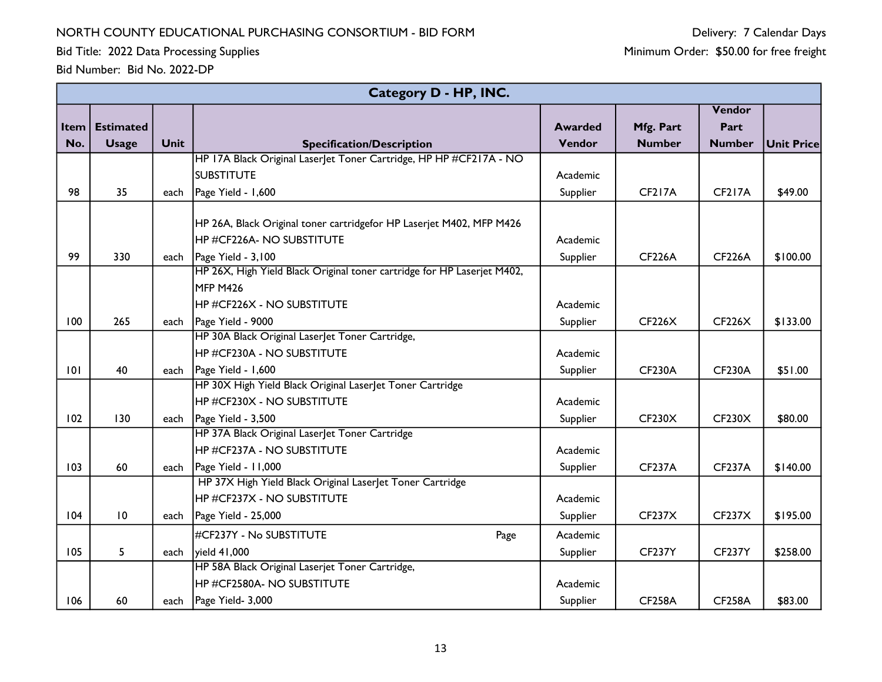Bid Title: 2022 Data Processing Supplies

|          |                  |             | Category D - HP, INC.                                                   |                |               |               |            |
|----------|------------------|-------------|-------------------------------------------------------------------------|----------------|---------------|---------------|------------|
|          |                  |             |                                                                         |                |               | Vendor        |            |
| Item $ $ | <b>Estimated</b> |             |                                                                         | <b>Awarded</b> | Mfg. Part     | Part          |            |
| No.      | <b>Usage</b>     | <b>Unit</b> | <b>Specification/Description</b>                                        | Vendor         | <b>Number</b> | <b>Number</b> | Unit Price |
|          |                  |             | HP 17A Black Original Laser et Toner Cartridge, HP HP #CF217A - NO      |                |               |               |            |
|          |                  |             | <b>SUBSTITUTE</b>                                                       | Academic       |               |               |            |
| 98       | 35               | each        | Page Yield - 1,600                                                      | Supplier       | <b>CF217A</b> | <b>CF217A</b> | \$49.00    |
|          |                  |             |                                                                         |                |               |               |            |
|          |                  |             | HP 26A, Black Original toner cartridgefor HP Laserjet M402, MFP M426    |                |               |               |            |
|          |                  |             | HP #CF226A- NO SUBSTITUTE                                               | Academic       |               |               |            |
| 99       | 330              | each        | Page Yield - 3,100                                                      | Supplier       | <b>CF226A</b> | <b>CF226A</b> | \$100.00   |
|          |                  |             | HP 26X, High Yield Black Original toner cartridge for HP Laserjet M402, |                |               |               |            |
|          |                  |             | <b>MFP M426</b>                                                         |                |               |               |            |
|          |                  |             | HP #CF226X - NO SUBSTITUTE                                              | Academic       |               |               |            |
| 100      | 265              | each        | Page Yield - 9000                                                       | Supplier       | CF226X        | <b>CF226X</b> | \$133.00   |
|          |                  |             | HP 30A Black Original LaserJet Toner Cartridge,                         |                |               |               |            |
|          |                  |             | HP #CF230A - NO SUBSTITUTE                                              | Academic       |               |               |            |
| 101      | 40               | each        | Page Yield - 1,600                                                      | Supplier       | <b>CF230A</b> | <b>CF230A</b> | \$51.00    |
|          |                  |             | HP 30X High Yield Black Original Laser et Toner Cartridge               |                |               |               |            |
|          |                  |             | HP #CF230X - NO SUBSTITUTE                                              | Academic       |               |               |            |
| 102      | 130              | each        | Page Yield - 3,500                                                      | Supplier       | CF230X        | <b>CF230X</b> | \$80.00    |
|          |                  |             | HP 37A Black Original LaserJet Toner Cartridge                          |                |               |               |            |
|          |                  |             | HP #CF237A - NO SUBSTITUTE                                              | Academic       |               |               |            |
| 103      | 60               | each        | Page Yield - 11,000                                                     | Supplier       | <b>CF237A</b> | <b>CF237A</b> | \$140.00   |
|          |                  |             | HP 37X High Yield Black Original Laserlet Toner Cartridge               |                |               |               |            |
|          |                  |             | HP #CF237X - NO SUBSTITUTE                                              | Academic       |               |               |            |
| 104      | $\overline{10}$  | each        | Page Yield - 25,000                                                     | Supplier       | CF237X        | CF237X        | \$195.00   |
|          |                  |             | #CF237Y - No SUBSTITUTE<br>Page                                         | Academic       |               |               |            |
| 105      | 5                | each        | yield 41,000                                                            | Supplier       | <b>CF237Y</b> | <b>CF237Y</b> | \$258.00   |
|          |                  |             | HP 58A Black Original Laserjet Toner Cartridge,                         |                |               |               |            |
|          |                  |             | HP #CF2580A- NO SUBSTITUTE                                              | Academic       |               |               |            |
| 106      | 60               | each        | Page Yield- 3,000                                                       | Supplier       | <b>CF258A</b> | <b>CF258A</b> | \$83.00    |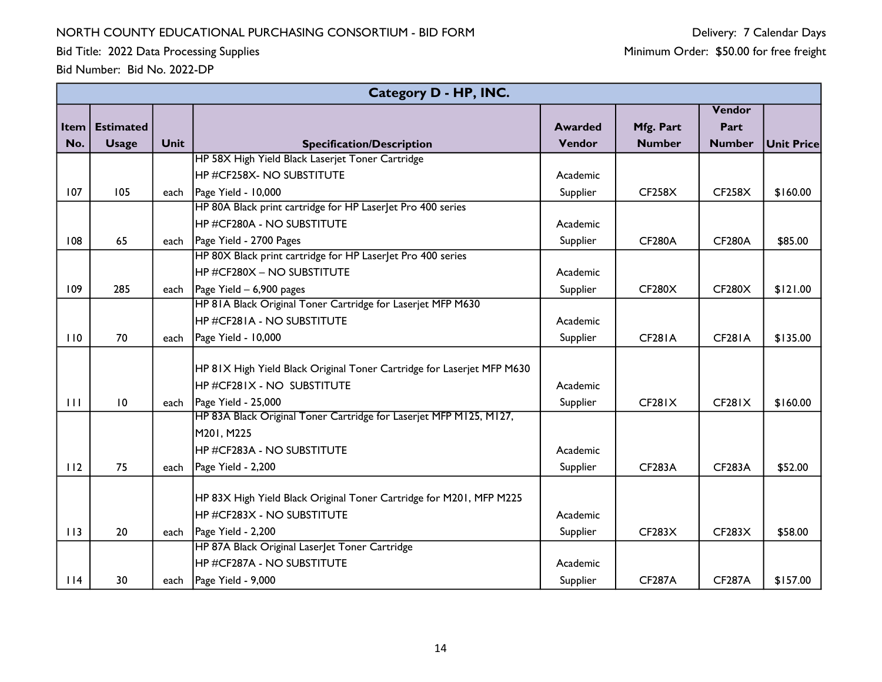Bid Title: 2022 Data Processing Supplies

|        | <b>Category D - HP, INC.</b> |             |                                                                        |                |               |                     |                   |  |  |  |  |
|--------|------------------------------|-------------|------------------------------------------------------------------------|----------------|---------------|---------------------|-------------------|--|--|--|--|
|        |                              |             |                                                                        |                |               | Vendor              |                   |  |  |  |  |
| Item   | <b>Estimated</b>             |             |                                                                        | <b>Awarded</b> | Mfg. Part     | Part                |                   |  |  |  |  |
| No.    | <b>Usage</b>                 | <b>Unit</b> | <b>Specification/Description</b>                                       | Vendor         | <b>Number</b> | <b>Number</b>       | <b>Unit Price</b> |  |  |  |  |
|        |                              |             | HP 58X High Yield Black Laserjet Toner Cartridge                       |                |               |                     |                   |  |  |  |  |
|        |                              |             | HP #CF258X- NO SUBSTITUTE                                              | Academic       |               |                     |                   |  |  |  |  |
| 107    | 105                          | each        | Page Yield - 10,000                                                    | Supplier       | CF258X        | CF258X              | \$160.00          |  |  |  |  |
|        |                              |             | HP 80A Black print cartridge for HP LaserJet Pro 400 series            |                |               |                     |                   |  |  |  |  |
|        |                              |             | HP #CF280A - NO SUBSTITUTE                                             | Academic       |               |                     |                   |  |  |  |  |
| 108    | 65                           |             | each   Page Yield - 2700 Pages                                         | Supplier       | <b>CF280A</b> | <b>CF280A</b>       | \$85.00           |  |  |  |  |
|        |                              |             | HP 80X Black print cartridge for HP LaserJet Pro 400 series            |                |               |                     |                   |  |  |  |  |
|        |                              |             | HP #CF280X – NO SUBSTITUTE                                             | Academic       |               |                     |                   |  |  |  |  |
| 109    | 285                          |             | each $\vert$ Page Yield – 6,900 pages                                  | Supplier       | CF280X        | CF280X              | \$121.00          |  |  |  |  |
|        |                              |             | HP 81A Black Original Toner Cartridge for Laserjet MFP M630            |                |               |                     |                   |  |  |  |  |
|        |                              |             | IHP #CF28IA - NO SUBSTITUTE                                            | Academic       |               |                     |                   |  |  |  |  |
| 110    | 70                           | each        | Page Yield - 10,000                                                    | Supplier       | <b>CF281A</b> | <b>CF281A</b>       | \$135.00          |  |  |  |  |
|        |                              |             |                                                                        |                |               |                     |                   |  |  |  |  |
|        |                              |             | HP 81X High Yield Black Original Toner Cartridge for Laserjet MFP M630 |                |               |                     |                   |  |  |  |  |
|        |                              |             | $\overline{\rm HP}$ #CF281X - NO SUBSTITUTE                            | Academic       |               |                     |                   |  |  |  |  |
| 111    | 10                           |             | each $\vert$ Page Yield - 25,000                                       | Supplier       | CF281X        | CF <sub>28</sub> IX | \$160.00          |  |  |  |  |
|        |                              |             | HP 83A Black Original Toner Cartridge for Laserjet MFP M125, M127,     |                |               |                     |                   |  |  |  |  |
|        |                              |             | M201, M225                                                             |                |               |                     |                   |  |  |  |  |
|        |                              |             | HP #CF283A - NO SUBSTITUTE                                             | Academic       |               |                     |                   |  |  |  |  |
| 112    | 75                           | each        | Page Yield - 2,200                                                     | Supplier       | <b>CF283A</b> | <b>CF283A</b>       | \$52.00           |  |  |  |  |
|        |                              |             |                                                                        |                |               |                     |                   |  |  |  |  |
|        |                              |             | HP 83X High Yield Black Original Toner Cartridge for M201, MFP M225    |                |               |                     |                   |  |  |  |  |
|        |                              |             | HP #CF283X - NO SUBSTITUTE                                             | Academic       |               |                     |                   |  |  |  |  |
| 113    | 20                           |             | each $\vert$ Page Yield - 2,200                                        | Supplier       | CF283X        | CF283X              | \$58.00           |  |  |  |  |
|        |                              |             | HP 87A Black Original LaserJet Toner Cartridge                         |                |               |                     |                   |  |  |  |  |
|        |                              |             | <b>HP #CF287A - NO SUBSTITUTE</b>                                      | Academic       |               |                     |                   |  |  |  |  |
| $ $  4 | 30                           |             | each   Page Yield - 9,000                                              | Supplier       | <b>CF287A</b> | <b>CF287A</b>       | \$157.00          |  |  |  |  |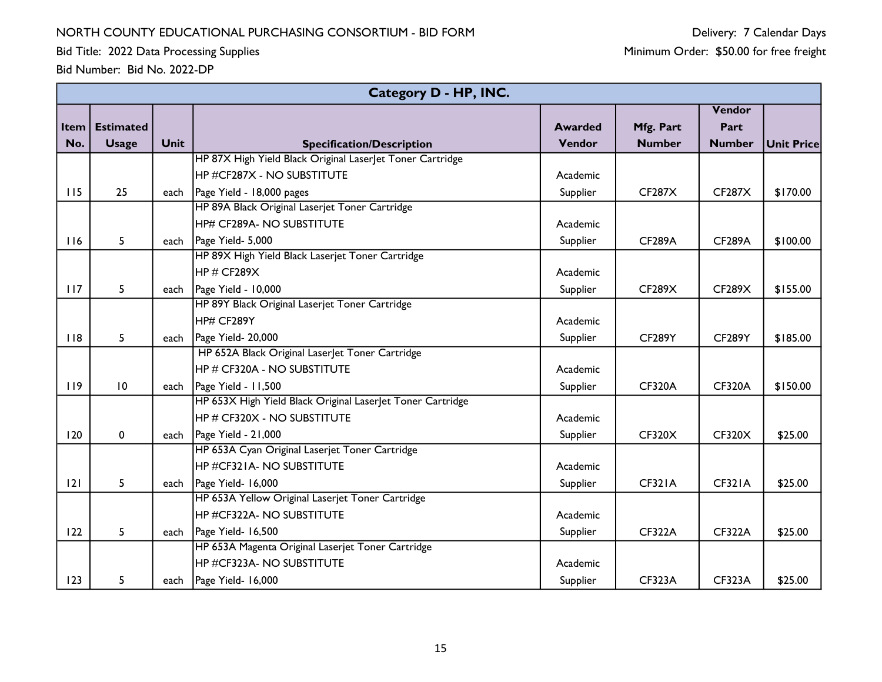Bid Title: 2022 Data Processing Supplies

|      | Category D - HP, INC. |             |                                                            |                |               |               |                   |  |  |  |
|------|-----------------------|-------------|------------------------------------------------------------|----------------|---------------|---------------|-------------------|--|--|--|
|      |                       |             |                                                            |                |               | Vendor        |                   |  |  |  |
| Item | <b>Estimated</b>      |             |                                                            | <b>Awarded</b> | Mfg. Part     | Part          |                   |  |  |  |
| No.  | <b>Usage</b>          | <b>Unit</b> | <b>Specification/Description</b>                           | Vendor         | <b>Number</b> | <b>Number</b> | <b>Unit Price</b> |  |  |  |
|      |                       |             | HP 87X High Yield Black Original Laserlet Toner Cartridge  |                |               |               |                   |  |  |  |
|      |                       |             | <b>HP #CF287X - NO SUBSTITUTE</b>                          | Academic       |               |               |                   |  |  |  |
| 115  | 25                    | each        | Page Yield - 18,000 pages                                  | Supplier       | <b>CF287X</b> | <b>CF287X</b> | \$170.00          |  |  |  |
|      |                       |             | HP 89A Black Original Laserjet Toner Cartridge             |                |               |               |                   |  |  |  |
|      |                       |             | <b>HP# CF289A- NO SUBSTITUTE</b>                           | Academic       |               |               |                   |  |  |  |
| 116  | 5                     |             | each   Page Yield- 5,000                                   | Supplier       | <b>CF289A</b> | <b>CF289A</b> | \$100.00          |  |  |  |
|      |                       |             | HP 89X High Yield Black Laserjet Toner Cartridge           |                |               |               |                   |  |  |  |
|      |                       |             | HP # CF289X                                                | Academic       |               |               |                   |  |  |  |
| 117  | 5                     | each        | Page Yield - 10,000                                        | Supplier       | CF289X        | CF289X        | \$155.00          |  |  |  |
|      |                       |             | HP 89Y Black Original Laserjet Toner Cartridge             |                |               |               |                   |  |  |  |
|      |                       |             | HP# CF289Y                                                 | Academic       |               |               |                   |  |  |  |
| 118  | 5                     | each        | Page Yield- 20,000                                         | Supplier       | <b>CF289Y</b> | <b>CF289Y</b> | \$185.00          |  |  |  |
|      |                       |             | HP 652A Black Original Laser et Toner Cartridge            |                |               |               |                   |  |  |  |
|      |                       |             | <b>HP # CF320A - NO SUBSTITUTE</b>                         | Academic       |               |               |                   |  |  |  |
| 119  | $\overline{10}$       | each        | Page Yield - 11,500                                        | Supplier       | <b>CF320A</b> | <b>CF320A</b> | \$150.00          |  |  |  |
|      |                       |             | HP 653X High Yield Black Original Laserlet Toner Cartridge |                |               |               |                   |  |  |  |
|      |                       |             | <b>HP # CF320X - NO SUBSTITUTE</b>                         | Academic       |               |               |                   |  |  |  |
| 120  | $\mathbf 0$           | each        | Page Yield - 21,000                                        | Supplier       | <b>CF320X</b> | <b>CF320X</b> | \$25.00           |  |  |  |
|      |                       |             | HP 653A Cyan Original Laserjet Toner Cartridge             |                |               |               |                   |  |  |  |
|      |                       |             | HP #CF321A- NO SUBSTITUTE                                  | Academic       |               |               |                   |  |  |  |
| 2    | 5                     |             | each   Page Yield- 16,000                                  | Supplier       | <b>CF321A</b> | <b>CF321A</b> | \$25.00           |  |  |  |
|      |                       |             | HP 653A Yellow Original Laserjet Toner Cartridge           |                |               |               |                   |  |  |  |
|      |                       |             | <b>HP #CF322A- NO SUBSTITUTE</b>                           | Academic       |               |               |                   |  |  |  |
| 122  | 5                     | each        | Page Yield- 16,500                                         | Supplier       | <b>CF322A</b> | <b>CF322A</b> | \$25.00           |  |  |  |
|      |                       |             | HP 653A Magenta Original Laserjet Toner Cartridge          |                |               |               |                   |  |  |  |
|      |                       |             | <b>HP #CF323A- NO SUBSTITUTE</b>                           | Academic       |               |               |                   |  |  |  |
| 123  | 5                     |             | each   Page Yield- 16,000                                  | Supplier       | <b>CF323A</b> | <b>CF323A</b> | \$25.00           |  |  |  |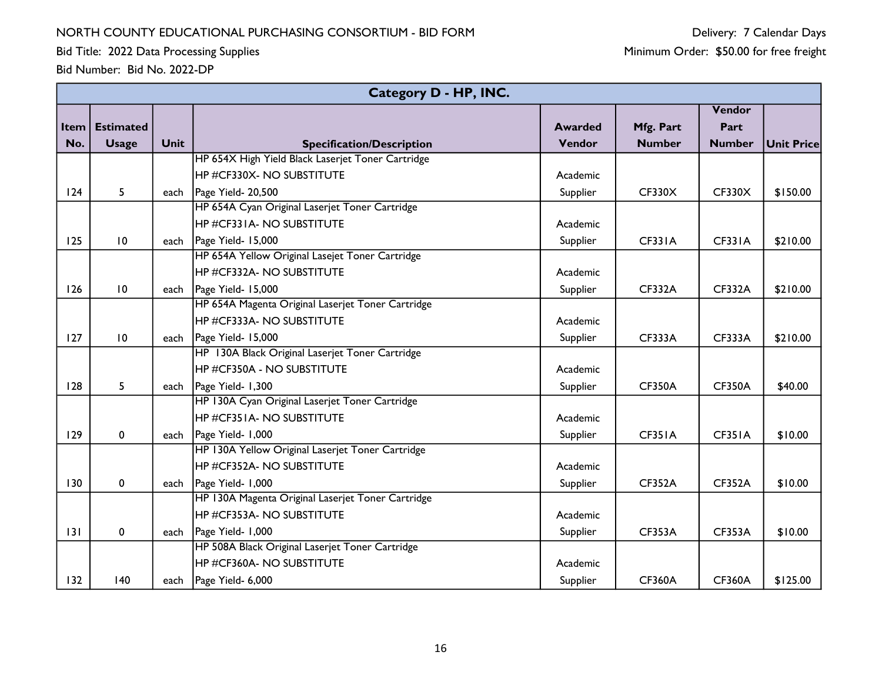Bid Title: 2022 Data Processing Supplies

|      | Category D - HP, INC. |             |                                                   |                |               |               |                   |  |  |  |
|------|-----------------------|-------------|---------------------------------------------------|----------------|---------------|---------------|-------------------|--|--|--|
|      |                       |             |                                                   |                |               | Vendor        |                   |  |  |  |
| Item | <b>Estimated</b>      |             |                                                   | <b>Awarded</b> | Mfg. Part     | Part          |                   |  |  |  |
| No.  | <b>Usage</b>          | <b>Unit</b> | <b>Specification/Description</b>                  | Vendor         | <b>Number</b> | <b>Number</b> | <b>Unit Price</b> |  |  |  |
|      |                       |             | HP 654X High Yield Black Laserjet Toner Cartridge |                |               |               |                   |  |  |  |
|      |                       |             | HP #CF330X- NO SUBSTITUTE                         | Academic       |               |               |                   |  |  |  |
| 124  | 5                     |             | each   Page Yield- 20,500                         | Supplier       | <b>CF330X</b> | <b>CF330X</b> | \$150.00          |  |  |  |
|      |                       |             | HP 654A Cyan Original Laserjet Toner Cartridge    |                |               |               |                   |  |  |  |
|      |                       |             | HP #CF331A- NO SUBSTITUTE                         | Academic       |               |               |                   |  |  |  |
| 125  | 10                    |             | each   Page Yield- 15,000                         | Supplier       | <b>CF331A</b> | <b>CF331A</b> | \$210.00          |  |  |  |
|      |                       |             | HP 654A Yellow Original Lasejet Toner Cartridge   |                |               |               |                   |  |  |  |
|      |                       |             | HP #CF332A- NO SUBSTITUTE                         | Academic       |               |               |                   |  |  |  |
| 126  | $\overline{10}$       |             | each   Page Yield- 15,000                         | Supplier       | <b>CF332A</b> | <b>CF332A</b> | \$210.00          |  |  |  |
|      |                       |             | HP 654A Magenta Original Laserjet Toner Cartridge |                |               |               |                   |  |  |  |
|      |                       |             | <b>HP #CF333A- NO SUBSTITUTE</b>                  | Academic       |               |               |                   |  |  |  |
| 127  | $\overline{10}$       | each        | Page Yield- 15,000                                | Supplier       | <b>CF333A</b> | <b>CF333A</b> | \$210.00          |  |  |  |
|      |                       |             | HP 130A Black Original Laserjet Toner Cartridge   |                |               |               |                   |  |  |  |
|      |                       |             | <b>HP #CF350A - NO SUBSTITUTE</b>                 | Academic       |               |               |                   |  |  |  |
| 128  | 5                     |             | each   Page Yield- 1,300                          | Supplier       | <b>CF350A</b> | <b>CF350A</b> | \$40.00           |  |  |  |
|      |                       |             | HP 130A Cyan Original Laserjet Toner Cartridge    |                |               |               |                   |  |  |  |
|      |                       |             | HP #CF351A- NO SUBSTITUTE                         | Academic       |               |               |                   |  |  |  |
| 129  | $\pmb{0}$             | each        | Page Yield- 1,000                                 | Supplier       | CF351A        | CF351A        | \$10.00           |  |  |  |
|      |                       |             | HP 130A Yellow Original Laserjet Toner Cartridge  |                |               |               |                   |  |  |  |
|      |                       |             | <b>HP #CF352A- NO SUBSTITUTE</b>                  | Academic       |               |               |                   |  |  |  |
| 130  | $\pmb{0}$             |             | each   Page Yield- 1,000                          | Supplier       | <b>CF352A</b> | <b>CF352A</b> | \$10.00           |  |  |  |
|      |                       |             | HP 130A Magenta Original Laserjet Toner Cartridge |                |               |               |                   |  |  |  |
|      |                       |             | HP #CF353A- NO SUBSTITUTE                         | Academic       |               |               |                   |  |  |  |
| 131  | 0                     |             | each   Page Yield- 1,000                          | Supplier       | <b>CF353A</b> | <b>CF353A</b> | \$10.00           |  |  |  |
|      |                       |             | HP 508A Black Original Laserjet Toner Cartridge   |                |               |               |                   |  |  |  |
|      |                       |             | HP #CF360A- NO SUBSTITUTE                         | Academic       |               |               |                   |  |  |  |
| 132  | 140                   |             | each   Page Yield- 6,000                          | Supplier       | <b>CF360A</b> | <b>CF360A</b> | \$125.00          |  |  |  |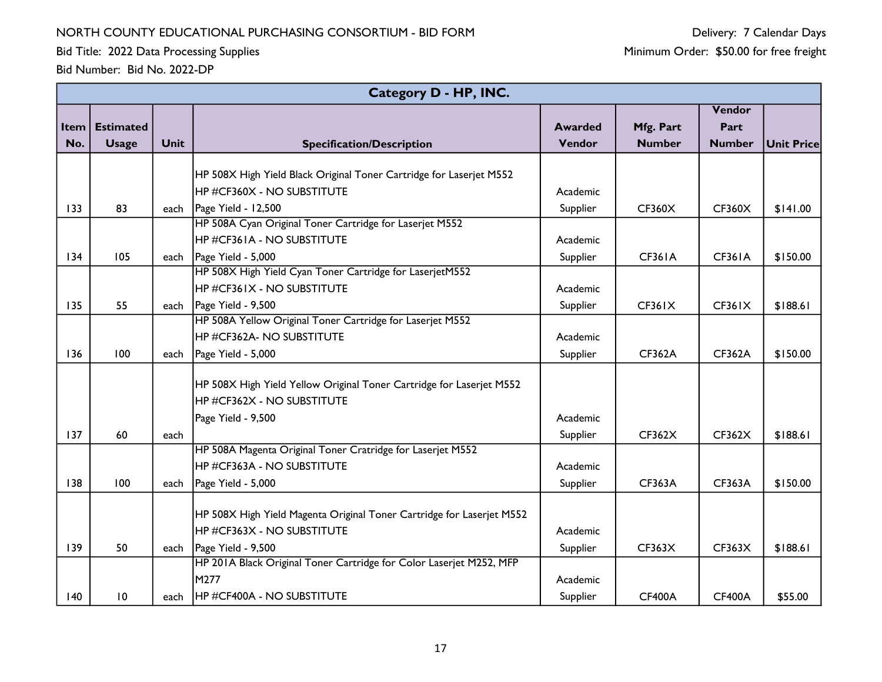Bid Title: 2022 Data Processing Supplies

Delivery: 7 Calendar Days Minimum Order: \$50.00 for free freight

|      |                  |             | Category D - HP, INC.                                                 |                |               |               |            |
|------|------------------|-------------|-----------------------------------------------------------------------|----------------|---------------|---------------|------------|
|      |                  |             |                                                                       |                |               | Vendor        |            |
| Item | <b>Estimated</b> |             |                                                                       | <b>Awarded</b> | Mfg. Part     | Part          |            |
| No.  | <b>Usage</b>     | <b>Unit</b> | <b>Specification/Description</b>                                      | Vendor         | <b>Number</b> | <b>Number</b> | Unit Price |
|      |                  |             |                                                                       |                |               |               |            |
|      |                  |             | HP 508X High Yield Black Original Toner Cartridge for Laserjet M552   |                |               |               |            |
|      |                  |             | IHP #CF360X - NO SUBSTITUTE                                           | Academic       |               |               |            |
| 133  | 83               | each        | Page Yield - 12,500                                                   | Supplier       | <b>CF360X</b> | <b>CF360X</b> | \$141.00   |
|      |                  |             | HP 508A Cyan Original Toner Cartridge for Laserjet M552               |                |               |               |            |
|      |                  |             | <b>HP #CF361A - NO SUBSTITUTE</b>                                     | Academic       |               |               |            |
| 134  | 105              | each        | Page Yield - 5,000                                                    | Supplier       | <b>CF361A</b> | <b>CF361A</b> | \$150.00   |
|      |                  |             | HP 508X High Yield Cyan Toner Cartridge for LaserjetM552              |                |               |               |            |
|      |                  |             | HP #CF361X - NO SUBSTITUTE                                            | Academic       |               |               |            |
| 135  | 55               | each        | Page Yield - 9,500                                                    | Supplier       | <b>CF361X</b> | CF361X        | \$188.61   |
|      |                  |             | HP 508A Yellow Original Toner Cartridge for Laserjet M552             |                |               |               |            |
|      |                  |             | <b>HP #CF362A- NO SUBSTITUTE</b>                                      | Academic       |               |               |            |
| 136  | 100              | each        | Page Yield - 5,000                                                    | Supplier       | <b>CF362A</b> | <b>CF362A</b> | \$150.00   |
|      |                  |             |                                                                       |                |               |               |            |
|      |                  |             | HP 508X High Yield Yellow Original Toner Cartridge for Laserjet M552  |                |               |               |            |
|      |                  |             | <b>HP #CF362X - NO SUBSTITUTE</b>                                     |                |               |               |            |
|      |                  |             | Page Yield - 9,500                                                    | Academic       |               |               |            |
| 137  | 60               | each        |                                                                       | Supplier       | CF362X        | <b>CF362X</b> | \$188.61   |
|      |                  |             | HP 508A Magenta Original Toner Cratridge for Laserjet M552            |                |               |               |            |
|      |                  |             | HP #CF363A - NO SUBSTITUTE                                            | Academic       |               |               |            |
| 138  | 100              | each        | Page Yield - 5,000                                                    | Supplier       | <b>CF363A</b> | <b>CF363A</b> | \$150.00   |
|      |                  |             |                                                                       |                |               |               |            |
|      |                  |             | HP 508X High Yield Magenta Original Toner Cartridge for Laserjet M552 |                |               |               |            |
|      |                  |             | HP #CF363X - NO SUBSTITUTE                                            | Academic       |               |               |            |
| 139  | 50               | each        | Page Yield - 9,500                                                    | Supplier       | CF363X        | <b>CF363X</b> | \$188.61   |
|      |                  |             | HP 201A Black Original Toner Cartridge for Color Laserjet M252, MFP   |                |               |               |            |
|      |                  |             | M277                                                                  | Academic       |               |               |            |
| 140  | 10               | each        | <b>HP #CF400A - NO SUBSTITUTE</b>                                     | Supplier       | <b>CF400A</b> | <b>CF400A</b> | \$55.00    |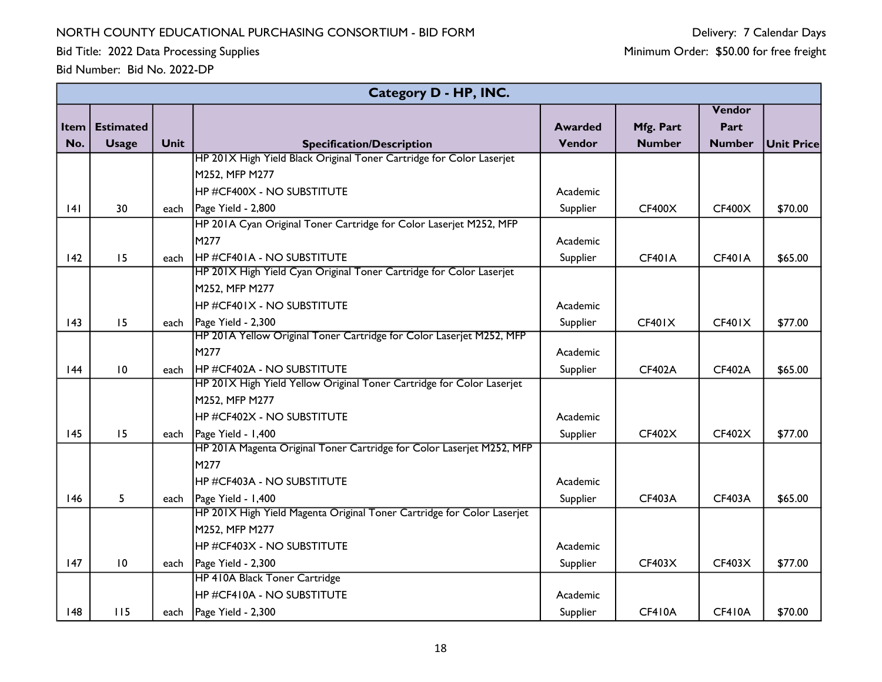Bid Title: 2022 Data Processing Supplies

|                   |                  |                      | Category D - HP, INC.                                                                                                                                                                                                                                          |                                                          |                                          |                                          |                               |
|-------------------|------------------|----------------------|----------------------------------------------------------------------------------------------------------------------------------------------------------------------------------------------------------------------------------------------------------------|----------------------------------------------------------|------------------------------------------|------------------------------------------|-------------------------------|
|                   |                  |                      |                                                                                                                                                                                                                                                                |                                                          |                                          | Vendor                                   |                               |
| Item $ $          | <b>Estimated</b> |                      |                                                                                                                                                                                                                                                                | <b>Awarded</b>                                           | Mfg. Part                                | Part                                     |                               |
| No.               | <b>Usage</b>     | <b>Unit</b>          | <b>Specification/Description</b>                                                                                                                                                                                                                               | Vendor                                                   | <b>Number</b>                            | <b>Number</b>                            | Unit Price                    |
|                   |                  |                      | HP 201X High Yield Black Original Toner Cartridge for Color Laserjet                                                                                                                                                                                           |                                                          |                                          |                                          |                               |
|                   |                  |                      | M252, MFP M277                                                                                                                                                                                                                                                 |                                                          |                                          |                                          |                               |
|                   |                  |                      | <b>HP #CF400X - NO SUBSTITUTE</b>                                                                                                                                                                                                                              | Academic                                                 |                                          |                                          |                               |
| 4                 | 30               | each                 | Page Yield - 2,800                                                                                                                                                                                                                                             | Supplier                                                 | CF400X                                   | CF400X                                   | \$70.00                       |
|                   |                  |                      | HP 201A Cyan Original Toner Cartridge for Color Laserjet M252, MFP                                                                                                                                                                                             |                                                          |                                          |                                          |                               |
|                   |                  |                      | M277                                                                                                                                                                                                                                                           | Academic                                                 |                                          |                                          |                               |
| 142               | 15               | each                 | <b>HP #CF401A - NO SUBSTITUTE</b>                                                                                                                                                                                                                              | Supplier                                                 | <b>CF401A</b>                            | <b>CF401A</b>                            | \$65.00                       |
|                   |                  |                      | HP 201X High Yield Cyan Original Toner Cartridge for Color Laserjet                                                                                                                                                                                            |                                                          |                                          |                                          |                               |
|                   |                  |                      | M252, MFP M277                                                                                                                                                                                                                                                 |                                                          |                                          |                                          |                               |
|                   |                  |                      | HP #CF401X - NO SUBSTITUTE                                                                                                                                                                                                                                     | Academic                                                 |                                          |                                          |                               |
| 143               | 15               | each                 | Page Yield - 2,300                                                                                                                                                                                                                                             | Supplier                                                 | CF401X                                   | CF401X                                   | \$77.00                       |
|                   |                  |                      | HP 201A Yellow Original Toner Cartridge for Color Laserjet M252, MFP                                                                                                                                                                                           |                                                          |                                          |                                          |                               |
|                   |                  |                      | M277                                                                                                                                                                                                                                                           | Academic                                                 |                                          |                                          |                               |
| 44                | 10               | each                 | <b>HP #CF402A - NO SUBSTITUTE</b><br>HP 201X High Yield Yellow Original Toner Cartridge for Color Laserjet                                                                                                                                                     | Supplier                                                 | <b>CF402A</b>                            | <b>CF402A</b>                            | \$65.00                       |
|                   |                  |                      |                                                                                                                                                                                                                                                                |                                                          |                                          |                                          |                               |
|                   |                  |                      | M252, MFP M277                                                                                                                                                                                                                                                 |                                                          |                                          |                                          |                               |
|                   |                  |                      | HP#CF402X - NO SUBSTITUTE                                                                                                                                                                                                                                      | Academic                                                 |                                          |                                          |                               |
| 145               | 15               | each                 | Page Yield - 1,400<br>HP 201A Magenta Original Toner Cartridge for Color Laserjet M252, MFP                                                                                                                                                                    | Supplier                                                 | CF402X                                   | CF402X                                   | \$77.00                       |
|                   |                  |                      | M277                                                                                                                                                                                                                                                           |                                                          |                                          |                                          |                               |
|                   |                  |                      | HP #CF403A - NO SUBSTITUTE                                                                                                                                                                                                                                     | Academic                                                 |                                          |                                          |                               |
|                   |                  |                      |                                                                                                                                                                                                                                                                |                                                          |                                          |                                          |                               |
|                   |                  |                      |                                                                                                                                                                                                                                                                |                                                          |                                          |                                          |                               |
|                   |                  |                      |                                                                                                                                                                                                                                                                |                                                          |                                          |                                          |                               |
|                   |                  |                      |                                                                                                                                                                                                                                                                |                                                          |                                          |                                          |                               |
|                   |                  |                      |                                                                                                                                                                                                                                                                |                                                          |                                          |                                          |                               |
|                   |                  |                      |                                                                                                                                                                                                                                                                |                                                          |                                          |                                          |                               |
|                   |                  |                      |                                                                                                                                                                                                                                                                |                                                          |                                          |                                          |                               |
|                   |                  |                      |                                                                                                                                                                                                                                                                |                                                          |                                          |                                          |                               |
| 146<br>147<br>148 | 5<br>10<br>115   | each<br>each<br>each | Page Yield - 1,400<br>HP 201X High Yield Magenta Original Toner Cartridge for Color Laserjet<br>M252, MFP M277<br><b>HP #CF403X - NO SUBSTITUTE</b><br>Page Yield - 2,300<br>HP 410A Black Toner Cartridge<br>HP #CF410A - NO SUBSTITUTE<br>Page Yield - 2,300 | Supplier<br>Academic<br>Supplier<br>Academic<br>Supplier | <b>CF403A</b><br>CF403X<br><b>CF410A</b> | <b>CF403A</b><br>CF403X<br><b>CF410A</b> | \$65.00<br>\$77.00<br>\$70.00 |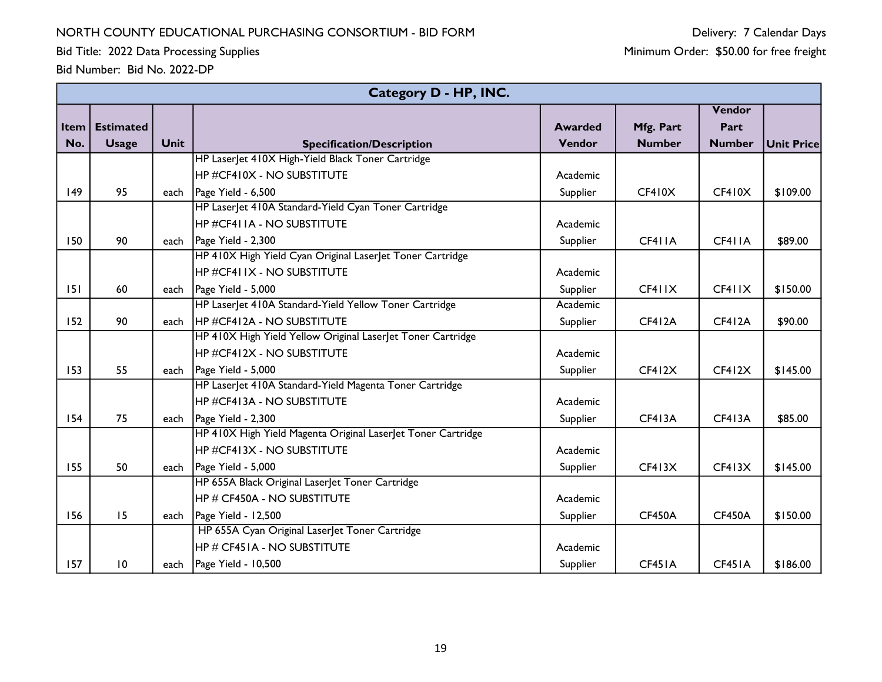Bid Title: 2022 Data Processing Supplies

|      |                  |             | Category D - HP, INC.                                        |                |               |               |                   |
|------|------------------|-------------|--------------------------------------------------------------|----------------|---------------|---------------|-------------------|
|      |                  |             |                                                              |                |               | Vendor        |                   |
| Item | <b>Estimated</b> |             |                                                              | <b>Awarded</b> | Mfg. Part     | Part          |                   |
| No.  | <b>Usage</b>     | <b>Unit</b> | <b>Specification/Description</b>                             | Vendor         | <b>Number</b> | <b>Number</b> | <b>Unit Price</b> |
|      |                  |             | HP Laser et 410X High-Yield Black Toner Cartridge            |                |               |               |                   |
|      |                  |             | <b>HP #CF410X - NO SUBSTITUTE</b>                            | Academic       |               |               |                   |
| 149  | 95               | each        | Page Yield - 6,500                                           | Supplier       | CF410X        | CF410X        | \$109.00          |
|      |                  |             | HP Laser et 410A Standard-Yield Cyan Toner Cartridge         |                |               |               |                   |
|      |                  |             | HP #CF411A - NO SUBSTITUTE                                   | Academic       |               |               |                   |
| 150  | 90               |             | each $\vert$ Page Yield - 2,300                              | Supplier       | CF411A        | CF411A        | \$89.00           |
|      |                  |             | HP 410X High Yield Cyan Original LaserJet Toner Cartridge    |                |               |               |                   |
|      |                  |             | <b>HP #CF411X - NO SUBSTITUTE</b>                            | Academic       |               |               |                   |
| 151  | 60               | each        | Page Yield - 5,000                                           | Supplier       | CF411X        | CF411X        | \$150.00          |
|      |                  |             | HP Laser et 410A Standard-Yield Yellow Toner Cartridge       | Academic       |               |               |                   |
| 152  | 90               | each        | HP #CF412A - NO SUBSTITUTE                                   | Supplier       | <b>CF412A</b> | <b>CF412A</b> | \$90.00           |
|      |                  |             | HP 410X High Yield Yellow Original LaserJet Toner Cartridge  |                |               |               |                   |
|      |                  |             | <b>HP #CF412X - NO SUBSTITUTE</b>                            | Academic       |               |               |                   |
| 153  | 55               | each        | Page Yield - 5,000                                           | Supplier       | CF412X        | CF412X        | \$145.00          |
|      |                  |             | HP Laser et 410A Standard-Yield Magenta Toner Cartridge      |                |               |               |                   |
|      |                  |             | HP #CF413A - NO SUBSTITUTE                                   | Academic       |               |               |                   |
| 154  | 75               | each        | Page Yield - 2,300                                           | Supplier       | <b>CF413A</b> | <b>CF413A</b> | \$85.00           |
|      |                  |             | HP 410X High Yield Magenta Original LaserJet Toner Cartridge |                |               |               |                   |
|      |                  |             | <b>HP #CF413X - NO SUBSTITUTE</b>                            | Academic       |               |               |                   |
| 155  | 50               | each        | Page Yield - 5,000                                           | Supplier       | CF413X        | CF413X        | \$145.00          |
|      |                  |             | HP 655A Black Original Laser et Toner Cartridge              |                |               |               |                   |
|      |                  |             | <b>HP # CF450A - NO SUBSTITUTE</b>                           | Academic       |               |               |                   |
| 156  | 15               |             | each   Page Yield - 12,500                                   | Supplier       | <b>CF450A</b> | <b>CF450A</b> | \$150.00          |
|      |                  |             | HP 655A Cyan Original LaserJet Toner Cartridge               |                |               |               |                   |
|      |                  |             | HP # CF451A - NO SUBSTITUTE                                  | Academic       |               |               |                   |
| 157  | $\overline{10}$  | each        | Page Yield - 10,500                                          | Supplier       | CF451A        | CF451A        | \$186.00          |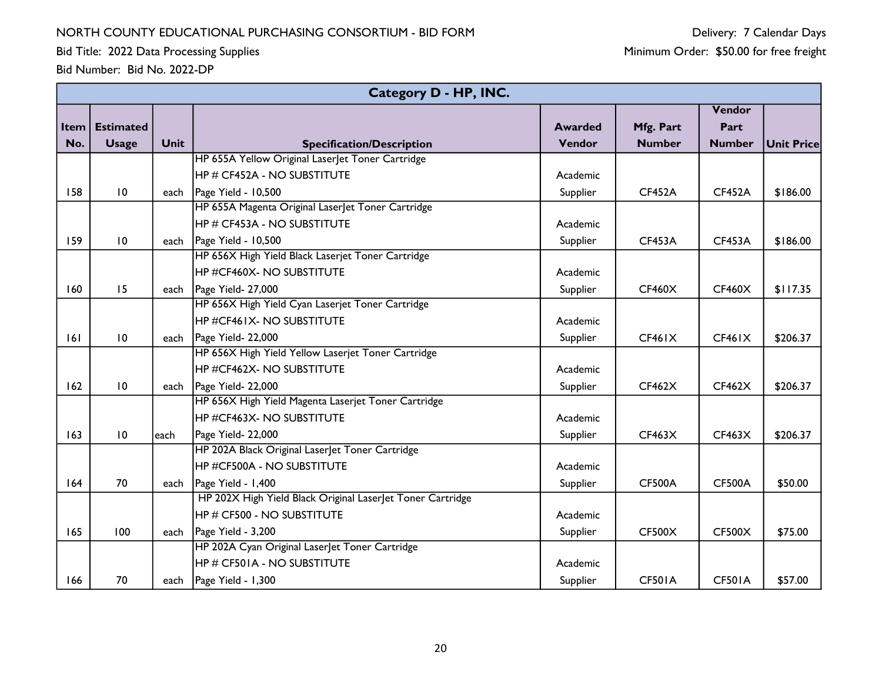Bid Title: 2022 Data Processing Supplies

|          | Category D - HP, INC. |             |                                                            |                |               |               |            |  |  |  |
|----------|-----------------------|-------------|------------------------------------------------------------|----------------|---------------|---------------|------------|--|--|--|
|          |                       |             |                                                            |                |               | Vendor        |            |  |  |  |
| Item $ $ | <b>Estimated</b>      |             |                                                            | <b>Awarded</b> | Mfg. Part     | Part          |            |  |  |  |
| No.      | <b>Usage</b>          | <b>Unit</b> | <b>Specification/Description</b>                           | Vendor         | <b>Number</b> | <b>Number</b> | Unit Price |  |  |  |
|          |                       |             | HP 655A Yellow Original LaserJet Toner Cartridge           |                |               |               |            |  |  |  |
|          |                       |             | <b>HP # CF452A - NO SUBSTITUTE</b>                         | Academic       |               |               |            |  |  |  |
| 158      | 10                    |             | each   Page Yield - 10,500                                 | Supplier       | <b>CF452A</b> | <b>CF452A</b> | \$186.00   |  |  |  |
|          |                       |             | HP 655A Magenta Original LaserJet Toner Cartridge          |                |               |               |            |  |  |  |
|          |                       |             | <b>HP # CF453A - NO SUBSTITUTE</b>                         | Academic       |               |               |            |  |  |  |
| 159      | 10                    |             | each   Page Yield - 10,500                                 | Supplier       | <b>CF453A</b> | <b>CF453A</b> | \$186.00   |  |  |  |
|          |                       |             | HP 656X High Yield Black Laserjet Toner Cartridge          |                |               |               |            |  |  |  |
|          |                       |             | <b>HP #CF460X- NO SUBSTITUTE</b>                           | Academic       |               |               |            |  |  |  |
| 160      | 15                    |             | each   Page Yield- 27,000                                  | Supplier       | <b>CF460X</b> | <b>CF460X</b> | \$117.35   |  |  |  |
|          |                       |             | HP 656X High Yield Cyan Laserjet Toner Cartridge           |                |               |               |            |  |  |  |
|          |                       |             | <b>HP #CF461X- NO SUBSTITUTE</b>                           | Academic       |               |               |            |  |  |  |
| 6        | $\overline{10}$       | each        | Page Yield- 22,000                                         | Supplier       | <b>CF461X</b> | <b>CF461X</b> | \$206.37   |  |  |  |
|          |                       |             | HP 656X High Yield Yellow Laserjet Toner Cartridge         |                |               |               |            |  |  |  |
|          |                       |             | <b>HP #CF462X- NO SUBSTITUTE</b>                           | Academic       |               |               |            |  |  |  |
| 162      | $\overline{10}$       | each        | Page Yield- 22,000                                         | Supplier       | CF462X        | <b>CF462X</b> | \$206.37   |  |  |  |
|          |                       |             | HP 656X High Yield Magenta Laserjet Toner Cartridge        |                |               |               |            |  |  |  |
|          |                       |             | HP #CF463X- NO SUBSTITUTE                                  | Academic       |               |               |            |  |  |  |
| 163      | 10                    | each        | Page Yield- 22,000                                         | Supplier       | CF463X        | <b>CF463X</b> | \$206.37   |  |  |  |
|          |                       |             | HP 202A Black Original LaserJet Toner Cartridge            |                |               |               |            |  |  |  |
|          |                       |             | HP #CF500A - NO SUBSTITUTE                                 | Academic       |               |               |            |  |  |  |
| 164      | 70                    |             | each $\vert$ Page Yield - 1,400                            | Supplier       | <b>CF500A</b> | <b>CF500A</b> | \$50.00    |  |  |  |
|          |                       |             | HP 202X High Yield Black Original Laser et Toner Cartridge |                |               |               |            |  |  |  |
|          |                       |             | HP # CF500 - NO SUBSTITUTE                                 | Academic       |               |               |            |  |  |  |
| 165      | 100                   |             | each $\vert$ Page Yield - 3,200                            | Supplier       | <b>CF500X</b> | <b>CF500X</b> | \$75.00    |  |  |  |
|          |                       |             | HP 202A Cyan Original LaserJet Toner Cartridge             |                |               |               |            |  |  |  |
|          |                       |             | HP # CF501A - NO SUBSTITUTE                                | Academic       |               |               |            |  |  |  |
| 166      | 70                    |             | each $\vert$ Page Yield - 1,300                            | Supplier       | <b>CF501A</b> | <b>CF501A</b> | \$57.00    |  |  |  |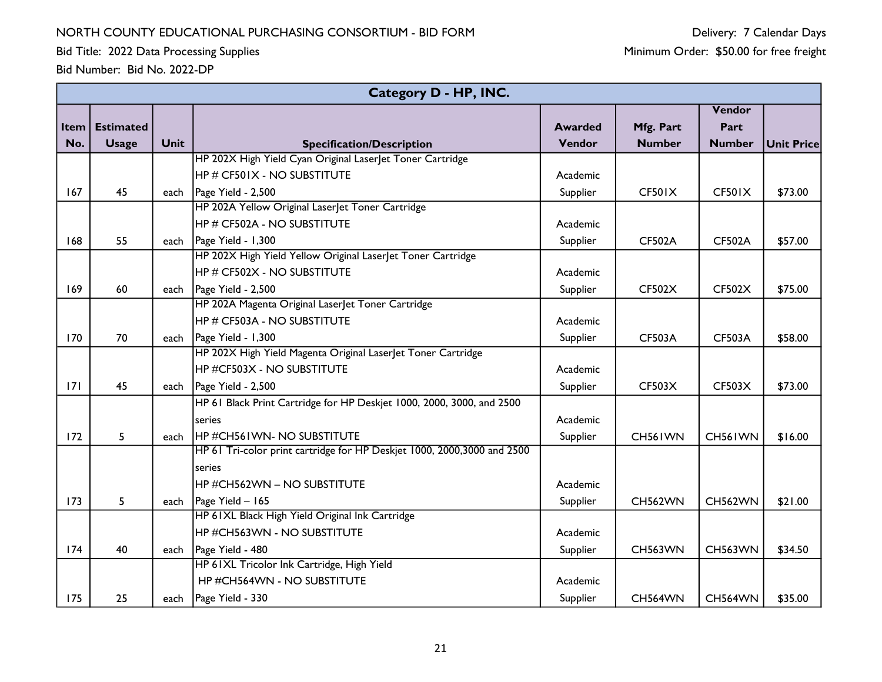Bid Title: 2022 Data Processing Supplies

|             |                  |      | <b>Category D - HP, INC.</b>                                            |                |                |                |                   |
|-------------|------------------|------|-------------------------------------------------------------------------|----------------|----------------|----------------|-------------------|
|             |                  |      |                                                                         |                |                | Vendor         |                   |
| <b>Item</b> | <b>Estimated</b> |      |                                                                         | <b>Awarded</b> | Mfg. Part      | Part           |                   |
| No.         | <b>Usage</b>     | Unit | <b>Specification/Description</b>                                        | Vendor         | <b>Number</b>  | <b>Number</b>  | <b>Unit Price</b> |
|             |                  |      | HP 202X High Yield Cyan Original LaserJet Toner Cartridge               |                |                |                |                   |
|             |                  |      | <b>HP # CF501X - NO SUBSTITUTE</b>                                      | Academic       |                |                |                   |
| 167         | 45               | each | Page Yield - 2,500                                                      | Supplier       | <b>CF501X</b>  | CF501X         | \$73.00           |
|             |                  |      | HP 202A Yellow Original LaserJet Toner Cartridge                        |                |                |                |                   |
|             |                  |      | <b>HP # CF502A - NO SUBSTITUTE</b>                                      | Academic       |                |                |                   |
| 168         | 55               | each | Page Yield - 1,300                                                      | Supplier       | <b>CF502A</b>  | <b>CF502A</b>  | \$57.00           |
|             |                  |      | HP 202X High Yield Yellow Original Laserlet Toner Cartridge             |                |                |                |                   |
|             |                  |      | <b>HP # CF502X - NO SUBSTITUTE</b>                                      | Academic       |                |                |                   |
| 169         | 60               | each | Page Yield - 2,500                                                      | Supplier       | <b>CF502X</b>  | <b>CF502X</b>  | \$75.00           |
|             |                  |      | HP 202A Magenta Original Laserlet Toner Cartridge                       |                |                |                |                   |
|             |                  |      | <b>HP # CF503A - NO SUBSTITUTE</b>                                      | Academic       |                |                |                   |
| 170         | 70               | each | Page Yield - 1,300                                                      | Supplier       | <b>CF503A</b>  | <b>CF503A</b>  | \$58.00           |
|             |                  |      | HP 202X High Yield Magenta Original LaserJet Toner Cartridge            |                |                |                |                   |
|             |                  |      | <b>HP #CF503X - NO SUBSTITUTE</b>                                       | Academic       |                |                |                   |
| 171         | 45               | each | Page Yield - 2,500                                                      | Supplier       | CF503X         | <b>CF503X</b>  | \$73.00           |
|             |                  |      | HP 61 Black Print Cartridge for HP Deskjet 1000, 2000, 3000, and 2500   |                |                |                |                   |
|             |                  |      | series                                                                  | Academic       |                |                |                   |
| 172         | 5                | each | <b>HP #CH561WN- NO SUBSTITUTE</b>                                       | Supplier       | CH561WN        | CH561WN        | \$16.00           |
|             |                  |      | HP 61 Tri-color print cartridge for HP Deskjet 1000, 2000,3000 and 2500 |                |                |                |                   |
|             |                  |      | series                                                                  |                |                |                |                   |
|             |                  |      | HP #CH562WN - NO SUBSTITUTE                                             | Academic       |                |                |                   |
| 173         | 5                | each | Page Yield - 165                                                        | Supplier       | <b>CH562WN</b> | <b>CH562WN</b> | \$21.00           |
|             |                  |      | HP 61XL Black High Yield Original Ink Cartridge                         |                |                |                |                   |
|             |                  |      | <b>HP #CH563WN - NO SUBSTITUTE</b>                                      | Academic       |                |                |                   |
| 174         | 40               | each | Page Yield - 480                                                        | Supplier       | <b>CH563WN</b> | <b>CH563WN</b> | \$34.50           |
|             |                  |      | HP 61XL Tricolor Ink Cartridge, High Yield                              |                |                |                |                   |
|             |                  |      | HP #CH564WN - NO SUBSTITUTE                                             | Academic       |                |                |                   |
| 175         | 25               |      | each   Page Yield - 330                                                 | Supplier       | <b>CH564WN</b> | <b>CH564WN</b> | \$35.00           |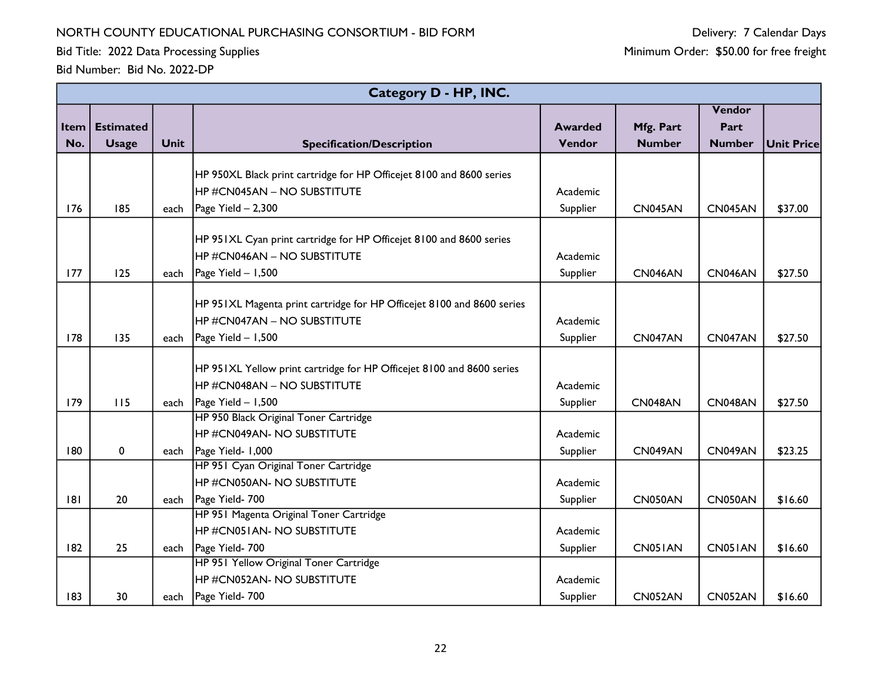Bid Title: 2022 Data Processing Supplies

|      | Category D - HP, INC. |             |                                                                        |                |               |                |                   |  |  |  |
|------|-----------------------|-------------|------------------------------------------------------------------------|----------------|---------------|----------------|-------------------|--|--|--|
|      |                       |             |                                                                        |                |               | Vendor         |                   |  |  |  |
| Item | <b>Estimated</b>      |             |                                                                        | <b>Awarded</b> | Mfg. Part     | Part           |                   |  |  |  |
| No.  | <b>Usage</b>          | <b>Unit</b> | <b>Specification/Description</b>                                       | Vendor         | <b>Number</b> | <b>Number</b>  | <b>Unit Price</b> |  |  |  |
|      |                       |             |                                                                        |                |               |                |                   |  |  |  |
|      |                       |             | HP 950XL Black print cartridge for HP Officejet 8100 and 8600 series   |                |               |                |                   |  |  |  |
|      |                       |             | HP#CN045AN - NO SUBSTITUTE                                             | Academic       |               |                |                   |  |  |  |
| 176  | 185                   | each        | $Page$ Yield $-2,300$                                                  | Supplier       | CN045AN       | <b>CN045AN</b> | \$37.00           |  |  |  |
|      |                       |             |                                                                        |                |               |                |                   |  |  |  |
|      |                       |             | HP 951XL Cyan print cartridge for HP Officejet 8100 and 8600 series    |                |               |                |                   |  |  |  |
|      |                       |             | HP#CN046AN - NO SUBSTITUTE                                             | Academic       |               |                |                   |  |  |  |
| 177  | 125                   | each        | Page Yield - 1,500                                                     | Supplier       | CN046AN       | <b>CN046AN</b> | \$27.50           |  |  |  |
|      |                       |             |                                                                        |                |               |                |                   |  |  |  |
|      |                       |             | HP 951XL Magenta print cartridge for HP Officejet 8100 and 8600 series |                |               |                |                   |  |  |  |
|      |                       |             | HP#CN047AN - NO SUBSTITUTE                                             | Academic       |               |                |                   |  |  |  |
| 178  | 135                   | each        | Page Yield - 1,500                                                     | Supplier       | CN047AN       | CN047AN        | \$27.50           |  |  |  |
|      |                       |             |                                                                        |                |               |                |                   |  |  |  |
|      |                       |             | HP 951XL Yellow print cartridge for HP Officejet 8100 and 8600 series  |                |               |                |                   |  |  |  |
|      |                       |             | HP#CN048AN - NO SUBSTITUTE                                             | Academic       |               |                |                   |  |  |  |
| 179  | 115                   | each        | Page Yield - 1,500                                                     | Supplier       | CN048AN       | CN048AN        | \$27.50           |  |  |  |
|      |                       |             | HP 950 Black Original Toner Cartridge                                  |                |               |                |                   |  |  |  |
|      |                       |             | HP#CN049AN- NO SUBSTITUTE                                              | Academic       |               |                |                   |  |  |  |
| 180  | $\mathbf 0$           | each        | Page Yield- 1,000                                                      | Supplier       | CN049AN       | CN049AN        | \$23.25           |  |  |  |
|      |                       |             | HP 951 Cyan Original Toner Cartridge                                   |                |               |                |                   |  |  |  |
|      |                       |             | HP#CN050AN- NO SUBSTITUTE                                              | Academic       |               |                |                   |  |  |  |
| 8    | 20                    | each        | Page Yield- 700                                                        | Supplier       | CN050AN       | <b>CN050AN</b> | \$16.60           |  |  |  |
|      |                       |             | HP 951 Magenta Original Toner Cartridge                                |                |               |                |                   |  |  |  |
|      |                       |             | HP#CN051AN-NO SUBSTITUTE                                               | Academic       |               |                |                   |  |  |  |
| 182  | 25                    | each        | Page Yield- 700                                                        | Supplier       | CN051AN       | CN051AN        | \$16.60           |  |  |  |
|      |                       |             | HP 951 Yellow Original Toner Cartridge                                 |                |               |                |                   |  |  |  |
|      |                       |             | HP#CN052AN- NO SUBSTITUTE                                              | Academic       |               |                |                   |  |  |  |
| 183  | 30                    | each        | Page Yield- 700                                                        | Supplier       | CN052AN       | <b>CN052AN</b> | \$16.60           |  |  |  |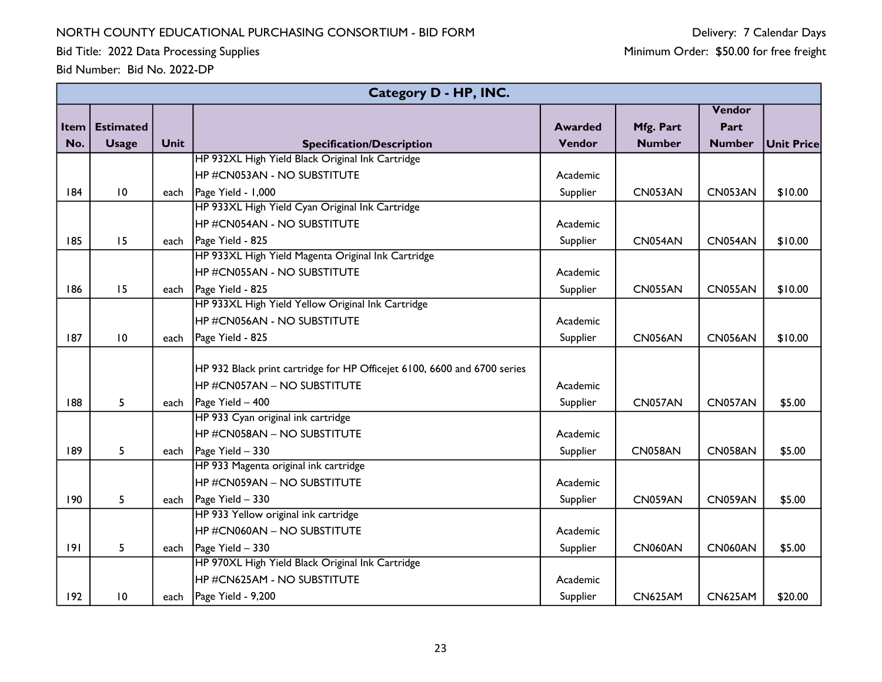Bid Title: 2022 Data Processing Supplies

|             | Category D - HP, INC. |      |                                                                          |                |                |                |            |  |  |  |
|-------------|-----------------------|------|--------------------------------------------------------------------------|----------------|----------------|----------------|------------|--|--|--|
|             |                       |      |                                                                          |                |                | Vendor         |            |  |  |  |
| <b>Item</b> | <b>Estimated</b>      |      |                                                                          | <b>Awarded</b> | Mfg. Part      | Part           |            |  |  |  |
| No.         | <b>Usage</b>          | Unit | <b>Specification/Description</b>                                         | Vendor         | <b>Number</b>  | <b>Number</b>  | Unit Price |  |  |  |
|             |                       |      | HP 932XL High Yield Black Original Ink Cartridge                         |                |                |                |            |  |  |  |
|             |                       |      | <b>HP #CN053AN - NO SUBSTITUTE</b>                                       | Academic       |                |                |            |  |  |  |
| 184         | $\overline{10}$       | each | Page Yield - 1,000                                                       | Supplier       | CN053AN        | CN053AN        | \$10.00    |  |  |  |
|             |                       |      | HP 933XL High Yield Cyan Original Ink Cartridge                          |                |                |                |            |  |  |  |
|             |                       |      | <b>HP #CN054AN - NO SUBSTITUTE</b>                                       | Academic       |                |                |            |  |  |  |
| 185         | 15                    | each | Page Yield - 825                                                         | Supplier       | CN054AN        | CN054AN        | \$10.00    |  |  |  |
|             |                       |      | HP 933XL High Yield Magenta Original Ink Cartridge                       |                |                |                |            |  |  |  |
|             |                       |      | HP#CN055AN - NO SUBSTITUTE                                               | Academic       |                |                |            |  |  |  |
| 186         | 15                    | each | Page Yield - 825                                                         | Supplier       | CN055AN        | CN055AN        | \$10.00    |  |  |  |
|             |                       |      | HP 933XL High Yield Yellow Original Ink Cartridge                        |                |                |                |            |  |  |  |
|             |                       |      | <b>HP #CN056AN - NO SUBSTITUTE</b>                                       | Academic       |                |                |            |  |  |  |
| 187         | $\overline{10}$       | each | Page Yield - 825                                                         | Supplier       | <b>CN056AN</b> | <b>CN056AN</b> | \$10.00    |  |  |  |
|             |                       |      |                                                                          |                |                |                |            |  |  |  |
|             |                       |      | HP 932 Black print cartridge for HP Officejet 6100, 6600 and 6700 series |                |                |                |            |  |  |  |
|             |                       |      | <b>HP #CN057AN - NO SUBSTITUTE</b>                                       | Academic       |                |                |            |  |  |  |
| 188         | 5                     | each | Page Yield - 400                                                         | Supplier       | CN057AN        | CN057AN        | \$5.00     |  |  |  |
|             |                       |      | HP 933 Cyan original ink cartridge                                       |                |                |                |            |  |  |  |
|             |                       |      | <b>HP #CN058AN - NO SUBSTITUTE</b>                                       | Academic       |                |                |            |  |  |  |
| 189         | 5                     | each | Page Yield - 330                                                         | Supplier       | CN058AN        | CN058AN        | \$5.00     |  |  |  |
|             |                       |      | HP 933 Magenta original ink cartridge                                    |                |                |                |            |  |  |  |
|             |                       |      | HP#CN059AN - NO SUBSTITUTE                                               | Academic       |                |                |            |  |  |  |
| 190         | 5                     | each | Page Yield - 330                                                         | Supplier       | <b>CN059AN</b> | CN059AN        | \$5.00     |  |  |  |
|             |                       |      | HP 933 Yellow original ink cartridge                                     |                |                |                |            |  |  |  |
|             |                       |      | HP#CN060AN - NO SUBSTITUTE                                               | Academic       |                |                |            |  |  |  |
| 9           | 5                     | each | Page Yield - 330                                                         | Supplier       | <b>CN060AN</b> | <b>CN060AN</b> | \$5.00     |  |  |  |
|             |                       |      | HP 970XL High Yield Black Original Ink Cartridge                         |                |                |                |            |  |  |  |
|             |                       |      | <b>HP #CN625AM - NO SUBSTITUTE</b>                                       | Academic       |                |                |            |  |  |  |
| 192         | 10                    | each | Page Yield - 9,200                                                       | Supplier       | <b>CN625AM</b> | <b>CN625AM</b> | \$20.00    |  |  |  |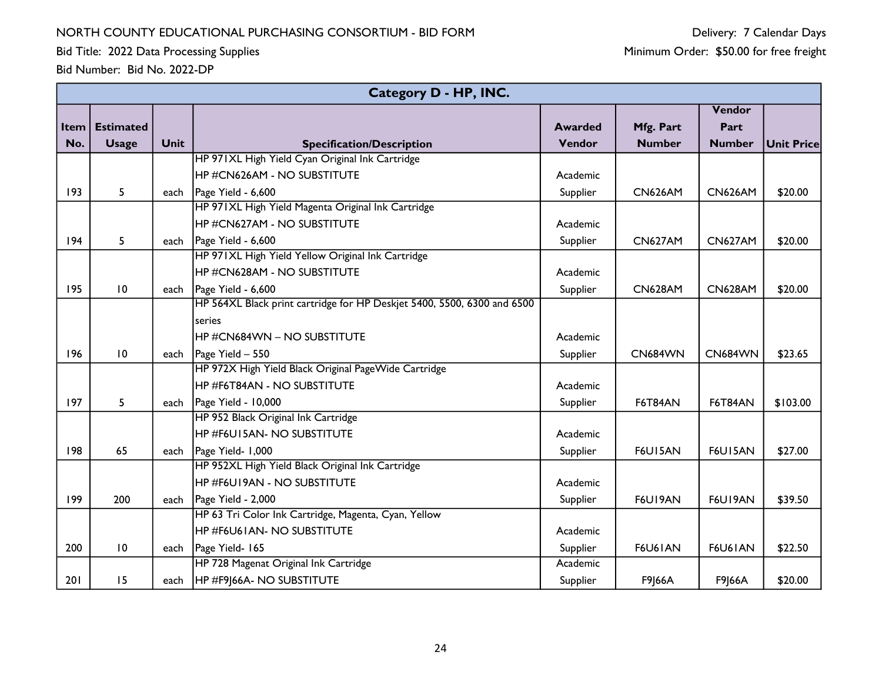Bid Title: 2022 Data Processing Supplies

|             | Category D - HP, INC. |             |                                                                         |                |                |                |            |  |  |  |
|-------------|-----------------------|-------------|-------------------------------------------------------------------------|----------------|----------------|----------------|------------|--|--|--|
|             |                       |             |                                                                         |                |                | Vendor         |            |  |  |  |
| <b>Item</b> | <b>Estimated</b>      |             |                                                                         | <b>Awarded</b> | Mfg. Part      | Part           |            |  |  |  |
| No.         | <b>Usage</b>          | <b>Unit</b> | <b>Specification/Description</b>                                        | Vendor         | <b>Number</b>  | <b>Number</b>  | Unit Price |  |  |  |
|             |                       |             | HP 971XL High Yield Cyan Original Ink Cartridge                         |                |                |                |            |  |  |  |
|             |                       |             | HP #CN626AM - NO SUBSTITUTE                                             | Academic       |                |                |            |  |  |  |
| 193         | 5                     | each        | Page Yield - 6,600                                                      | Supplier       | <b>CN626AM</b> | <b>CN626AM</b> | \$20.00    |  |  |  |
|             |                       |             | HP 971XL High Yield Magenta Original Ink Cartridge                      |                |                |                |            |  |  |  |
|             |                       |             | HP #CN627AM - NO SUBSTITUTE                                             | Academic       |                |                |            |  |  |  |
| 194         | 5                     |             | each $\vert$ Page Yield - 6,600                                         | Supplier       | <b>CN627AM</b> | <b>CN627AM</b> | \$20.00    |  |  |  |
|             |                       |             | HP 971XL High Yield Yellow Original Ink Cartridge                       |                |                |                |            |  |  |  |
|             |                       |             | <b>HP #CN628AM - NO SUBSTITUTE</b>                                      | Academic       |                |                |            |  |  |  |
| 195         | $\overline{10}$       |             | each $\vert$ Page Yield - 6,600                                         | Supplier       | <b>CN628AM</b> | <b>CN628AM</b> | \$20.00    |  |  |  |
|             |                       |             | HP 564XL Black print cartridge for HP Deskjet 5400, 5500, 6300 and 6500 |                |                |                |            |  |  |  |
|             |                       |             | series                                                                  |                |                |                |            |  |  |  |
|             |                       |             | <b>HP #CN684WN - NO SUBSTITUTE</b>                                      | Academic       |                |                |            |  |  |  |
| 196         | $\overline{10}$       | each        | Page Yield - 550                                                        | Supplier       | <b>CN684WN</b> | <b>CN684WN</b> | \$23.65    |  |  |  |
|             |                       |             | HP 972X High Yield Black Original PageWide Cartridge                    |                |                |                |            |  |  |  |
|             |                       |             | <b>HP #F6T84AN - NO SUBSTITUTE</b>                                      | Academic       |                |                |            |  |  |  |
| 197         | 5                     |             | each   Page Yield - 10,000                                              | Supplier       | F6T84AN        | <b>F6T84AN</b> | \$103.00   |  |  |  |
|             |                       |             | HP 952 Black Original Ink Cartridge                                     |                |                |                |            |  |  |  |
|             |                       |             | <b>HP #F6UI5AN- NO SUBSTITUTE</b>                                       | Academic       |                |                |            |  |  |  |
| 198         | 65                    | each        | Page Yield- 1,000                                                       | Supplier       | <b>F6U15AN</b> | F6U15AN        | \$27.00    |  |  |  |
|             |                       |             | HP 952XL High Yield Black Original Ink Cartridge                        |                |                |                |            |  |  |  |
|             |                       |             | <b>HP #F6U19AN - NO SUBSTITUTE</b>                                      | Academic       |                |                |            |  |  |  |
| 199         | 200                   | each        | Page Yield - 2,000                                                      | Supplier       | F6U19AN        | F6U19AN        | \$39.50    |  |  |  |
|             |                       |             | HP 63 Tri Color Ink Cartridge, Magenta, Cyan, Yellow                    |                |                |                |            |  |  |  |
|             |                       |             | <b>HP #F6U61AN- NO SUBSTITUTE</b>                                       | Academic       |                |                |            |  |  |  |
| 200         | $\overline{10}$       | each        | Page Yield- 165                                                         | Supplier       | <b>F6U61AN</b> | <b>F6U61AN</b> | \$22.50    |  |  |  |
|             |                       |             | HP 728 Magenat Original Ink Cartridge                                   | Academic       |                |                |            |  |  |  |
| 201         | 15                    |             | each   HP #F9 66A- NO SUBSTITUTE                                        | Supplier       | F9 66A         | F9 66A         | \$20.00    |  |  |  |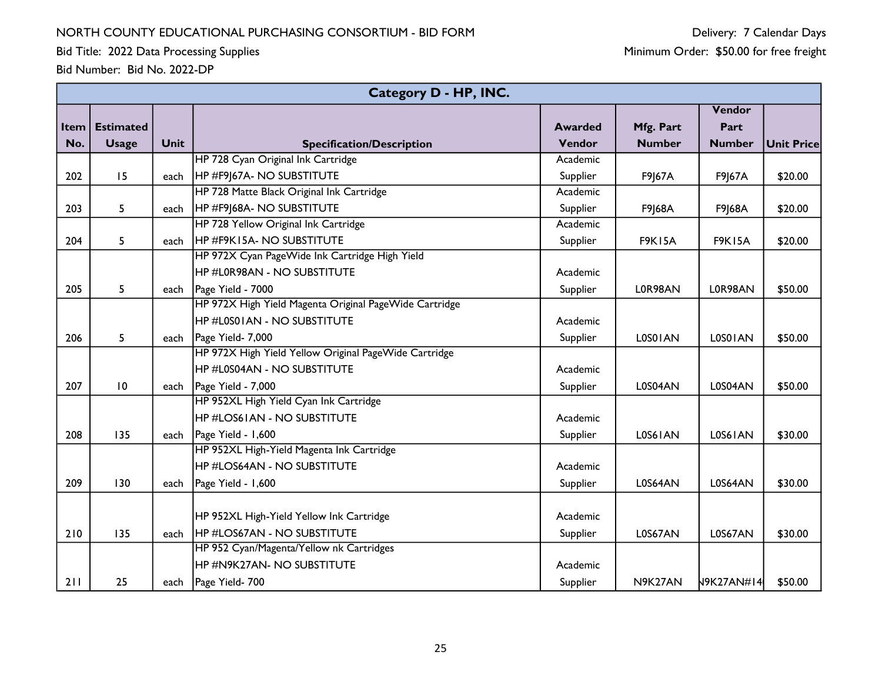Bid Title: 2022 Data Processing Supplies

|             |                  |             | Category D - HP, INC.                                  |                |               |               |                   |
|-------------|------------------|-------------|--------------------------------------------------------|----------------|---------------|---------------|-------------------|
|             |                  |             |                                                        |                |               | Vendor        |                   |
| <b>Item</b> | <b>Estimated</b> |             |                                                        | <b>Awarded</b> | Mfg. Part     | Part          |                   |
| No.         | <b>Usage</b>     | <b>Unit</b> | <b>Specification/Description</b>                       | Vendor         | <b>Number</b> | <b>Number</b> | <b>Unit Price</b> |
|             |                  |             | HP 728 Cyan Original Ink Cartridge                     | Academic       |               |               |                   |
| 202         | 15               | each        | HP #F9J67A- NO SUBSTITUTE                              | Supplier       | F9J67A        | F9J67A        | \$20.00           |
|             |                  |             | HP 728 Matte Black Original Ink Cartridge              | Academic       |               |               |                   |
| 203         | 5                | each        | HP #F9J68A- NO SUBSTITUTE                              | Supplier       | F9J68A        | F9 68A        | \$20.00           |
|             |                  |             | HP 728 Yellow Original Ink Cartridge                   | Academic       |               |               |                   |
| 204         | 5                | each        | HP #F9K15A- NO SUBSTITUTE                              | Supplier       | <b>F9K15A</b> | <b>F9K15A</b> | \$20.00           |
|             |                  |             | HP 972X Cyan PageWide Ink Cartridge High Yield         |                |               |               |                   |
|             |                  |             | HP#L0R98AN - NO SUBSTITUTE                             | Academic       |               |               |                   |
| 205         | 5                | each        | Page Yield - 7000                                      | Supplier       | L0R98AN       | L0R98AN       | \$50.00           |
|             |                  |             | HP 972X High Yield Magenta Original PageWide Cartridge |                |               |               |                   |
|             |                  |             | <b>HP #L0S01AN - NO SUBSTITUTE</b>                     | Academic       |               |               |                   |
| 206         | 5                | each        | Page Yield- 7,000                                      | Supplier       | L0S01AN       | LOSO I AN     | \$50.00           |
|             |                  |             | HP 972X High Yield Yellow Original PageWide Cartridge  |                |               |               |                   |
|             |                  |             | <b>HP #L0S04AN - NO SUBSTITUTE</b>                     | Academic       |               |               |                   |
| 207         | $\overline{10}$  | each        | Page Yield - 7,000                                     | Supplier       | L0S04AN       | L0S04AN       | \$50.00           |
|             |                  |             | HP 952XL High Yield Cyan Ink Cartridge                 |                |               |               |                   |
|             |                  |             | <b>HP #LOS61AN - NO SUBSTITUTE</b>                     | Academic       |               |               |                   |
| 208         | 135              | each        | Page Yield - 1,600                                     | Supplier       | L0S61AN       | L0S61AN       | \$30.00           |
|             |                  |             | HP 952XL High-Yield Magenta Ink Cartridge              |                |               |               |                   |
|             |                  |             | <b>HP #LOS64AN - NO SUBSTITUTE</b>                     | Academic       |               |               |                   |
| 209         | 130              | each        | Page Yield - 1,600                                     | Supplier       | L0S64AN       | L0S64AN       | \$30.00           |
|             |                  |             |                                                        |                |               |               |                   |
|             |                  |             | HP 952XL High-Yield Yellow Ink Cartridge               | Academic       |               |               |                   |
| 210         | 135              | each        | <b>HP #LOS67AN - NO SUBSTITUTE</b>                     | Supplier       | L0S67AN       | L0S67AN       | \$30.00           |
|             |                  |             | HP 952 Cyan/Magenta/Yellow nk Cartridges               |                |               |               |                   |
|             |                  |             | HP#N9K27AN- NO SUBSTITUTE                              | Academic       |               |               |                   |
| 211         | 25               | each        | Page Yield- 700                                        | Supplier       | N9K27AN       | N9K27AN#14    | \$50.00           |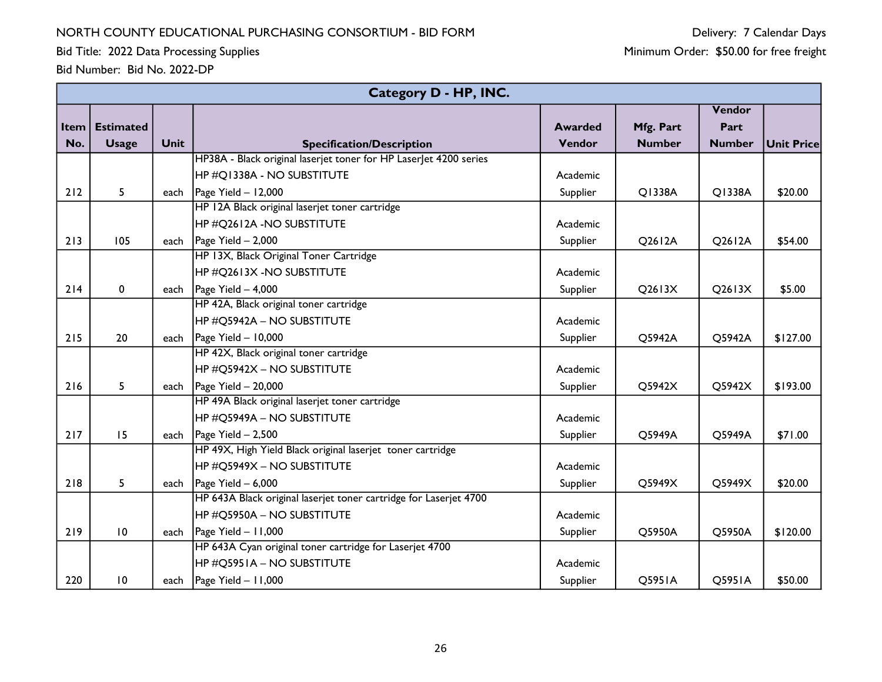Bid Title: 2022 Data Processing Supplies

|      | <b>Category D - HP, INC.</b> |             |                                                                   |                |               |               |                   |  |  |  |
|------|------------------------------|-------------|-------------------------------------------------------------------|----------------|---------------|---------------|-------------------|--|--|--|
|      |                              |             |                                                                   |                |               | Vendor        |                   |  |  |  |
| Item | <b>Estimated</b>             |             |                                                                   | <b>Awarded</b> | Mfg. Part     | Part          |                   |  |  |  |
| No.  | <b>Usage</b>                 | <b>Unit</b> | <b>Specification/Description</b>                                  | Vendor         | <b>Number</b> | <b>Number</b> | <b>Unit Price</b> |  |  |  |
|      |                              |             | HP38A - Black original laserjet toner for HP Laserlet 4200 series |                |               |               |                   |  |  |  |
|      |                              |             | HP #Q1338A - NO SUBSTITUTE                                        | Academic       |               |               |                   |  |  |  |
| 212  | 5                            | each        | Page Yield $-$ 12,000                                             | Supplier       | Q1338A        | Q1338A        | \$20.00           |  |  |  |
|      |                              |             | HP 12A Black original laserjet toner cartridge                    |                |               |               |                   |  |  |  |
|      |                              |             | HP #Q2612A -NO SUBSTITUTE                                         | Academic       |               |               |                   |  |  |  |
| 213  | 105                          |             | each $\vert$ Page Yield - 2,000                                   | Supplier       | Q2612A        | Q2612A        | \$54.00           |  |  |  |
|      |                              |             | HP 13X, Black Original Toner Cartridge                            |                |               |               |                   |  |  |  |
|      |                              |             | $\overline{\rm HP}$ #Q2613X -NO SUBSTITUTE                        | Academic       |               |               |                   |  |  |  |
| 214  | 0                            | each        | Page Yield - 4,000                                                | Supplier       | $Q$ 2613 $X$  | $Q$ 2613 $X$  | \$5.00            |  |  |  |
|      |                              |             | HP 42A, Black original toner cartridge                            |                |               |               |                   |  |  |  |
|      |                              |             | HP #O5942A – NO SUBSTITUTE                                        | Academic       |               |               |                   |  |  |  |
| 215  | 20                           | each        | Page Yield $-10,000$                                              | Supplier       | Q5942A        | Q5942A        | \$127.00          |  |  |  |
|      |                              |             | HP 42X, Black original toner cartridge                            |                |               |               |                   |  |  |  |
|      |                              |             | <b>HP #Q5942X - NO SUBSTITUTE</b>                                 | Academic       |               |               |                   |  |  |  |
| 216  | 5                            | each        | $\vert$ Page Yield - 20,000                                       | Supplier       | Q5942X        | Q5942X        | \$193.00          |  |  |  |
|      |                              |             | HP 49A Black original laserjet toner cartridge                    |                |               |               |                   |  |  |  |
|      |                              |             | HP #Q5949A - NO SUBSTITUTE                                        | Academic       |               |               |                   |  |  |  |
| 217  | 15                           |             | each $\vert$ Page Yield - 2,500                                   | Supplier       | Q5949A        | Q5949A        | \$71.00           |  |  |  |
|      |                              |             | HP 49X, High Yield Black original laserjet toner cartridge        |                |               |               |                   |  |  |  |
|      |                              |             | $\overline{ {\sf HP}\,\# {\sf Q}}$ 5949X – NO SUBSTITUTE          | Academic       |               |               |                   |  |  |  |
| 218  | 5                            |             | each $\vert$ Page Yield - 6,000                                   | Supplier       | Q5949X        | Q5949X        | \$20.00           |  |  |  |
|      |                              |             | HP 643A Black original laserjet toner cartridge for Laserjet 4700 |                |               |               |                   |  |  |  |
|      |                              |             | HP #Q5950A – NO SUBSTITUTE                                        | Academic       |               |               |                   |  |  |  |
| 219  | 10                           |             | each $\vert$ Page Yield - 11,000                                  | Supplier       | Q5950A        | Q5950A        | \$120.00          |  |  |  |
|      |                              |             | HP 643A Cyan original toner cartridge for Laserjet 4700           |                |               |               |                   |  |  |  |
|      |                              |             | HP #Q5951A - NO SUBSTITUTE                                        | Academic       |               |               |                   |  |  |  |
| 220  | 10                           |             | each $\vert$ Page Yield - 11,000                                  | Supplier       | Q5951A        | Q5951A        | \$50.00           |  |  |  |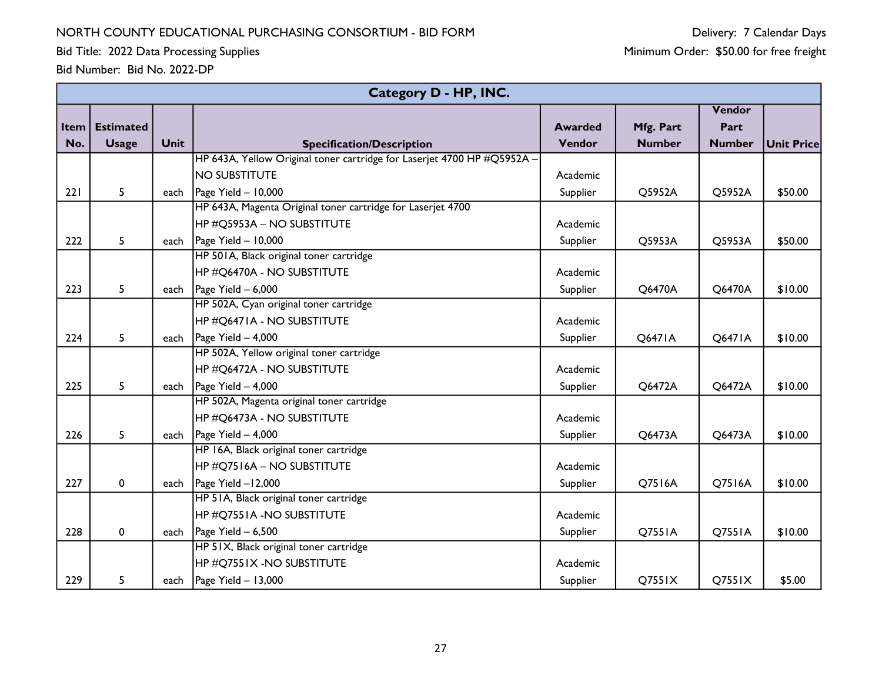Bid Title: 2022 Data Processing Supplies

|      | Category D - HP, INC. |             |                                                                         |                |               |               |            |  |  |  |
|------|-----------------------|-------------|-------------------------------------------------------------------------|----------------|---------------|---------------|------------|--|--|--|
|      |                       |             |                                                                         |                |               | Vendor        |            |  |  |  |
| Item | <b>Estimated</b>      |             |                                                                         | <b>Awarded</b> | Mfg. Part     | Part          |            |  |  |  |
| No.  | <b>Usage</b>          | <b>Unit</b> | <b>Specification/Description</b>                                        | Vendor         | <b>Number</b> | <b>Number</b> | Unit Price |  |  |  |
|      |                       |             | HP 643A, Yellow Original toner cartridge for Laserjet 4700 HP #Q5952A - |                |               |               |            |  |  |  |
|      |                       |             | <b>NO SUBSTITUTE</b>                                                    | Academic       |               |               |            |  |  |  |
| 221  | 5                     | each        | $\vert$ Page Yield - 10,000                                             | Supplier       | Q5952A        | Q5952A        | \$50.00    |  |  |  |
|      |                       |             | HP 643A, Magenta Original toner cartridge for Laserjet 4700             |                |               |               |            |  |  |  |
|      |                       |             | HP #Q5953A – NO SUBSTITUTE                                              | Academic       |               |               |            |  |  |  |
| 222  | 5                     |             | each $\vert$ Page Yield - 10,000                                        | Supplier       | Q5953A        | Q5953A        | \$50.00    |  |  |  |
|      |                       |             | HP 501A, Black original toner cartridge                                 |                |               |               |            |  |  |  |
|      |                       |             | HP #Q6470A - NO SUBSTITUTE                                              | Academic       |               |               |            |  |  |  |
| 223  | 5                     | each        | Page Yield $-6,000$                                                     | Supplier       | Q6470A        | Q6470A        | \$10.00    |  |  |  |
|      |                       |             | HP 502A, Cyan original toner cartridge                                  |                |               |               |            |  |  |  |
|      |                       |             | <b>HP #Q6471A - NO SUBSTITUTE</b>                                       | Academic       |               |               |            |  |  |  |
| 224  | 5                     | each        | Page Yield $-4,000$                                                     | Supplier       | Q6471A        | Q6471A        | \$10.00    |  |  |  |
|      |                       |             | HP 502A, Yellow original toner cartridge                                |                |               |               |            |  |  |  |
|      |                       |             | HP #Q6472A - NO SUBSTITUTE                                              | Academic       |               |               |            |  |  |  |
| 225  | 5                     | each        | Page Yield $-4,000$                                                     | Supplier       | Q6472A        | Q6472A        | \$10.00    |  |  |  |
|      |                       |             | HP 502A, Magenta original toner cartridge                               |                |               |               |            |  |  |  |
|      |                       |             | HP #Q6473A - NO SUBSTITUTE                                              | Academic       |               |               |            |  |  |  |
| 226  | 5                     |             | each $\vert$ Page Yield - 4,000                                         | Supplier       | Q6473A        | Q6473A        | \$10.00    |  |  |  |
|      |                       |             | HP 16A, Black original toner cartridge                                  |                |               |               |            |  |  |  |
|      |                       |             | HP #Q7516A – NO SUBSTITUTE                                              | Academic       |               |               |            |  |  |  |
| 227  | $\pmb{0}$             | each        | Page Yield $-12,000$                                                    | Supplier       | Q7516A        | Q7516A        | \$10.00    |  |  |  |
|      |                       |             | HP 51A, Black original toner cartridge                                  |                |               |               |            |  |  |  |
|      |                       |             | <b>HP #Q7551A -NO SUBSTITUTE</b>                                        | Academic       |               |               |            |  |  |  |
| 228  | 0                     | each        | Page Yield $-6,500$                                                     | Supplier       | Q7551A        | Q7551A        | \$10.00    |  |  |  |
|      |                       |             | HP 51X, Black original toner cartridge                                  |                |               |               |            |  |  |  |
|      |                       |             | $\overline{\rm HP}$ #Q7551X -NO SUBSTITUTE                              | Academic       |               |               |            |  |  |  |
| 229  | 5                     |             | each $\vert$ Page Yield - 13,000                                        | Supplier       | Q7551X        | Q7551X        | \$5.00     |  |  |  |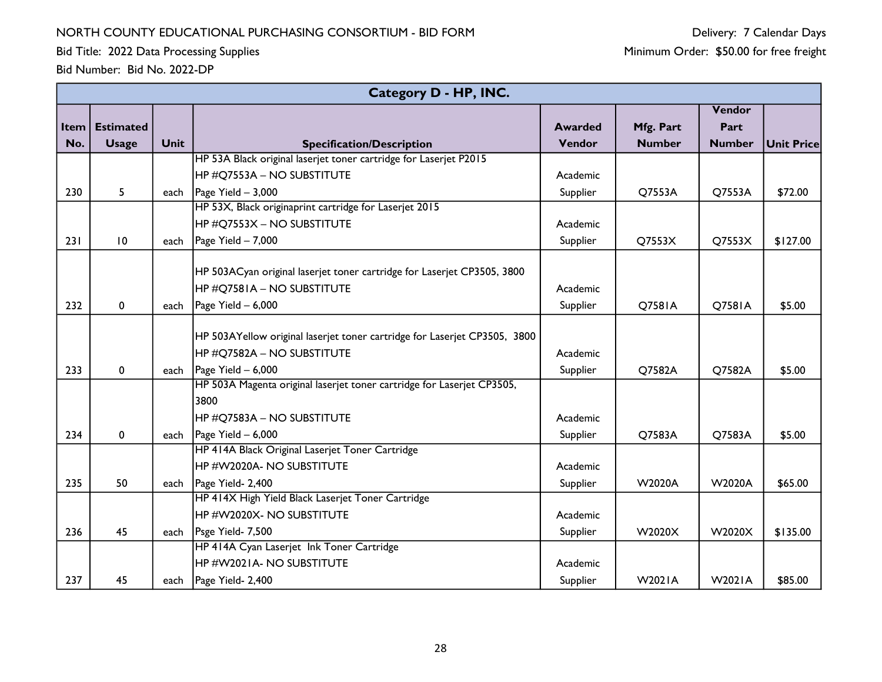Bid Title: 2022 Data Processing Supplies

|      | Category D - HP, INC. |             |                                                                           |                |               |               |                   |  |  |  |
|------|-----------------------|-------------|---------------------------------------------------------------------------|----------------|---------------|---------------|-------------------|--|--|--|
|      |                       |             |                                                                           |                |               | Vendor        |                   |  |  |  |
| Item | <b>Estimated</b>      |             |                                                                           | <b>Awarded</b> | Mfg. Part     | Part          |                   |  |  |  |
| No.  | <b>Usage</b>          | <b>Unit</b> | <b>Specification/Description</b>                                          | Vendor         | <b>Number</b> | <b>Number</b> | <b>Unit Price</b> |  |  |  |
|      |                       |             | HP 53A Black original laserjet toner cartridge for Laserjet P2015         |                |               |               |                   |  |  |  |
|      |                       |             | HP #Q7553A – NO SUBSTITUTE                                                | Academic       |               |               |                   |  |  |  |
| 230  | 5                     |             | each   Page Yield $-3,000$                                                | Supplier       | Q7553A        | Q7553A        | \$72.00           |  |  |  |
|      |                       |             | HP 53X, Black originaprint cartridge for Laserjet 2015                    |                |               |               |                   |  |  |  |
|      |                       |             | HP #Q7553X – NO SUBSTITUTE                                                | Academic       |               |               |                   |  |  |  |
| 231  | 10                    | each        | $\vert$ Page Yield - 7,000                                                | Supplier       | Q7553X        | Q7553X        | \$127.00          |  |  |  |
|      |                       |             | HP 503ACyan original laserjet toner cartridge for Laserjet CP3505, 3800   |                |               |               |                   |  |  |  |
|      |                       |             | HP #Q7581A - NO SUBSTITUTE                                                | Academic       |               |               |                   |  |  |  |
| 232  |                       |             |                                                                           |                | <b>Q7581A</b> |               |                   |  |  |  |
|      | $\pmb{0}$             | each        | $\vert$ Page Yield - 6,000                                                | Supplier       |               | Q7581A        | \$5.00            |  |  |  |
|      |                       |             | HP 503AYellow original laserjet toner cartridge for Laserjet CP3505, 3800 |                |               |               |                   |  |  |  |
|      |                       |             | <b>HP #Q7582A - NO SUBSTITUTE</b>                                         | Academic       |               |               |                   |  |  |  |
| 233  | 0                     | each        | Page Yield - 6,000                                                        | Supplier       | Q7582A        | Q7582A        | \$5.00            |  |  |  |
|      |                       |             | HP 503A Magenta original laserjet toner cartridge for Laserjet CP3505,    |                |               |               |                   |  |  |  |
|      |                       |             | 3800                                                                      |                |               |               |                   |  |  |  |
|      |                       |             | HP #Q7583A – NO SUBSTITUTE                                                | Academic       |               |               |                   |  |  |  |
| 234  | $\mathbf 0$           |             | each   Page Yield $-6,000$                                                | Supplier       | Q7583A        | Q7583A        | \$5.00            |  |  |  |
|      |                       |             | HP 414A Black Original Laserjet Toner Cartridge                           |                |               |               |                   |  |  |  |
|      |                       |             | HP #W2020A- NO SUBSTITUTE                                                 | Academic       |               |               |                   |  |  |  |
| 235  | 50                    | each        | Page Yield- 2,400                                                         | Supplier       | <b>W2020A</b> | <b>W2020A</b> | \$65.00           |  |  |  |
|      |                       |             | HP 414X High Yield Black Laserjet Toner Cartridge                         |                |               |               |                   |  |  |  |
|      |                       |             | HP#W2020X-NO SUBSTITUTE                                                   | Academic       |               |               |                   |  |  |  |
| 236  | 45                    |             | each   Psge Yield- 7,500                                                  | Supplier       | W2020X        | W2020X        | \$135.00          |  |  |  |
|      |                       |             | HP 414A Cyan Laserjet Ink Toner Cartridge                                 |                |               |               |                   |  |  |  |
|      |                       |             | HP #W2021A- NO SUBSTITUTE                                                 | Academic       |               |               |                   |  |  |  |
| 237  | 45                    | each        | Page Yield- 2,400                                                         | Supplier       | <b>W2021A</b> | <b>W2021A</b> | \$85.00           |  |  |  |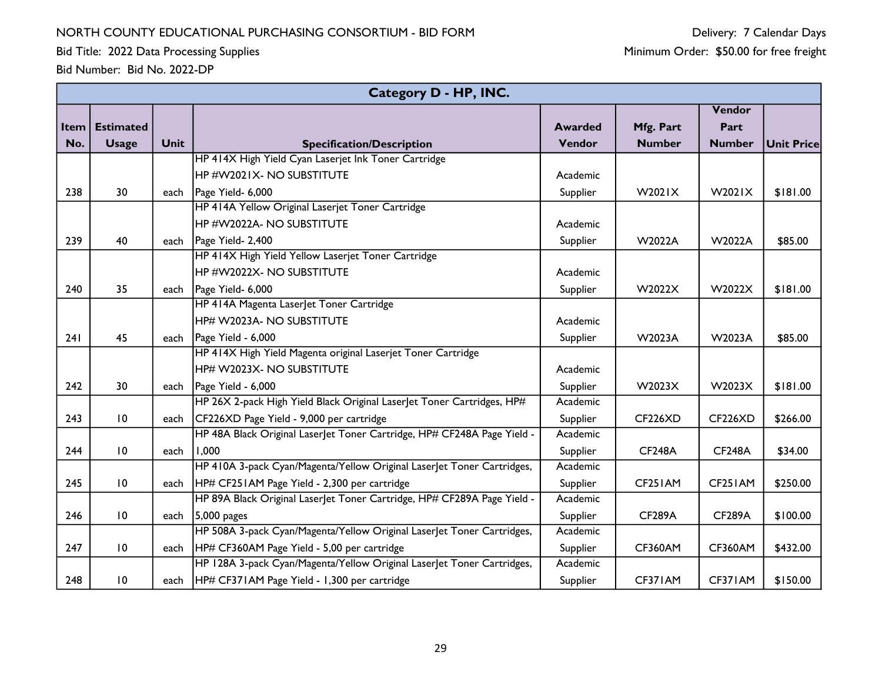Bid Title: 2022 Data Processing Supplies

|      | Category D - HP, INC. |             |                                                                         |                |                |                |            |  |  |  |
|------|-----------------------|-------------|-------------------------------------------------------------------------|----------------|----------------|----------------|------------|--|--|--|
|      |                       |             |                                                                         |                |                | Vendor         |            |  |  |  |
| Item | <b>Estimated</b>      |             |                                                                         | <b>Awarded</b> | Mfg. Part      | Part           |            |  |  |  |
| No.  | <b>Usage</b>          | <b>Unit</b> | <b>Specification/Description</b>                                        | Vendor         | <b>Number</b>  | <b>Number</b>  | Unit Price |  |  |  |
|      |                       |             | HP 414X High Yield Cyan Laserjet Ink Toner Cartridge                    |                |                |                |            |  |  |  |
|      |                       |             | HP #W2021X- NO SUBSTITUTE                                               | Academic       |                |                |            |  |  |  |
| 238  | 30                    |             | each   Page Yield- 6,000                                                | Supplier       | W2021X         | W2021X         | \$181.00   |  |  |  |
|      |                       |             | HP 414A Yellow Original Laserjet Toner Cartridge                        |                |                |                |            |  |  |  |
|      |                       |             | HP #W2022A- NO SUBSTITUTE                                               | Academic       |                |                |            |  |  |  |
| 239  | 40                    | each        | Page Yield- 2,400                                                       | Supplier       | W2022A         | W2022A         | \$85.00    |  |  |  |
|      |                       |             | HP 414X High Yield Yellow Laserjet Toner Cartridge                      |                |                |                |            |  |  |  |
|      |                       |             | HP #W2022X- NO SUBSTITUTE                                               | Academic       |                |                |            |  |  |  |
| 240  | 35                    | each        | Page Yield- 6,000                                                       | Supplier       | W2022X         | W2022X         | \$181.00   |  |  |  |
|      |                       |             | HP 414A Magenta Laser et Toner Cartridge                                |                |                |                |            |  |  |  |
|      |                       |             | HP# W2023A- NO SUBSTITUTE                                               | Academic       |                |                |            |  |  |  |
| 241  | 45                    | each        | Page Yield - 6,000                                                      | Supplier       | W2023A         | W2023A         | \$85.00    |  |  |  |
|      |                       |             | HP 414X High Yield Magenta original Laserjet Toner Cartridge            |                |                |                |            |  |  |  |
|      |                       |             | HP# W2023X- NO SUBSTITUTE                                               | Academic       |                |                |            |  |  |  |
| 242  | 30                    |             | each $\vert$ Page Yield - 6,000                                         | Supplier       | W2023X         | W2023X         | \$181.00   |  |  |  |
|      |                       |             | HP 26X 2-pack High Yield Black Original Laserlet Toner Cartridges, HP#  | Academic       |                |                |            |  |  |  |
| 243  | 10                    | each        | CF226XD Page Yield - 9,000 per cartridge                                | Supplier       | <b>CF226XD</b> | <b>CF226XD</b> | \$266.00   |  |  |  |
|      |                       |             | HP 48A Black Original LaserJet Toner Cartridge, HP# CF248A Page Yield - | Academic       |                |                |            |  |  |  |
| 244  | $\overline{10}$       | each        | 1,000                                                                   | Supplier       | <b>CF248A</b>  | <b>CF248A</b>  | \$34.00    |  |  |  |
|      |                       |             | HP 410A 3-pack Cyan/Magenta/Yellow Original Laser et Toner Cartridges,  | Academic       |                |                |            |  |  |  |
| 245  | 10                    | each        | HP# CF251AM Page Yield - 2,300 per cartridge                            | Supplier       | CF251AM        | CF251AM        | \$250.00   |  |  |  |
|      |                       |             | HP 89A Black Original LaserJet Toner Cartridge, HP# CF289A Page Yield - | Academic       |                |                |            |  |  |  |
| 246  | 10                    |             | each $ 5,000 \text{ pages} $                                            | Supplier       | <b>CF289A</b>  | <b>CF289A</b>  | \$100.00   |  |  |  |
|      |                       |             | HP 508A 3-pack Cyan/Magenta/Yellow Original Laser et Toner Cartridges,  | Academic       |                |                |            |  |  |  |
| 247  | 10                    | each        | HP# CF360AM Page Yield - 5,00 per cartridge                             | Supplier       | <b>CF360AM</b> | <b>CF360AM</b> | \$432.00   |  |  |  |
|      |                       |             | HP 128A 3-pack Cyan/Magenta/Yellow Original LaserJet Toner Cartridges,  | Academic       |                |                |            |  |  |  |
| 248  | 10                    |             | each   HP# CF371AM Page Yield - 1,300 per cartridge                     | Supplier       | CF371AM        | CF371AM        | \$150.00   |  |  |  |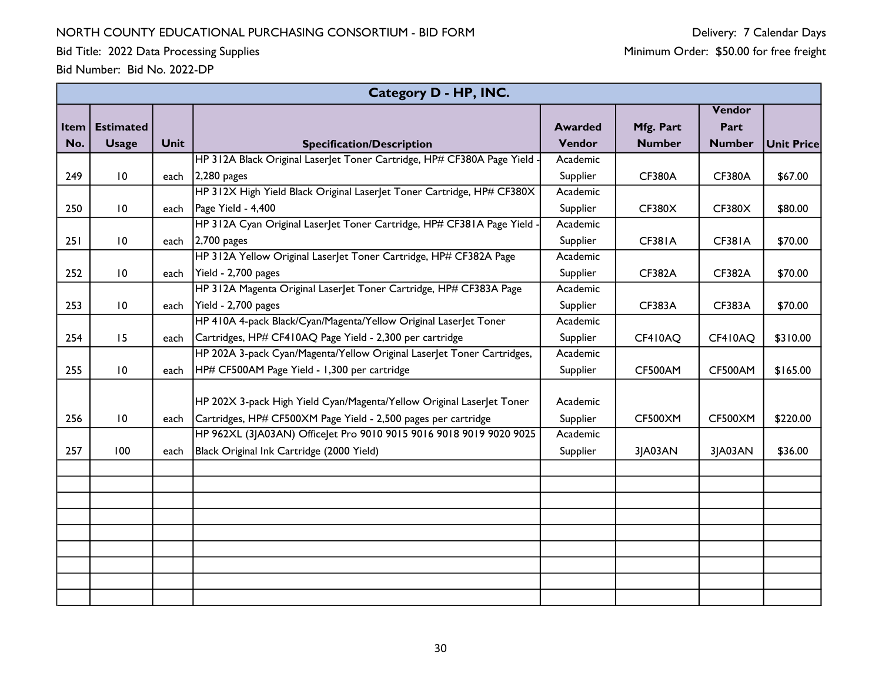Bid Title: 2022 Data Processing Supplies

|      | Category D - HP, INC. |      |                                                                          |                |                |                |                   |  |  |  |  |
|------|-----------------------|------|--------------------------------------------------------------------------|----------------|----------------|----------------|-------------------|--|--|--|--|
|      |                       |      |                                                                          |                |                | Vendor         |                   |  |  |  |  |
| Item | <b>Estimated</b>      |      |                                                                          | <b>Awarded</b> | Mfg. Part      | Part           |                   |  |  |  |  |
| No.  | <b>Usage</b>          | Unit | <b>Specification/Description</b>                                         | Vendor         | <b>Number</b>  | <b>Number</b>  | <b>Unit Price</b> |  |  |  |  |
|      |                       |      | HP 312A Black Original LaserJet Toner Cartridge, HP# CF380A Page Yield   | Academic       |                |                |                   |  |  |  |  |
| 249  | 10                    | each | $2,280$ pages                                                            | Supplier       | <b>CF380A</b>  | <b>CF380A</b>  | \$67.00           |  |  |  |  |
|      |                       |      | HP 312X High Yield Black Original Laser let Toner Cartridge, HP# CF380X  | Academic       |                |                |                   |  |  |  |  |
| 250  | 10                    | each | Page Yield - 4,400                                                       | Supplier       | <b>CF380X</b>  | <b>CF380X</b>  | \$80.00           |  |  |  |  |
|      |                       |      | HP 312A Cyan Original Laser let Toner Cartridge, HP# CF381A Page Yield · | Academic       |                |                |                   |  |  |  |  |
| 251  | 10                    | each | $2,700$ pages                                                            | Supplier       | <b>CF381A</b>  | <b>CF381A</b>  | \$70.00           |  |  |  |  |
|      |                       |      | HP 312A Yellow Original LaserJet Toner Cartridge, HP# CF382A Page        | Academic       |                |                |                   |  |  |  |  |
| 252  | $\overline{10}$       | each | Yield - 2,700 pages                                                      | Supplier       | <b>CF382A</b>  | CF382A         | \$70.00           |  |  |  |  |
|      |                       |      | HP 312A Magenta Original LaserJet Toner Cartridge, HP# CF383A Page       | Academic       |                |                |                   |  |  |  |  |
| 253  | 10                    | each | Yield - 2,700 pages                                                      | Supplier       | <b>CF383A</b>  | <b>CF383A</b>  | \$70.00           |  |  |  |  |
|      |                       |      | HP 410A 4-pack Black/Cyan/Magenta/Yellow Original LaserJet Toner         | Academic       |                |                |                   |  |  |  |  |
| 254  | 15                    | each | Cartridges, HP# CF410AQ Page Yield - 2,300 per cartridge                 | Supplier       | CF410AQ        | CF410AQ        | \$310.00          |  |  |  |  |
|      |                       |      | HP 202A 3-pack Cyan/Magenta/Yellow Original Laser et Toner Cartridges,   | Academic       |                |                |                   |  |  |  |  |
| 255  | $\overline{10}$       | each | HP# CF500AM Page Yield - 1,300 per cartridge                             | Supplier       | <b>CF500AM</b> | CF500AM        | \$165.00          |  |  |  |  |
|      |                       |      |                                                                          |                |                |                |                   |  |  |  |  |
|      |                       |      | HP 202X 3-pack High Yield Cyan/Magenta/Yellow Original Laser et Toner    | Academic       |                |                |                   |  |  |  |  |
| 256  | 10                    | each | Cartridges, HP# CF500XM Page Yield - 2,500 pages per cartridge           | Supplier       | <b>CF500XM</b> | <b>CF500XM</b> | \$220.00          |  |  |  |  |
|      |                       |      | HP 962XL (3JA03AN) OfficeJet Pro 9010 9015 9016 9018 9019 9020 9025      | Academic       |                |                |                   |  |  |  |  |
| 257  | 100                   | each | Black Original Ink Cartridge (2000 Yield)                                | Supplier       | 3JA03AN        | 3JA03AN        | \$36.00           |  |  |  |  |
|      |                       |      |                                                                          |                |                |                |                   |  |  |  |  |
|      |                       |      |                                                                          |                |                |                |                   |  |  |  |  |
|      |                       |      |                                                                          |                |                |                |                   |  |  |  |  |
|      |                       |      |                                                                          |                |                |                |                   |  |  |  |  |
|      |                       |      |                                                                          |                |                |                |                   |  |  |  |  |
|      |                       |      |                                                                          |                |                |                |                   |  |  |  |  |
|      |                       |      |                                                                          |                |                |                |                   |  |  |  |  |
|      |                       |      |                                                                          |                |                |                |                   |  |  |  |  |
|      |                       |      |                                                                          |                |                |                |                   |  |  |  |  |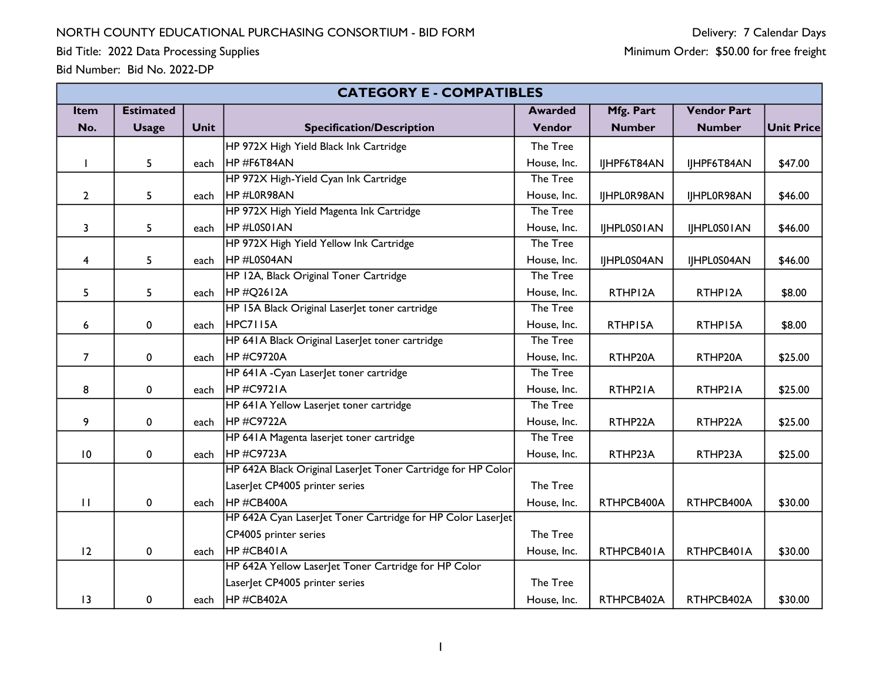Bid Title: 2022 Data Processing Supplies

|                | <b>CATEGORY E - COMPATIBLES</b> |             |                                                              |                |               |                    |                   |
|----------------|---------------------------------|-------------|--------------------------------------------------------------|----------------|---------------|--------------------|-------------------|
| Item           | <b>Estimated</b>                |             |                                                              | <b>Awarded</b> | Mfg. Part     | <b>Vendor Part</b> |                   |
| No.            | <b>Usage</b>                    | <b>Unit</b> | <b>Specification/Description</b>                             | Vendor         | <b>Number</b> | <b>Number</b>      | <b>Unit Price</b> |
|                |                                 |             | HP 972X High Yield Black Ink Cartridge                       | The Tree       |               |                    |                   |
|                | 5                               | each        | HP#F6T84AN                                                   | House, Inc.    | IJHPF6T84AN   | IJHPF6T84AN        | \$47.00           |
|                |                                 |             | HP 972X High-Yield Cyan Ink Cartridge                        | The Tree       |               |                    |                   |
| $\mathbf{2}$   | 5                               | each        | HP#L0R98AN                                                   | House, Inc.    | IJHPL0R98AN   | IJHPL0R98AN        | \$46.00           |
|                |                                 |             | HP 972X High Yield Magenta Ink Cartridge                     | The Tree       |               |                    |                   |
| 3              | 5                               | each        | HP#L0S01AN                                                   | House, Inc.    | IJHPL0S01AN   | IJHPL0S01AN        | \$46.00           |
|                |                                 |             | HP 972X High Yield Yellow Ink Cartridge                      | The Tree       |               |                    |                   |
| 4              | 5                               | each        | HP#L0S04AN                                                   | House, Inc.    | IJHPL0S04AN   | IJHPL0S04AN        | \$46.00           |
|                |                                 |             | HP 12A, Black Original Toner Cartridge                       | The Tree       |               |                    |                   |
| 5              | 5                               | each        | HP#Q2612A                                                    | House, Inc.    | RTHP12A       | RTHP12A            | \$8.00            |
|                |                                 |             | HP 15A Black Original LaserJet toner cartridge               | The Tree       |               |                    |                   |
| 6              | 0                               | each        | HPC7115A                                                     | House, Inc.    | RTHP15A       | RTHP15A            | \$8.00            |
|                |                                 |             | HP 641A Black Original LaserJet toner cartridge              | The Tree       |               |                    |                   |
| $\overline{7}$ | 0                               | each        | HP#C9720A<br>House, Inc.<br>RTHP20A                          |                | RTHP20A       | \$25.00            |                   |
|                |                                 |             | HP 641A - Cyan Laser et toner cartridge                      | The Tree       |               |                    |                   |
| 8              | 0                               | each        | HP#C9721A                                                    | House, Inc.    | RTHP21A       | RTHP2IA            | \$25.00           |
|                |                                 |             | HP 641A Yellow Laserjet toner cartridge                      | The Tree       |               |                    |                   |
| 9              | 0                               | each        | HP#C9722A                                                    | House, Inc.    | RTHP22A       | RTHP22A            | \$25.00           |
|                |                                 |             | HP 641A Magenta laserjet toner cartridge                     | The Tree       |               |                    |                   |
| 10             | 0                               | each        | <b>HP#C9723A</b>                                             | House, Inc.    | RTHP23A       | RTHP23A            | \$25.00           |
|                |                                 |             | HP 642A Black Original LaserJet Toner Cartridge for HP Color |                |               |                    |                   |
|                |                                 |             | LaserJet CP4005 printer series                               | The Tree       |               |                    |                   |
| $\mathbf{H}$   | 0                               | each        | HP#CB400A                                                    | House, Inc.    | RTHPCB400A    | RTHPCB400A         | \$30.00           |
|                |                                 |             | HP 642A Cyan LaserJet Toner Cartridge for HP Color LaserJet  |                |               |                    |                   |
|                |                                 |             | CP4005 printer series                                        | The Tree       |               |                    |                   |
| 12             | 0                               | each        | HP#CB401A                                                    | House, Inc.    | RTHPCB401A    | RTHPCB401A         | \$30.00           |
|                |                                 |             | HP 642A Yellow LaserJet Toner Cartridge for HP Color         |                |               |                    |                   |
|                |                                 |             | LaserJet CP4005 printer series                               | The Tree       |               |                    |                   |
| 13             | 0                               | each        | HP#CB402A                                                    | House, Inc.    | RTHPCB402A    | RTHPCB402A         | \$30.00           |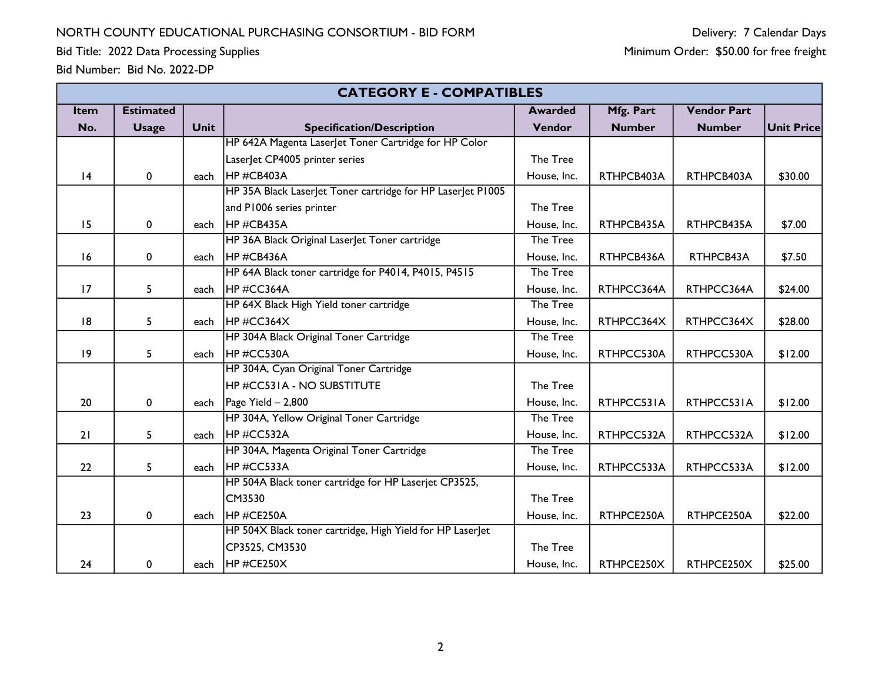Bid Title: 2022 Data Processing Supplies

|             | <b>CATEGORY E - COMPATIBLES</b> |             |                                                             |                |               |                    |            |
|-------------|---------------------------------|-------------|-------------------------------------------------------------|----------------|---------------|--------------------|------------|
| <b>Item</b> | <b>Estimated</b>                |             |                                                             | <b>Awarded</b> | Mfg. Part     | <b>Vendor Part</b> |            |
| No.         | <b>Usage</b>                    | <b>Unit</b> | <b>Specification/Description</b>                            | Vendor         | <b>Number</b> | <b>Number</b>      | Unit Price |
|             |                                 |             | HP 642A Magenta LaserJet Toner Cartridge for HP Color       |                |               |                    |            |
|             |                                 |             | LaserJet CP4005 printer series                              | The Tree       |               |                    |            |
| 4           | 0                               | each        | HP#CB403A                                                   | House, Inc.    | RTHPCB403A    | RTHPCB403A         | \$30.00    |
|             |                                 |             | HP 35A Black Laser et Toner cartridge for HP Laser et P1005 |                |               |                    |            |
|             |                                 |             | and P1006 series printer                                    | The Tree       |               |                    |            |
| 15          | 0                               | each        | HP#CB435A                                                   | House, Inc.    | RTHPCB435A    | RTHPCB435A         | \$7.00     |
|             |                                 |             | HP 36A Black Original Laser et Toner cartridge              | The Tree       |               |                    |            |
| 16          | 0                               | each        | <b>IHP#CB436A</b>                                           | House, Inc.    | RTHPCB436A    | RTHPCB43A          | \$7.50     |
|             |                                 |             | HP 64A Black toner cartridge for P4014, P4015, P4515        | The Tree       |               |                    |            |
| 17          | 5                               | each        | HP#CC364A                                                   | House, Inc.    | RTHPCC364A    | RTHPCC364A         | \$24.00    |
|             |                                 |             | HP 64X Black High Yield toner cartridge                     | The Tree       |               |                    |            |
| 8           | 5                               | each        | HP#CC364X                                                   | House, Inc.    | RTHPCC364X    | RTHPCC364X         | \$28.00    |
|             |                                 |             | HP 304A Black Original Toner Cartridge                      | The Tree       |               |                    |            |
| 9           | 5                               | each        | HP#CC530A                                                   | House, Inc.    | RTHPCC530A    | RTHPCC530A         | \$12.00    |
|             |                                 |             | HP 304A, Cyan Original Toner Cartridge                      |                |               |                    |            |
|             |                                 |             | <b>HP #CC531A - NO SUBSTITUTE</b>                           | The Tree       |               |                    |            |
| 20          | 0                               | each        | Page Yield $-2,800$                                         | House, Inc.    | RTHPCC531A    | RTHPCC531A         | \$12.00    |
|             |                                 |             | HP 304A, Yellow Original Toner Cartridge                    | The Tree       |               |                    |            |
| 21          | 5                               | each        | <b>IHP#CC532A</b>                                           | House, Inc.    | RTHPCC532A    | RTHPCC532A         | \$12.00    |
|             |                                 |             | HP 304A, Magenta Original Toner Cartridge                   | The Tree       |               |                    |            |
| 22          | 5                               | each        | HP#CC533A                                                   | House, Inc.    | RTHPCC533A    | RTHPCC533A         | \$12.00    |
|             |                                 |             | HP 504A Black toner cartridge for HP Laserjet CP3525,       |                |               |                    |            |
|             |                                 |             | CM3530                                                      | The Tree       |               |                    |            |
| 23          | 0                               | each        | <b>IHP#CE250A</b>                                           | House, Inc.    | RTHPCE250A    | RTHPCE250A         | \$22.00    |
|             |                                 |             | HP 504X Black toner cartridge, High Yield for HP Laserlet   |                |               |                    |            |
|             |                                 |             | CP3525, CM3530                                              | The Tree       |               |                    |            |
| 24          | 0                               | each        | HP#CE250X                                                   | House, Inc.    | RTHPCE250X    | RTHPCE250X         | \$25.00    |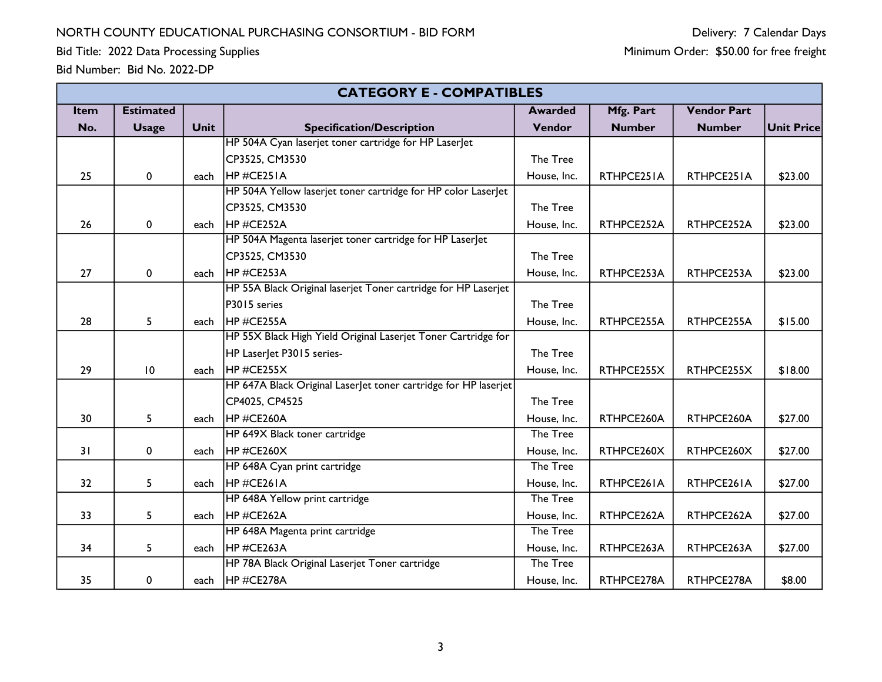Bid Title: 2022 Data Processing Supplies

|      | <b>CATEGORY E - COMPATIBLES</b> |             |                                                                  |                |               |                    |                   |
|------|---------------------------------|-------------|------------------------------------------------------------------|----------------|---------------|--------------------|-------------------|
| Item | <b>Estimated</b>                |             |                                                                  | <b>Awarded</b> | Mfg. Part     | <b>Vendor Part</b> |                   |
| No.  | <b>Usage</b>                    | <b>Unit</b> | <b>Specification/Description</b>                                 | Vendor         | <b>Number</b> | <b>Number</b>      | <b>Unit Price</b> |
|      |                                 |             | HP 504A Cyan laserjet toner cartridge for HP LaserJet            |                |               |                    |                   |
|      |                                 |             | CP3525, CM3530                                                   | The Tree       |               |                    |                   |
| 25   | 0                               | each        | HP#CE251A                                                        | House, Inc.    | RTHPCE251A    | RTHPCE251A         | \$23.00           |
|      |                                 |             | HP 504A Yellow laserjet toner cartridge for HP color LaserJet    |                |               |                    |                   |
|      |                                 |             | CP3525, CM3530                                                   | The Tree       |               |                    |                   |
| 26   | 0                               | each        | HP #CE252A                                                       | House, Inc.    | RTHPCE252A    | RTHPCE252A         | \$23.00           |
|      |                                 |             | HP 504A Magenta laserjet toner cartridge for HP LaserJet         |                |               |                    |                   |
|      |                                 |             | CP3525, CM3530                                                   | The Tree       |               |                    |                   |
| 27   | 0                               | each        | HP#CE253A                                                        | House, Inc.    | RTHPCE253A    | RTHPCE253A         | \$23.00           |
|      |                                 |             | HP 55A Black Original laserjet Toner cartridge for HP Laserjet   |                |               |                    |                   |
|      |                                 |             | P3015 series                                                     | The Tree       |               |                    |                   |
| 28   | 5                               | each        | HP#CE255A                                                        | House, Inc.    | RTHPCE255A    | RTHPCE255A         | \$15.00           |
|      |                                 |             | HP 55X Black High Yield Original Laserjet Toner Cartridge for    |                |               |                    |                   |
|      |                                 |             | HP Laser et P3015 series-                                        | The Tree       |               |                    |                   |
| 29   | 10                              | each        | HP#CE255X<br>House, Inc.<br>RTHPCE255X                           |                | RTHPCE255X    | \$18.00            |                   |
|      |                                 |             | HP 647A Black Original Laser let toner cartridge for HP laserjet |                |               |                    |                   |
|      |                                 |             | CP4025, CP4525                                                   | The Tree       |               |                    |                   |
| 30   | 5                               | each        | HP#CE260A                                                        | House, Inc.    | RTHPCE260A    | RTHPCE260A         | \$27.00           |
|      |                                 |             | HP 649X Black toner cartridge                                    | The Tree       |               |                    |                   |
| 31   | 0                               | each        | HP#CE260X                                                        | House, Inc.    | RTHPCE260X    | RTHPCE260X         | \$27.00           |
|      |                                 |             | HP 648A Cyan print cartridge                                     | The Tree       |               |                    |                   |
| 32   | 5                               | each        | HP#CE261A                                                        | House, Inc.    | RTHPCE261A    | RTHPCE261A         | \$27.00           |
|      |                                 |             | HP 648A Yellow print cartridge                                   | The Tree       |               |                    |                   |
| 33   | 5                               | each        | HP#CE262A                                                        | House, Inc.    | RTHPCE262A    | RTHPCE262A         | \$27.00           |
|      |                                 |             | HP 648A Magenta print cartridge                                  | The Tree       |               |                    |                   |
| 34   | 5                               | each        | HP#CE263A                                                        | House, Inc.    | RTHPCE263A    | RTHPCE263A         | \$27.00           |
|      |                                 |             | HP 78A Black Original Laserjet Toner cartridge                   | The Tree       |               |                    |                   |
| 35   | 0                               | each        | HP#CE278A                                                        | House, Inc.    | RTHPCE278A    | RTHPCE278A         | \$8.00            |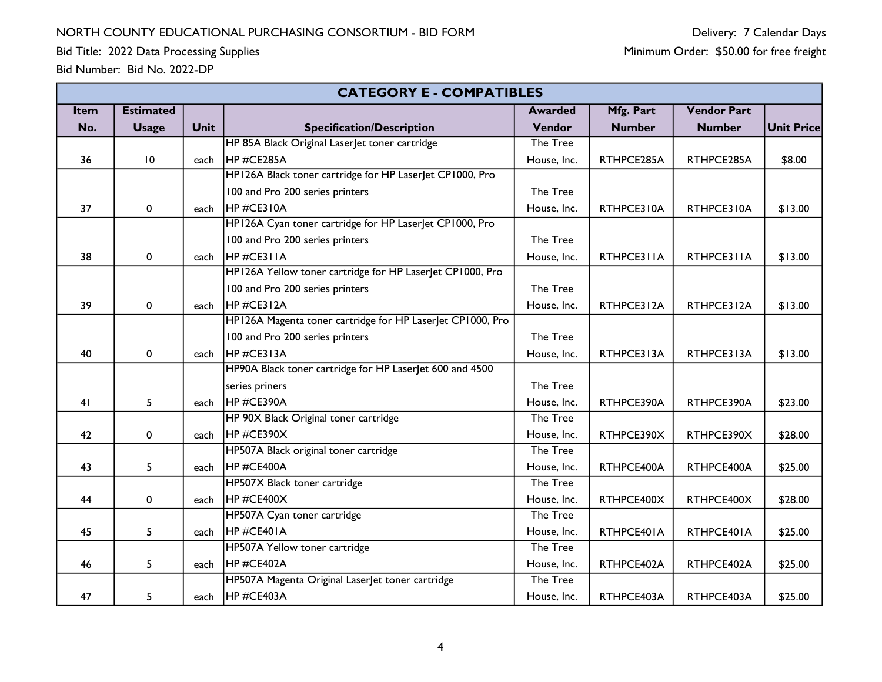|      | <b>CATEGORY E - COMPATIBLES</b> |                                                          |                                                            |                |               |                    |                   |
|------|---------------------------------|----------------------------------------------------------|------------------------------------------------------------|----------------|---------------|--------------------|-------------------|
| Item | <b>Estimated</b>                |                                                          |                                                            | <b>Awarded</b> | Mfg. Part     | <b>Vendor Part</b> |                   |
| No.  | <b>Usage</b>                    | <b>Unit</b>                                              | <b>Specification/Description</b>                           | Vendor         | <b>Number</b> | <b>Number</b>      | <b>Unit Price</b> |
|      |                                 |                                                          | HP 85A Black Original Laserlet toner cartridge             | The Tree       |               |                    |                   |
| 36   | 10                              | each                                                     | <b>IHP#CE285A</b>                                          | House, Inc.    | RTHPCE285A    | RTHPCE285A         | \$8.00            |
|      |                                 |                                                          | HP126A Black toner cartridge for HP LaserJet CP1000, Pro   |                |               |                    |                   |
|      |                                 |                                                          | 100 and Pro 200 series printers                            | The Tree       |               |                    |                   |
| 37   | $\pmb{0}$                       | each                                                     | HP#CE310A                                                  | House, Inc.    | RTHPCE310A    | RTHPCE310A         | \$13.00           |
|      |                                 |                                                          | HP126A Cyan toner cartridge for HP Laserlet CP1000, Pro    |                |               |                    |                   |
|      |                                 |                                                          | 100 and Pro 200 series printers                            | The Tree       |               |                    |                   |
| 38   | $\mathbf 0$                     | each                                                     | HP#CE311A                                                  | House, Inc.    | RTHPCE311A    | RTHPCE311A         | \$13.00           |
|      |                                 |                                                          | HP126A Yellow toner cartridge for HP Laserlet CP1000, Pro  |                |               |                    |                   |
|      |                                 |                                                          | 100 and Pro 200 series printers                            | The Tree       |               |                    |                   |
| 39   | 0                               | each                                                     | HP#CE312A                                                  | House, Inc.    | RTHPCE312A    | RTHPCE312A         | \$13.00           |
|      |                                 |                                                          | HP126A Magenta toner cartridge for HP LaserJet CP1000, Pro |                |               |                    |                   |
|      |                                 |                                                          | 100 and Pro 200 series printers                            | The Tree       |               |                    |                   |
| 40   | $\mathbf 0$                     | each                                                     | HP#CE313A                                                  | House, Inc.    | RTHPCE313A    | RTHPCE313A         | \$13.00           |
|      |                                 | HP90A Black toner cartridge for HP Laser et 600 and 4500 |                                                            |                |               |                    |                   |
|      |                                 |                                                          | series priners                                             | The Tree       |               |                    |                   |
| 41   | 5                               | each                                                     | HP#CE390A                                                  | House, Inc.    | RTHPCE390A    | RTHPCE390A         | \$23.00           |
|      |                                 |                                                          | HP 90X Black Original toner cartridge                      | The Tree       |               |                    |                   |
| 42   | 0                               | each                                                     | HP#CE390X                                                  | House, Inc.    | RTHPCE390X    | RTHPCE390X         | \$28.00           |
|      |                                 |                                                          | HP507A Black original toner cartridge                      | The Tree       |               |                    |                   |
| 43   | 5                               | each                                                     | HP#CE400A                                                  | House, Inc.    | RTHPCE400A    | RTHPCE400A         | \$25.00           |
|      |                                 |                                                          | HP507X Black toner cartridge                               | The Tree       |               |                    |                   |
| 44   | 0                               | each                                                     | $HP \#CE400X$                                              | House, Inc.    | RTHPCE400X    | RTHPCE400X         | \$28.00           |
|      |                                 |                                                          | HP507A Cyan toner cartridge                                | The Tree       |               |                    |                   |
| 45   | 5                               | each                                                     | HP#CE401A                                                  | House, Inc.    | RTHPCE401A    | RTHPCE401A         | \$25.00           |
|      |                                 |                                                          | HP507A Yellow toner cartridge                              | The Tree       |               |                    |                   |
| 46   | 5                               | each                                                     | HP#CE402A                                                  | House, Inc.    | RTHPCE402A    | RTHPCE402A         | \$25.00           |
|      |                                 |                                                          | HP507A Magenta Original LaserJet toner cartridge           | The Tree       |               |                    |                   |
| 47   | 5                               | each                                                     | HP#CE403A                                                  | House, Inc.    | RTHPCE403A    | RTHPCE403A         | \$25.00           |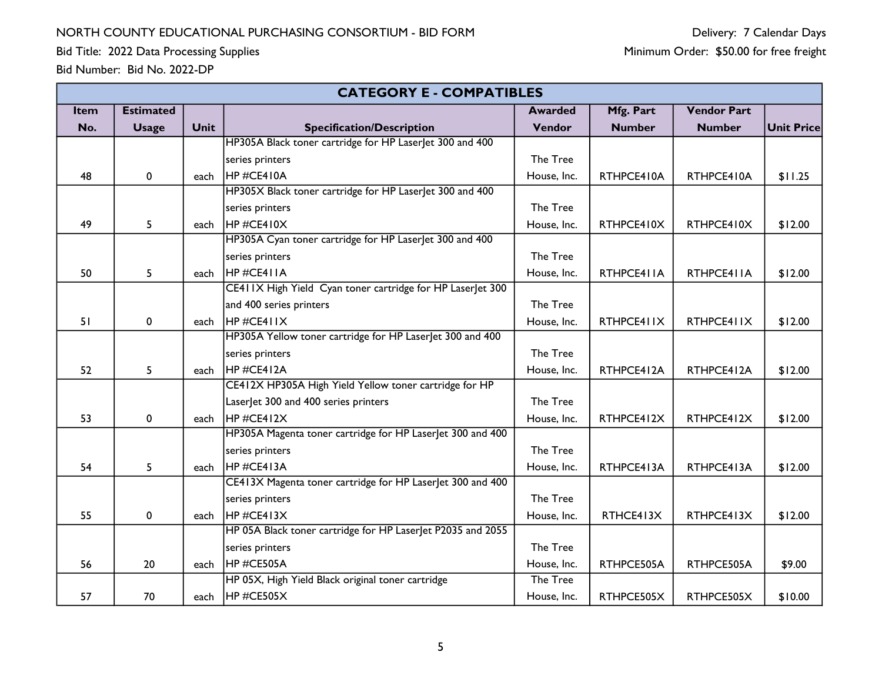|      | <b>CATEGORY E - COMPATIBLES</b> |             |                                                             |                |               |                    |                   |
|------|---------------------------------|-------------|-------------------------------------------------------------|----------------|---------------|--------------------|-------------------|
| Item | <b>Estimated</b>                |             |                                                             | <b>Awarded</b> | Mfg. Part     | <b>Vendor Part</b> |                   |
| No.  | <b>Usage</b>                    | <b>Unit</b> | <b>Specification/Description</b>                            | Vendor         | <b>Number</b> | <b>Number</b>      | <b>Unit Price</b> |
|      |                                 |             | HP305A Black toner cartridge for HP LaserJet 300 and 400    |                |               |                    |                   |
|      |                                 |             | series printers                                             | The Tree       |               |                    |                   |
| 48   | 0                               | each        | HP#CE410A                                                   | House, Inc.    | RTHPCE410A    | RTHPCE410A         | \$11.25           |
|      |                                 |             | HP305X Black toner cartridge for HP LaserJet 300 and 400    |                |               |                    |                   |
|      |                                 |             | series printers                                             | The Tree       |               |                    |                   |
| 49   | 5                               | each        | HP#CE410X                                                   | House, Inc.    | RTHPCE410X    | RTHPCE410X         | \$12.00           |
|      |                                 |             | HP305A Cyan toner cartridge for HP Laser et 300 and 400     |                |               |                    |                   |
|      |                                 |             | series printers                                             | The Tree       |               |                    |                   |
| 50   | 5                               | each        | HP#CE411A                                                   | House, Inc.    | RTHPCE411A    | RTHPCE411A         | \$12.00           |
|      |                                 |             | CE411X High Yield Cyan toner cartridge for HP Laserlet 300  |                |               |                    |                   |
|      |                                 |             | and 400 series printers                                     | The Tree       |               |                    |                   |
| 51   | 0                               | each        | HP#CE411X                                                   | House, Inc.    | RTHPCE411X    | RTHPCE411X         | \$12.00           |
|      |                                 |             | HP305A Yellow toner cartridge for HP LaserJet 300 and 400   |                |               |                    |                   |
|      |                                 |             | series printers                                             | The Tree       |               |                    |                   |
| 52   | 5                               | each        | HP#CE412A                                                   | House, Inc.    | RTHPCE412A    | RTHPCE412A         | \$12.00           |
|      |                                 |             | CE412X HP305A High Yield Yellow toner cartridge for HP      |                |               |                    |                   |
|      |                                 |             | Laser et 300 and 400 series printers                        | The Tree       |               |                    |                   |
| 53   | 0                               | each        | HP#CE412X                                                   | House, Inc.    | RTHPCE412X    | RTHPCE412X         | \$12.00           |
|      |                                 |             | HP305A Magenta toner cartridge for HP LaserJet 300 and 400  |                |               |                    |                   |
|      |                                 |             | series printers                                             | The Tree       |               |                    |                   |
| 54   | 5                               | each        | HP#CE413A                                                   | House, Inc.    | RTHPCE413A    | RTHPCE413A         | \$12.00           |
|      |                                 |             | CE413X Magenta toner cartridge for HP LaserJet 300 and 400  |                |               |                    |                   |
|      |                                 |             | series printers                                             | The Tree       |               |                    |                   |
| 55   | 0                               | each        | HP#CE413X                                                   | House, Inc.    | RTHCE413X     | RTHPCE413X         | \$12.00           |
|      |                                 |             | HP 05A Black toner cartridge for HP Laserlet P2035 and 2055 |                |               |                    |                   |
|      |                                 |             | series printers                                             | The Tree       |               |                    |                   |
| 56   | 20                              | each        | HP#CE505A                                                   | House, Inc.    | RTHPCE505A    | RTHPCE505A         | \$9.00            |
|      |                                 |             | HP 05X, High Yield Black original toner cartridge           | The Tree       |               |                    |                   |
| 57   | 70                              | each        | HP#CE505X                                                   | House, Inc.    | RTHPCE505X    | RTHPCE505X         | \$10.00           |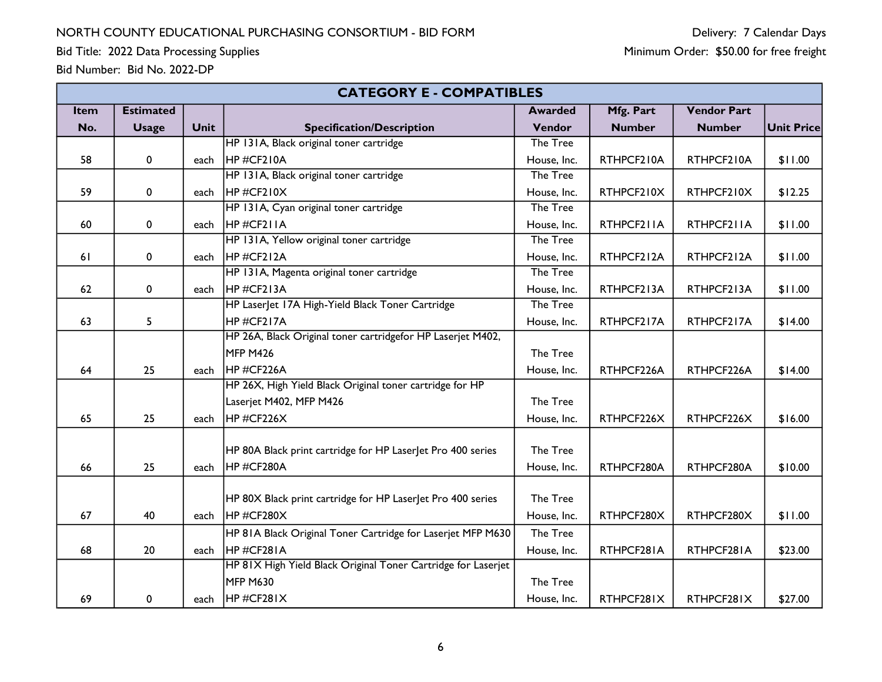Bid Title: 2022 Data Processing Supplies

| Bid Number: Bid No. 2022-DP |  |  |
|-----------------------------|--|--|
|-----------------------------|--|--|

|      | <b>CATEGORY E - COMPATIBLES</b> |             |                                                               |                |               |                    |                   |
|------|---------------------------------|-------------|---------------------------------------------------------------|----------------|---------------|--------------------|-------------------|
| Item | <b>Estimated</b>                |             |                                                               | <b>Awarded</b> | Mfg. Part     | <b>Vendor Part</b> |                   |
| No.  | <b>Usage</b>                    | <b>Unit</b> | <b>Specification/Description</b>                              | Vendor         | <b>Number</b> | <b>Number</b>      | <b>Unit Price</b> |
|      |                                 |             | HP 131A, Black original toner cartridge                       | The Tree       |               |                    |                   |
| 58   | 0                               | each        | HP#CF210A                                                     | House, Inc.    | RTHPCF210A    | RTHPCF210A         | \$11.00           |
|      |                                 |             | HP 131A, Black original toner cartridge                       | The Tree       |               |                    |                   |
| 59   | 0                               | each        | $H$ P#CF210X                                                  | House, Inc.    | RTHPCF210X    | RTHPCF210X         | \$12.25           |
|      |                                 |             | HP 131A, Cyan original toner cartridge                        | The Tree       |               |                    |                   |
| 60   | 0                               | each        | HP#CF211A                                                     | House, Inc.    | RTHPCF211A    | RTHPCF211A         | \$11.00           |
|      |                                 |             | HP 131A, Yellow original toner cartridge                      | The Tree       |               |                    |                   |
| 61   | 0                               | each        | HP#CF212A                                                     | House, Inc.    | RTHPCF212A    | RTHPCF212A         | \$11.00           |
|      |                                 |             | HP 131A, Magenta original toner cartridge                     | The Tree       |               |                    |                   |
| 62   | $\pmb{0}$                       | each        | $HP \#CF213A$                                                 | House, Inc.    | RTHPCF213A    | RTHPCF213A         | \$11.00           |
|      |                                 |             | HP LaserJet 17A High-Yield Black Toner Cartridge              | The Tree       |               |                    |                   |
| 63   | 5                               |             | HP#CF217A                                                     | House, Inc.    | RTHPCF217A    | RTHPCF217A         | \$14.00           |
|      |                                 |             | HP 26A, Black Original toner cartridgefor HP Laserjet M402,   |                |               |                    |                   |
|      |                                 |             | MFP M426                                                      | The Tree       |               |                    |                   |
| 64   | 25                              | each        | HP#CF226A                                                     | House, Inc.    | RTHPCF226A    | RTHPCF226A         | \$14.00           |
|      |                                 |             | HP 26X, High Yield Black Original toner cartridge for HP      |                |               |                    |                   |
|      |                                 |             | Laserjet M402, MFP M426                                       | The Tree       |               |                    |                   |
| 65   | 25                              | each        | HP#CF226X                                                     | House, Inc.    | RTHPCF226X    | RTHPCF226X         | \$16.00           |
|      |                                 |             |                                                               |                |               |                    |                   |
|      |                                 |             | HP 80A Black print cartridge for HP Laser et Pro 400 series   | The Tree       |               |                    |                   |
| 66   | 25                              | each        | HP#CF280A                                                     | House, Inc.    | RTHPCF280A    | RTHPCF280A         | \$10.00           |
|      |                                 |             |                                                               |                |               |                    |                   |
|      |                                 |             | HP 80X Black print cartridge for HP LaserJet Pro 400 series   | The Tree       |               |                    |                   |
| 67   | 40                              | each        | HP#CF280X                                                     | House, Inc.    | RTHPCF280X    | RTHPCF280X         | \$11.00           |
|      |                                 |             | HP 81A Black Original Toner Cartridge for Laserjet MFP M630   | The Tree       |               |                    |                   |
| 68   | 20                              | each        | HP#CF281A                                                     | House, Inc.    | RTHPCF281A    | RTHPCF281A         | \$23.00           |
|      |                                 |             | HP 81X High Yield Black Original Toner Cartridge for Laserjet |                |               |                    |                   |
|      |                                 |             | <b>MFP M630</b>                                               | The Tree       |               |                    |                   |
| 69   | 0                               | each        | $H$ P#CF281X                                                  | House, Inc.    | RTHPCF281X    | RTHPCF281X         | \$27.00           |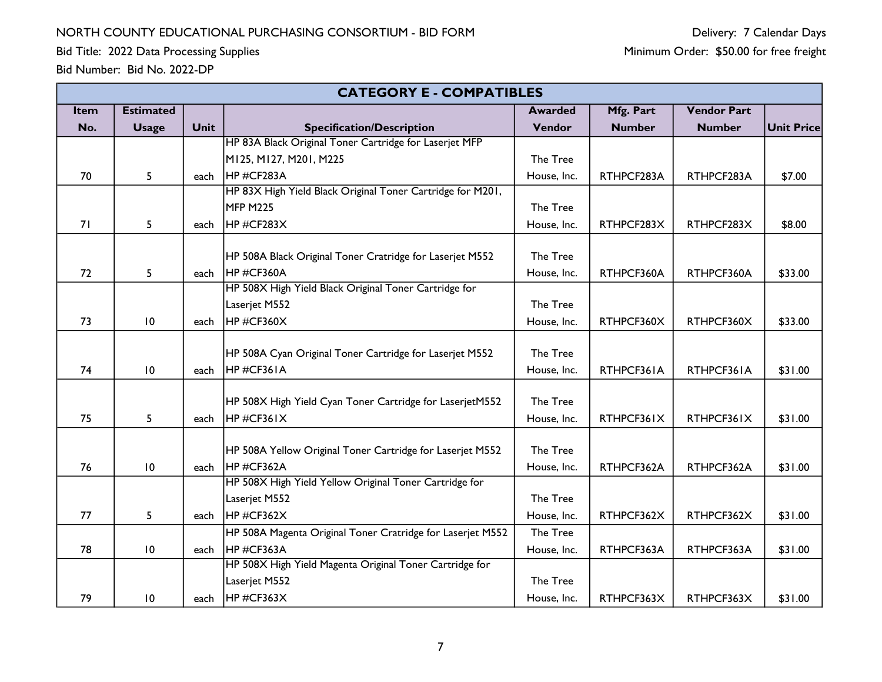Bid Title: 2022 Data Processing Supplies

|      | <b>CATEGORY E - COMPATIBLES</b> |             |                                                            |                |               |                    |                   |
|------|---------------------------------|-------------|------------------------------------------------------------|----------------|---------------|--------------------|-------------------|
| Item | <b>Estimated</b>                |             |                                                            | <b>Awarded</b> | Mfg. Part     | <b>Vendor Part</b> |                   |
| No.  | <b>Usage</b>                    | <b>Unit</b> | <b>Specification/Description</b>                           | Vendor         | <b>Number</b> | <b>Number</b>      | <b>Unit Price</b> |
|      |                                 |             | HP 83A Black Original Toner Cartridge for Laserjet MFP     |                |               |                    |                   |
|      |                                 |             | M125, M127, M201, M225                                     | The Tree       |               |                    |                   |
| 70   | 5                               | each        | HP#CF283A                                                  | House, Inc.    | RTHPCF283A    | RTHPCF283A         | \$7.00            |
|      |                                 |             | HP 83X High Yield Black Original Toner Cartridge for M201, |                |               |                    |                   |
|      |                                 |             | MFP M225                                                   | The Tree       |               |                    |                   |
| 71   | 5                               | each        | HP#CF283X                                                  | House, Inc.    | RTHPCF283X    | RTHPCF283X         | \$8.00            |
|      |                                 |             |                                                            |                |               |                    |                   |
|      |                                 |             | HP 508A Black Original Toner Cratridge for Laserjet M552   | The Tree       |               |                    |                   |
| 72   | 5                               | each        | HP#CF360A                                                  | House, Inc.    | RTHPCF360A    | RTHPCF360A         | \$33.00           |
|      |                                 |             | HP 508X High Yield Black Original Toner Cartridge for      |                |               |                    |                   |
|      |                                 |             | Laserjet M552                                              | The Tree       |               |                    |                   |
| 73   | $\overline{10}$                 | each        | HP#CF360X                                                  | House, Inc.    | RTHPCF360X    | RTHPCF360X         | \$33.00           |
|      |                                 |             |                                                            |                |               |                    |                   |
|      |                                 |             | HP 508A Cyan Original Toner Cartridge for Laserjet M552    | The Tree       |               |                    |                   |
| 74   | 10                              | each        | HP#CF361A                                                  | House, Inc.    | RTHPCF361A    | RTHPCF361A         | \$31.00           |
|      |                                 |             |                                                            |                |               |                    |                   |
|      |                                 |             | HP 508X High Yield Cyan Toner Cartridge for LaserjetM552   | The Tree       |               |                    |                   |
| 75   | 5                               | each        | HP#CF361X                                                  | House, Inc.    | RTHPCF361X    | RTHPCF361X         | \$31.00           |
|      |                                 |             |                                                            |                |               |                    |                   |
|      |                                 |             | HP 508A Yellow Original Toner Cartridge for Laserjet M552  | The Tree       |               |                    |                   |
| 76   | 10                              | each        | HP#CF362A                                                  | House, Inc.    | RTHPCF362A    | RTHPCF362A         | \$31.00           |
|      |                                 |             | HP 508X High Yield Yellow Original Toner Cartridge for     |                |               |                    |                   |
|      |                                 |             | Laserjet M552                                              | The Tree       |               |                    |                   |
| 77   | 5                               | each        | HP#CF362X                                                  | House, Inc.    | RTHPCF362X    | RTHPCF362X         | \$31.00           |
|      |                                 |             | HP 508A Magenta Original Toner Cratridge for Laserjet M552 | The Tree       |               |                    |                   |
| 78   | 10                              | each        | HP#CF363A                                                  | House, Inc.    | RTHPCF363A    | RTHPCF363A         | \$31.00           |
|      |                                 |             | HP 508X High Yield Magenta Original Toner Cartridge for    |                |               |                    |                   |
|      |                                 |             | Laserjet M552                                              | The Tree       |               |                    |                   |
| 79   | 10                              | each        | HP#CF363X                                                  | House, Inc.    | RTHPCF363X    | RTHPCF363X         | \$31.00           |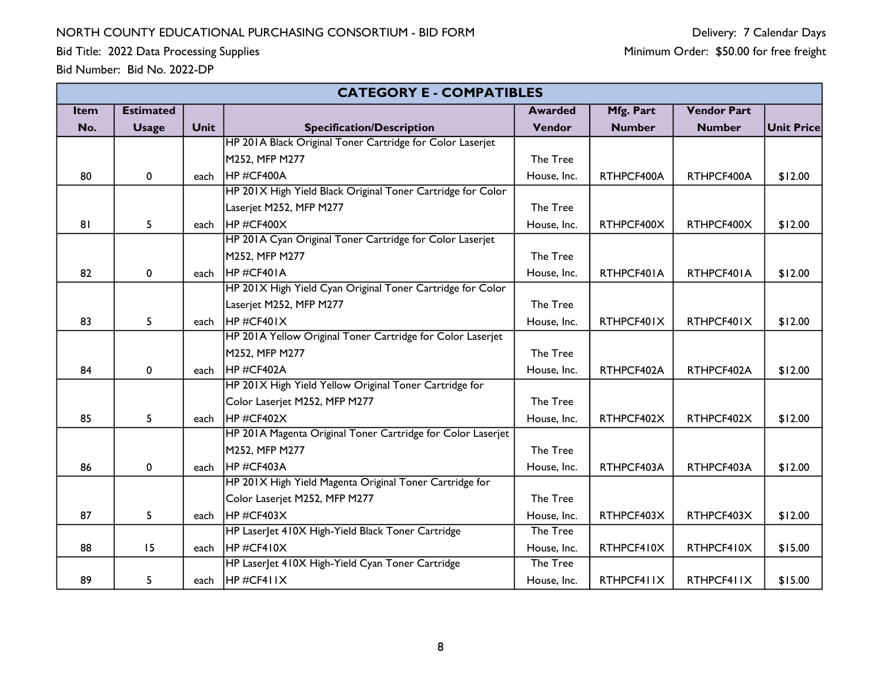Bid Title: 2022 Data Processing Supplies

|             | <b>CATEGORY E - COMPATIBLES</b> |             |                                                             |                |               |                    |                   |
|-------------|---------------------------------|-------------|-------------------------------------------------------------|----------------|---------------|--------------------|-------------------|
| <b>Item</b> | <b>Estimated</b>                |             |                                                             | <b>Awarded</b> | Mfg. Part     | <b>Vendor Part</b> |                   |
| No.         | <b>Usage</b>                    | <b>Unit</b> | <b>Specification/Description</b>                            | Vendor         | <b>Number</b> | <b>Number</b>      | <b>Unit Price</b> |
|             |                                 |             | HP 201A Black Original Toner Cartridge for Color Laserjet   |                |               |                    |                   |
|             |                                 |             | M252, MFP M277                                              | The Tree       |               |                    |                   |
| 80          | 0                               | each        | HP#CF400A                                                   | House, Inc.    | RTHPCF400A    | RTHPCF400A         | \$12.00           |
|             |                                 |             | HP 201X High Yield Black Original Toner Cartridge for Color |                |               |                    |                   |
|             |                                 |             | Laserjet M252, MFP M277                                     | The Tree       |               |                    |                   |
| 81          | 5                               | each        | HP#CF400X                                                   | House, Inc.    | RTHPCF400X    | RTHPCF400X         | \$12.00           |
|             |                                 |             | HP 201A Cyan Original Toner Cartridge for Color Laserjet    |                |               |                    |                   |
|             |                                 |             | M252, MFP M277                                              | The Tree       |               |                    |                   |
| 82          | 0                               | each        | HP#CF401A                                                   | House, Inc.    | RTHPCF401A    | RTHPCF401A         | \$12.00           |
|             |                                 |             | HP 201X High Yield Cyan Original Toner Cartridge for Color  |                |               |                    |                   |
|             |                                 |             | Laserjet M252, MFP M277                                     | The Tree       |               |                    |                   |
| 83          | 5                               | each        | HP#CF401X                                                   | House, Inc.    | RTHPCF401X    | RTHPCF401X         | \$12.00           |
|             |                                 |             | HP 201A Yellow Original Toner Cartridge for Color Laserjet  |                |               |                    |                   |
|             |                                 |             | M252, MFP M277                                              | The Tree       |               |                    |                   |
| 84          | 0                               | each        | HP#CF402A<br>House, Inc.<br>RTHPCF402A                      |                | RTHPCF402A    | \$12.00            |                   |
|             |                                 |             | HP 201X High Yield Yellow Original Toner Cartridge for      |                |               |                    |                   |
|             |                                 |             | Color Laserjet M252, MFP M277                               | The Tree       |               |                    |                   |
| 85          | 5                               | each        | HP#CF402X                                                   | House, Inc.    | RTHPCF402X    | RTHPCF402X         | \$12.00           |
|             |                                 |             | HP 201A Magenta Original Toner Cartridge for Color Laserjet |                |               |                    |                   |
|             |                                 |             | M252, MFP M277                                              | The Tree       |               |                    |                   |
| 86          | 0                               | each        | HP#CF403A                                                   | House, Inc.    | RTHPCF403A    | RTHPCF403A         | \$12.00           |
|             |                                 |             | HP 201X High Yield Magenta Original Toner Cartridge for     |                |               |                    |                   |
|             |                                 |             | Color Laserjet M252, MFP M277                               | The Tree       |               |                    |                   |
| 87          | 5                               | each        | HP#CF403X                                                   | House, Inc.    | RTHPCF403X    | RTHPCF403X         | \$12.00           |
|             |                                 |             | HP Laser et 410X High-Yield Black Toner Cartridge           | The Tree       |               |                    |                   |
| 88          | 15                              | each        | HP#CF410X                                                   | House, Inc.    | RTHPCF410X    | RTHPCF410X         | \$15.00           |
|             |                                 |             | HP Laser et 410X High-Yield Cyan Toner Cartridge            | The Tree       |               |                    |                   |
| 89          | 5                               | each        | $H$ P#CF411X                                                | House, Inc.    | RTHPCF411X    | RTHPCF411X         | \$15.00           |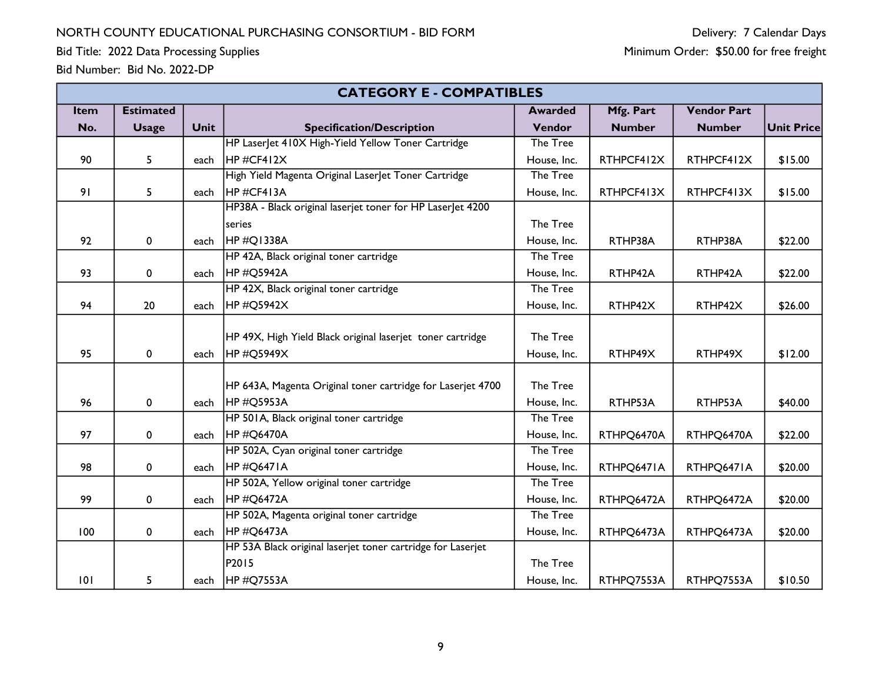Bid Title: 2022 Data Processing Supplies

|  | Bid Number: Bid No. 2022-DP |
|--|-----------------------------|
|--|-----------------------------|

|      | <b>CATEGORY E - COMPATIBLES</b> |             |                                                             |                |               |                    |                   |
|------|---------------------------------|-------------|-------------------------------------------------------------|----------------|---------------|--------------------|-------------------|
| Item | <b>Estimated</b>                |             |                                                             | <b>Awarded</b> | Mfg. Part     | <b>Vendor Part</b> |                   |
| No.  | <b>Usage</b>                    | <b>Unit</b> | <b>Specification/Description</b>                            | Vendor         | <b>Number</b> | <b>Number</b>      | <b>Unit Price</b> |
|      |                                 |             | HP Laser et 410X High-Yield Yellow Toner Cartridge          | The Tree       |               |                    |                   |
| 90   | 5                               | each        | $H$ P#CF412X                                                | House, Inc.    | RTHPCF412X    | RTHPCF412X         | \$15.00           |
|      |                                 |             | High Yield Magenta Original LaserJet Toner Cartridge        | The Tree       |               |                    |                   |
| 91   | 5                               | each        | $H$ P#CF413A                                                | House, Inc.    | RTHPCF413X    | RTHPCF413X         | \$15.00           |
|      |                                 |             | HP38A - Black original laserjet toner for HP LaserJet 4200  |                |               |                    |                   |
|      |                                 |             | series                                                      | The Tree       |               |                    |                   |
| 92   | 0                               | each        | $HP \#Q1338A$                                               | House, Inc.    | RTHP38A       | RTHP38A            | \$22.00           |
|      |                                 |             | HP 42A, Black original toner cartridge                      | The Tree       |               |                    |                   |
| 93   | 0                               | each        | HP#Q5942A                                                   | House, Inc.    | RTHP42A       | RTHP42A            | \$22.00           |
|      |                                 |             | HP 42X, Black original toner cartridge                      | The Tree       |               |                    |                   |
| 94   | 20                              | each        | HP #Q5942X                                                  | House, Inc.    | RTHP42X       | RTHP42X            | \$26.00           |
|      |                                 |             |                                                             |                |               |                    |                   |
|      |                                 |             | HP 49X, High Yield Black original laserjet toner cartridge  | The Tree       |               |                    |                   |
| 95   | 0                               | each        | HP#Q5949X                                                   | House, Inc.    | RTHP49X       | RTHP49X            | \$12.00           |
|      |                                 |             |                                                             |                |               |                    |                   |
|      |                                 |             | HP 643A, Magenta Original toner cartridge for Laserjet 4700 | The Tree       |               |                    |                   |
| 96   | 0                               | each        | HP#Q5953A                                                   | House, Inc.    | RTHP53A       | RTHP53A            | \$40.00           |
|      |                                 |             | HP 501A, Black original toner cartridge                     | The Tree       |               |                    |                   |
| 97   | 0                               | each        | <b>HP#Q6470A</b>                                            | House, Inc.    | RTHPQ6470A    | RTHPQ6470A         | \$22.00           |
|      |                                 |             | HP 502A, Cyan original toner cartridge                      | The Tree       |               |                    |                   |
| 98   | 0                               | each        | $H$ P#Q6471A                                                | House, Inc.    | RTHPQ6471A    | RTHPQ6471A         | \$20.00           |
|      |                                 |             | HP 502A, Yellow original toner cartridge                    | The Tree       |               |                    |                   |
| 99   | 0                               | each        | HP#Q6472A                                                   | House, Inc.    | RTHPQ6472A    | RTHPQ6472A         | \$20.00           |
|      |                                 |             | HP 502A, Magenta original toner cartridge                   | The Tree       |               |                    |                   |
| 100  | $\mathbf 0$                     | each        | HP#Q6473A                                                   | House, Inc.    | RTHPQ6473A    | RTHPQ6473A         | \$20.00           |
|      |                                 |             | HP 53A Black original laserjet toner cartridge for Laserjet |                |               |                    |                   |
|      |                                 |             | P2015                                                       | The Tree       |               |                    |                   |
| 101  | 5                               | each        | <b>HP#Q7553A</b>                                            | House, Inc.    | RTHPQ7553A    | RTHPQ7553A         | \$10.50           |